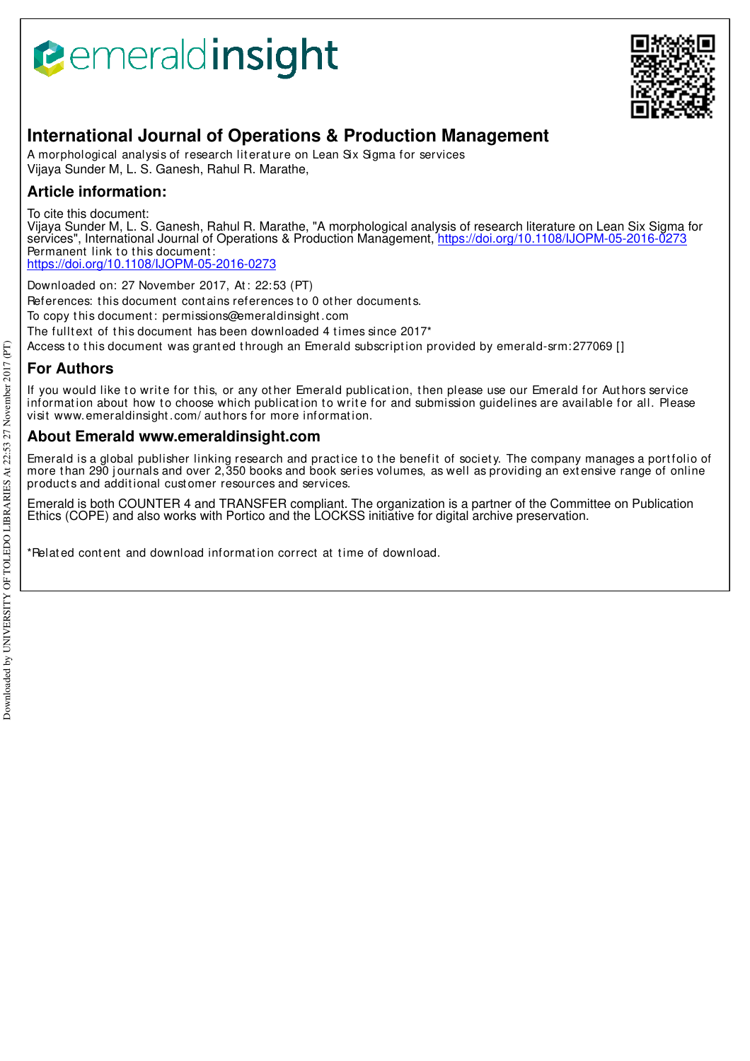# **B**emeraldinsight



# **International Journal of Operations & Production Management**

A morphological analysis of research literature on Lean Six Sigma for services Vijaya Sunder M, L. S. Ganesh, Rahul R. Marathe,

## **Article information:**

To cite this document:

Vijaya Sunder M, L. S. Ganesh, Rahul R. Marathe, "A morphological analysis of research literature on Lean Six Sigma for services", International Journal of Operations & Production Management, https://doi.org/10.1108/IJOPM-05-2016-0273 Permanent link to this document: https://doi.org/10.1108/IJOPM-05-2016-0273

Downloaded on: 27 November 2017, At : 22:53 (PT)

References: this document contains references to 0 other documents.

To copy t his document : permissions@emeraldinsight .com

The fulltext of this document has been downloaded 4 times since 2017<sup>\*</sup>

Access to this document was granted through an Emerald subscription provided by emerald-srm: 277069 []

# **For Authors**

If you would like to write for this, or any other Emerald publication, then please use our Emerald for Authors service information about how to choose which publication to write for and submission guidelines are available for all. Please visit www.emeraldinsight .com/ aut hors for more informat ion.

### **About Emerald www.emeraldinsight.com**

Emerald is a global publisher linking research and practice to the benefit of society. The company manages a portfolio of more than 290 journals and over 2,350 books and book series volumes, as well as providing an extensive range of online product s and addit ional cust omer resources and services.

Emerald is both COUNTER 4 and TRANSFER compliant. The organization is a partner of the Committee on Publication Ethics (COPE) and also works with Portico and the LOCKSS initiative for digital archive preservation.

\*Relat ed cont ent and download informat ion correct at t ime of download.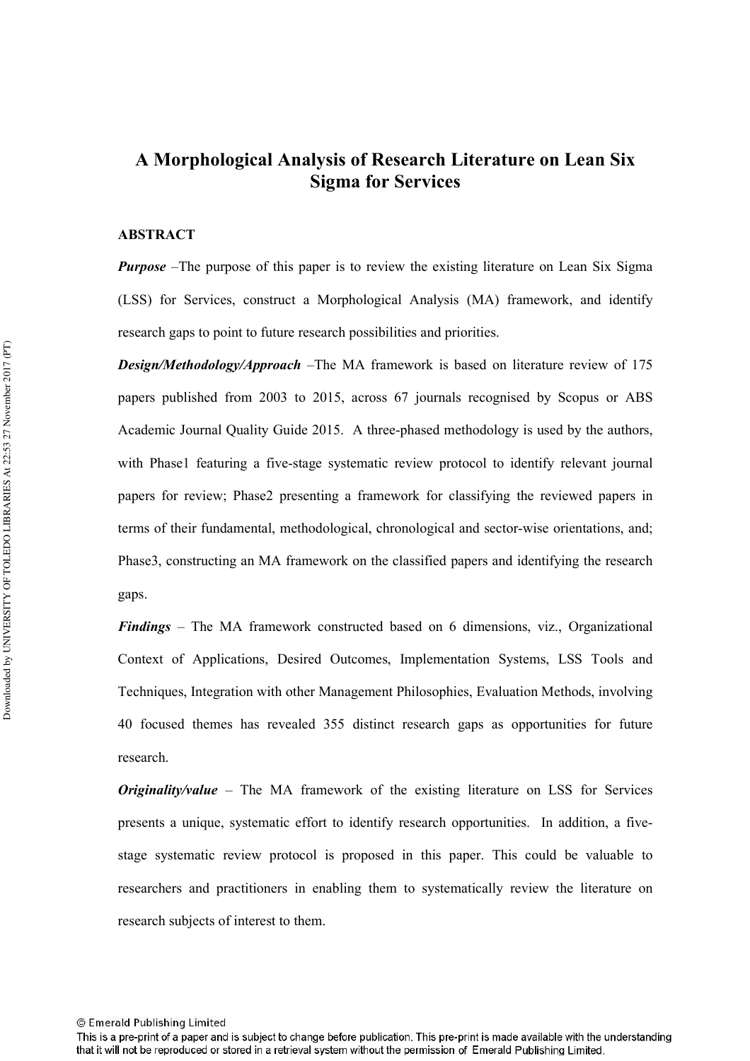# A Morphological Analysis of Research Literature on Lean Six **Sigma for Services**

#### **ABSTRACT**

**Purpose** –The purpose of this paper is to review the existing literature on Lean Six Sigma (LSS) for Services, construct a Morphological Analysis (MA) framework, and identify research gaps to point to future research possibilities and priorities.

**Design/Methodology/Approach** – The MA framework is based on literature review of 175 papers published from 2003 to 2015, across 67 journals recognised by Scopus or ABS Academic Journal Quality Guide 2015. A three-phased methodology is used by the authors, with Phase1 featuring a five-stage systematic review protocol to identify relevant journal papers for review; Phase2 presenting a framework for classifying the reviewed papers in terms of their fundamental, methodological, chronological and sector-wise orientations, and; Phase3, constructing an MA framework on the classified papers and identifying the research gaps.

**Findings** – The MA framework constructed based on 6 dimensions, viz., Organizational Context of Applications, Desired Outcomes, Implementation Systems, LSS Tools and Techniques, Integration with other Management Philosophies, Evaluation Methods, involving 40 focused themes has revealed 355 distinct research gaps as opportunities for future research.

*Originality/value* – The MA framework of the existing literature on LSS for Services presents a unique, systematic effort to identify research opportunities. In addition, a five/ stage systematic review protocol is proposed in this paper. This could be valuable to researchers and practitioners in enabling them to systematically review the literature on research subjects of interest to them.

This is a pre-print of a paper and is subject to change before publication. This pre-print is made available with the understanding that it will not be reproduced or stored in a retrieval system without the permission of Emerald Publishing Limited.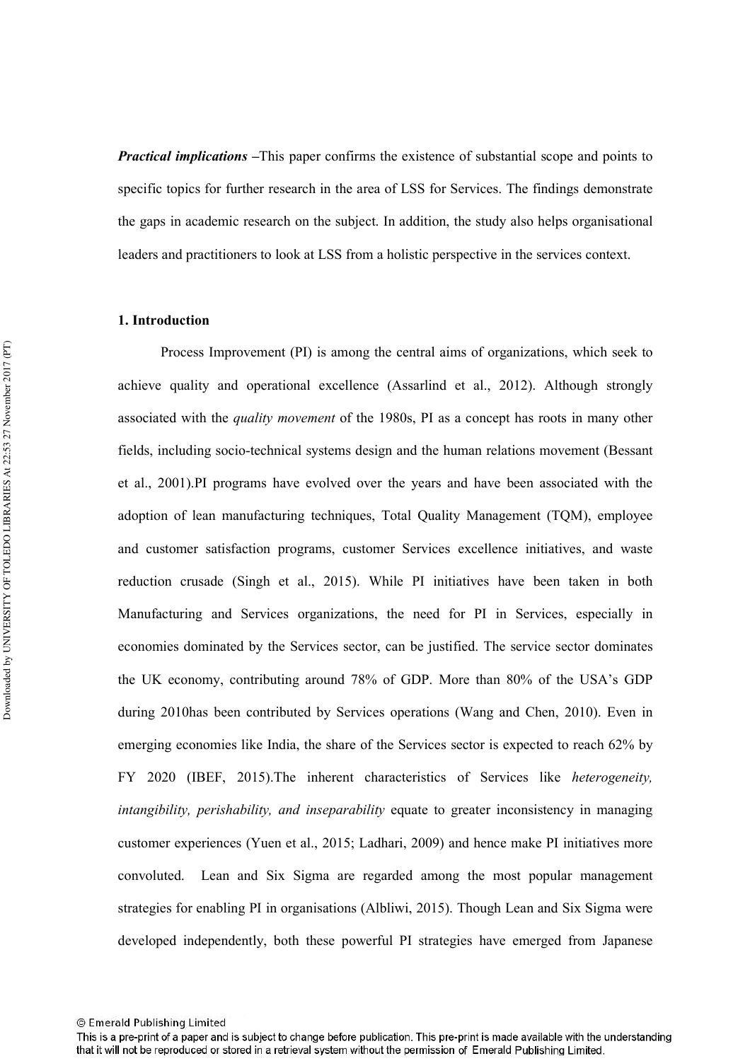*Practical implications* –This paper confirms the existence of substantial scope and points to specific topics for further research in the area of LSS for Services. The findings demonstrate the gaps in academic research on the subject. In addition, the study also helps organisational leaders and practitioners to look at LSS from a holistic perspective in the services context.

#### 1. Introduction

Process Improvement (PI) is among the central aims of organizations, which seek to achieve quality and operational excellence (Assarlind et al., 2012). Although strongly associated with the *quality movement* of the 1980s, PI as a concept has roots in many other fields, including socio-technical systems design and the human relations movement (Bessant et al., 2001).PI programs have evolved over the years and have been associated with the adoption of lean manufacturing techniques, Total Quality Management (TQM), employee and customer satisfaction programs, customer Services excellence initiatives, and waste reduction crusade (Singh et al., 2015). While PI initiatives have been taken in both Manufacturing and Services organizations, the need for PI in Services, especially in economies dominated by the Services sector, can be justified. The service sector dominates the UK economy, contributing around 78% of GDP. More than 80% of the USA's GDP during 2010has been contributed by Services operations (Wang and Chen, 2010). Even in emerging economies like India, the share of the Services sector is expected to reach 62% by FY 2020 (IBEF, 2015).The inherent characteristics of Services like  *intangibility, perishability, and inseparability* equate to greater inconsistency in managing customer experiences (Yuen et al., 2015; Ladhari, 2009) and hence make PI initiatives more convoluted. Lean and Six Sigma are regarded among the most popular management strategies for enabling PI in organisations (Albliwi, 2015). Though Lean and Six Sigma were developed independently, both these powerful PI strategies have emerged from Japanese

<sup>©</sup> Emerald Publishing Limited

This is a pre-print of a paper and is subject to change before publication. This pre-print is made available with the understanding that it will not be reproduced or stored in a retrieval system without the permission of Emerald Publishing Limited.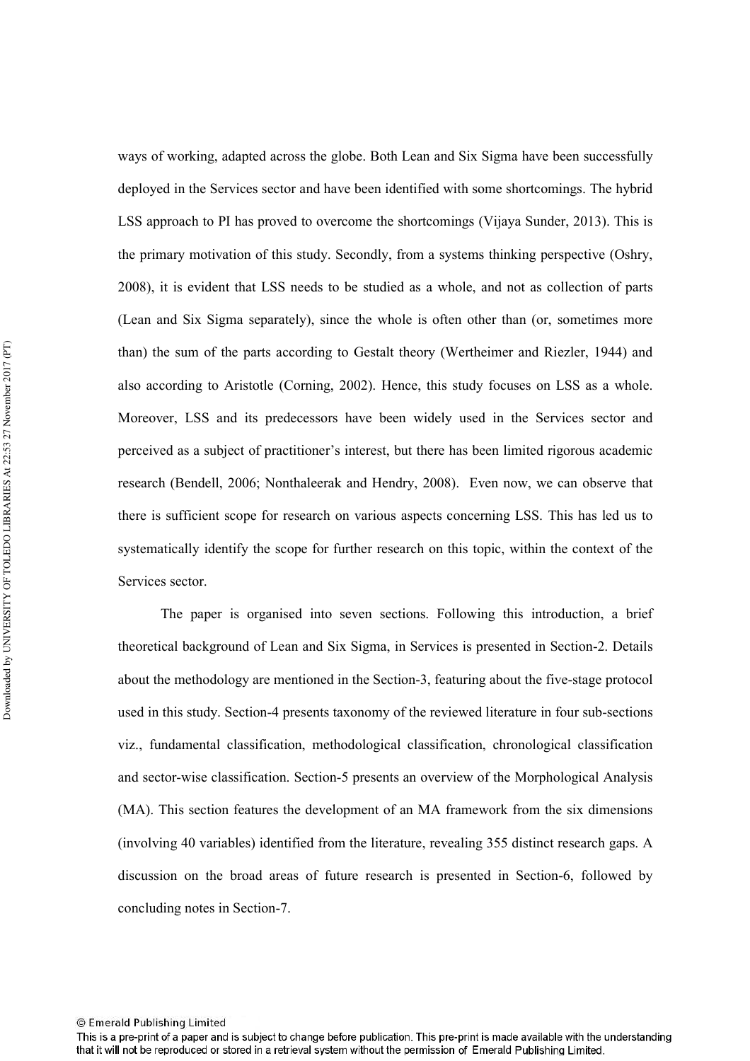ways of working, adapted across the globe. Both Lean and Six Sigma have been successfully deployed in the Services sector and have been identified with some shortcomings. The hybrid LSS approach to PI has proved to overcome the shortcomings (Vijaya Sunder, 2013). This is the primary motivation of this study. Secondly, from a systems thinking perspective (Oshry, 2008), it is evident that LSS needs to be studied as a whole, and not as collection of parts (Lean and Six Sigma separately), since the whole is often other than (or, sometimes more than) the sum of the parts according to Gestalt theory (Wertheimer and Riezler, 1944) and also according to Aristotle (Corning, 2002). Hence, this study focuses on LSS as a whole. Moreover, LSS and its predecessors have been widely used in the Services sector and perceived as a subject of practitioner's interest, but there has been limited rigorous academic research (Bendell, 2006; Nonthaleerak and Hendry, 2008). Even now, we can observe that there is sufficient scope for research on various aspects concerning LSS. This has led us to systematically identify the scope for further research on this topic, within the context of the Services sector.

The paper is organised into seven sections. Following this introduction, a brief theoretical background of Lean and Six Sigma, in Services is presented in Section/2. Details about the methodology are mentioned in the Section-3, featuring about the five-stage protocol used in this study. Section-4 presents taxonomy of the reviewed literature in four sub-sections viz., fundamental classification, methodological classification, chronological classification and sector-wise classification. Section-5 presents an overview of the Morphological Analysis (MA). This section features the development of an MA framework from the six dimensions (involving 40 variables) identified from the literature, revealing 355 distinct research gaps. A discussion on the broad areas of future research is presented in Section-6, followed by concluding notes in Section-7.

This is a pre-print of a paper and is subject to change before publication. This pre-print is made available with the understanding that it will not be reproduced or stored in a retrieval system without the permission of Emerald Publishing Limited.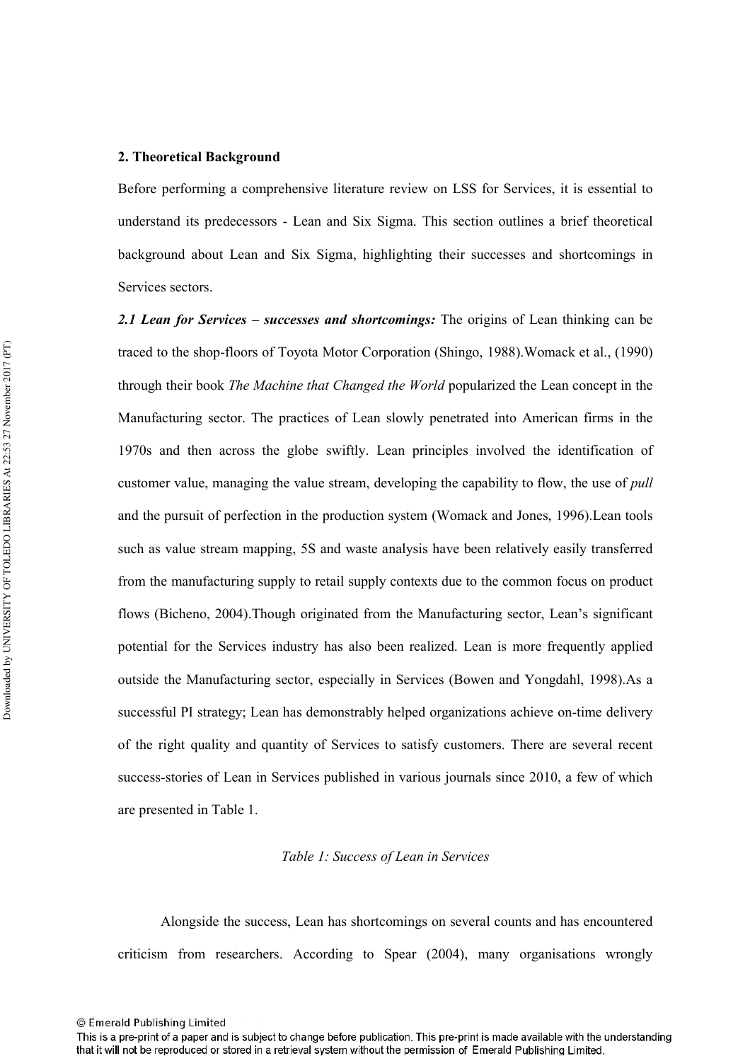#### 2. Theoretical Background

Before performing a comprehensive literature review on LSS for Services, it is essential to understand its predecessors - Lean and Six Sigma. This section outlines a brief theoretical background about Lean and Six Sigma, highlighting their successes and shortcomings in Services sectors.

2.1 Lean for Services – successes and shortcomings: The origins of Lean thinking can be traced to the shop/floors of Toyota Motor Corporation (Shingo, 1988).Womack et al., (1990) through their book *The Machine that Changed the World* popularized the Lean concept in the Manufacturing sector. The practices of Lean slowly penetrated into American firms in the 1970s and then across the globe swiftly. Lean principles involved the identification of customer value, managing the value stream, developing the capability to flow, the use of *pull* and the pursuit of perfection in the production system (Womack and Jones, 1996).Lean tools such as value stream mapping, 5S and waste analysis have been relatively easily transferred from the manufacturing supply to retail supply contexts due to the common focus on product flows (Bicheno, 2004).Though originated from the Manufacturing sector, Lean's significant potential for the Services industry has also been realized. Lean is more frequently applied outside the Manufacturing sector, especially in Services (Bowen and Yongdahl, 1998).As a successful PI strategy; Lean has demonstrably helped organizations achieve on-time delivery of the right quality and quantity of Services to satisfy customers. There are several recent success-stories of Lean in Services published in various journals since 2010, a few of which are presented in Table 1.

#### Table 1: Success of Lean in Services

Alongside the success, Lean has shortcomings on several counts and has encountered criticism from researchers. According to Spear (2004), many organisations wrongly

<sup>©</sup> Emerald Publishing Limited

This is a pre-print of a paper and is subject to change before publication. This pre-print is made available with the understanding that it will not be reproduced or stored in a retrieval system without the permission of Emerald Publishing Limited.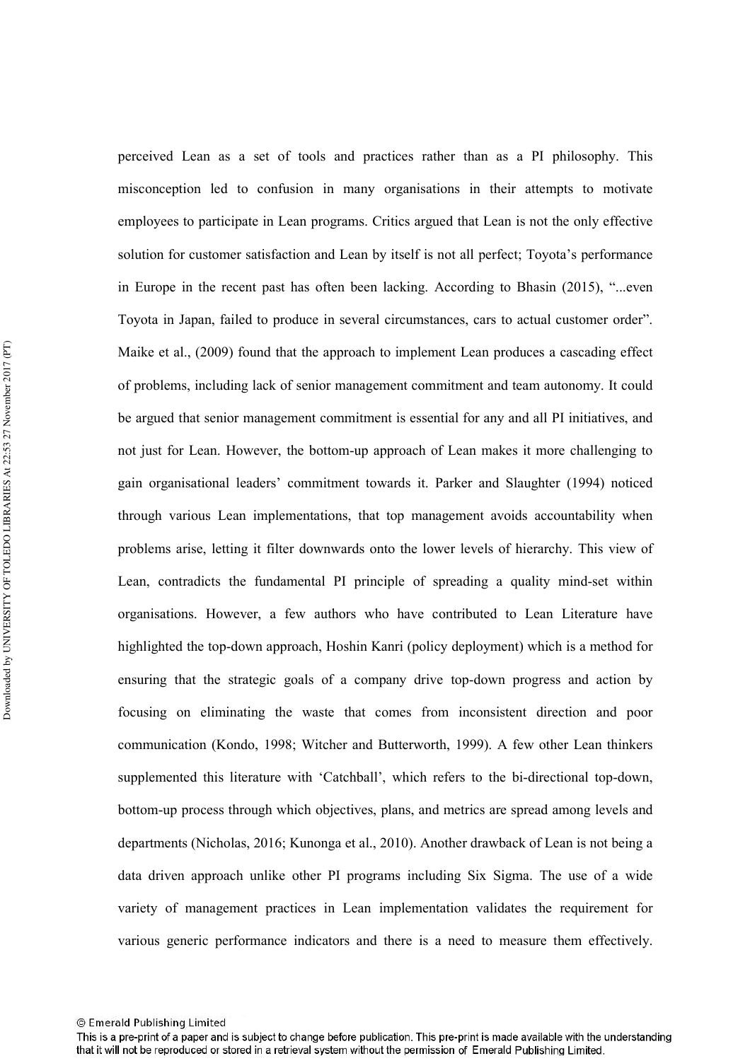perceived Lean as a set of tools and practices rather than as a PI philosophy. This misconception led to confusion in many organisations in their attempts to motivate employees to participate in Lean programs. Critics argued that Lean is not the only effective solution for customer satisfaction and Lean by itself is not all perfect; Toyota's performance in Europe in the recent past has often been lacking. According to Bhasin (2015), "...even Toyota in Japan, failed to produce in several circumstances, cars to actual customer order". Maike et al., (2009) found that the approach to implement Lean produces a cascading effect of problems, including lack of senior management commitment and team autonomy. It could be argued that senior management commitment is essential for any and all PI initiatives, and not just for Lean. However, the bottom-up approach of Lean makes it more challenging to gain organisational leaders' commitment towards it. Parker and Slaughter (1994) noticed through various Lean implementations, that top management avoids accountability when problems arise, letting it filter downwards onto the lower levels of hierarchy. This view of Lean, contradicts the fundamental PI principle of spreading a quality mind-set within organisations. However, a few authors who have contributed to Lean Literature have highlighted the top-down approach, Hoshin Kanri (policy deployment) which is a method for ensuring that the strategic goals of a company drive top-down progress and action by focusing on eliminating the waste that comes from inconsistent direction and poor communication (Kondo, 1998; Witcher and Butterworth, 1999). A few other Lean thinkers supplemented this literature with 'Catchball', which refers to the bi-directional top-down, bottom-up process through which objectives, plans, and metrics are spread among levels and departments (Nicholas, 2016; Kunonga et al., 2010). Another drawback of Lean is not being a data driven approach unlike other PI programs including Six Sigma. The use of a wide variety of management practices in Lean implementation validates the requirement for various generic performance indicators and there is a need to measure them effectively.

<sup>©</sup> Emerald Publishing Limited

This is a pre-print of a paper and is subject to change before publication. This pre-print is made available with the understanding that it will not be reproduced or stored in a retrieval system without the permission of Emerald Publishing Limited.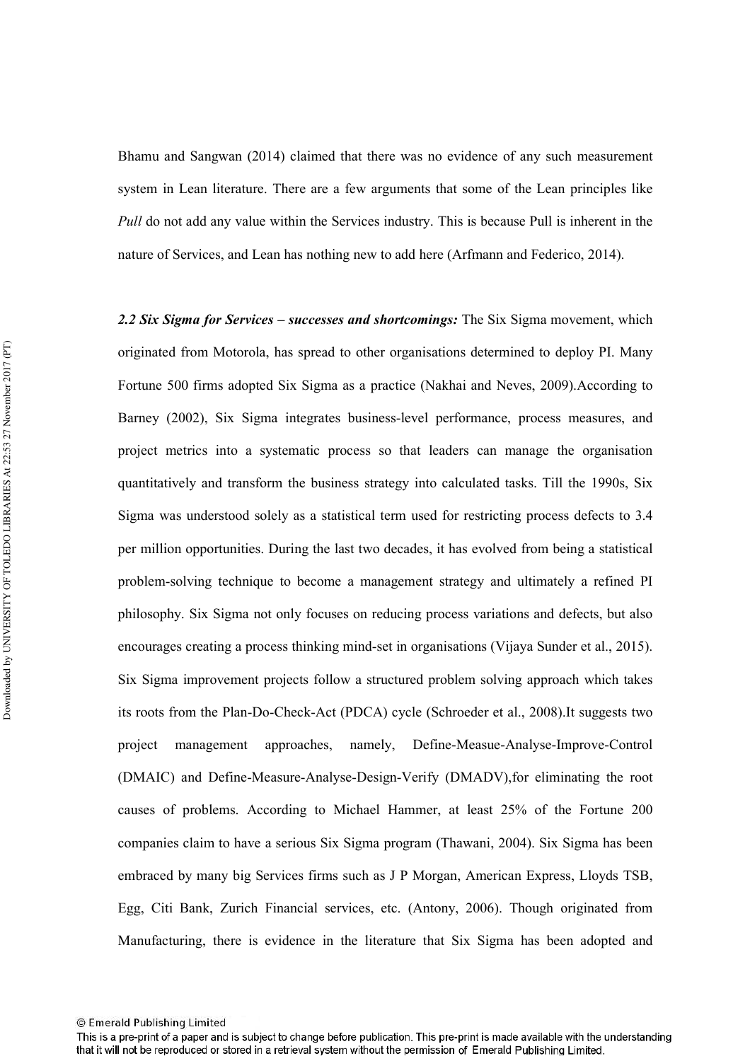Bhamu and Sangwan (2014) claimed that there was no evidence of any such measurement system in Lean literature. There are a few arguments that some of the Lean principles like *Pull* do not add any value within the Services industry. This is because Pull is inherent in the nature of Services, and Lean has nothing new to add here (Arfmann and Federico, 2014).

2.2 Six Sigma for Services - successes and shortcomings: The Six Sigma movement, which originated from Motorola, has spread to other organisations determined to deploy PI. Many Fortune 500 firms adopted Six Sigma as a practice (Nakhai and Neves, 2009).According to Barney (2002), Six Sigma integrates business-level performance, process measures, and project metrics into a systematic process so that leaders can manage the organisation quantitatively and transform the business strategy into calculated tasks. Till the 1990s, Six Sigma was understood solely as a statistical term used for restricting process defects to 3.4 per million opportunities. During the last two decades, it has evolved from being a statistical problem/solving technique to become a management strategy and ultimately a refined PI philosophy. Six Sigma not only focuses on reducing process variations and defects, but also encourages creating a process thinking mind-set in organisations (Vijaya Sunder et al., 2015). Six Sigma improvement projects follow a structured problem solving approach which takes its roots from the Plan-Do-Check-Act (PDCA) cycle (Schroeder et al., 2008).It suggests two project management approaches, namely, Define/Measue/Analyse/Improve/Control (DMAIC) and Define-Measure-Analyse-Design-Verify (DMADV), for eliminating the root causes of problems. According to Michael Hammer, at least 25% of the Fortune 200 companies claim to have a serious Six Sigma program (Thawani, 2004). Six Sigma has been embraced by many big Services firms such as J P Morgan, American Express, Lloyds TSB, Egg, Citi Bank, Zurich Financial services, etc. (Antony, 2006). Though originated from Manufacturing, there is evidence in the literature that Six Sigma has been adopted and

<sup>©</sup> Emerald Publishing Limited

This is a pre-print of a paper and is subject to change before publication. This pre-print is made available with the understanding that it will not be reproduced or stored in a retrieval system without the permission of Emerald Publishing Limited.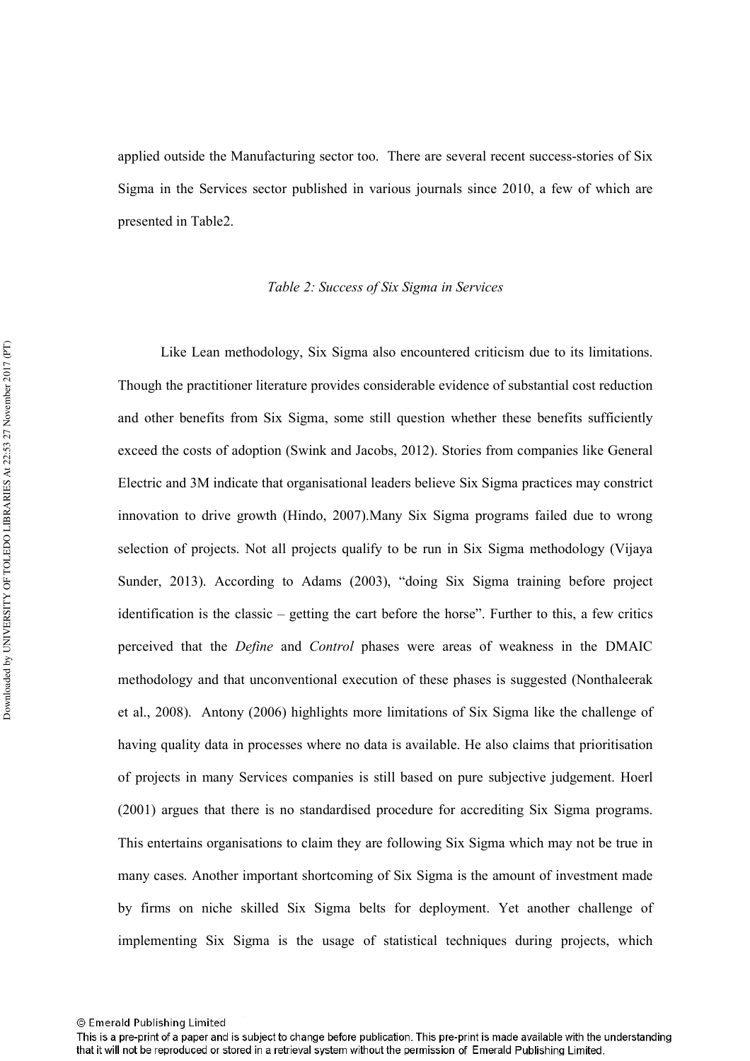applied outside the Manufacturing sector too. There are several recent success-stories of Six Sigma in the Services sector published in various journals since 2010, a few of which are presented in Table2.

#### Table 2: Success of Six Sigma in Services

Like Lean methodology, Six Sigma also encountered criticism due to its limitations. Though the practitioner literature provides considerable evidence of substantial cost reduction and other benefits from Six Sigma, some still question whether these benefits sufficiently exceed the costs of adoption (Swink and Jacobs, 2012). Stories from companies like General Electric and 3M indicate that organisational leaders believe Six Sigma practices may constrict innovation to drive growth (Hindo, 2007).Many Six Sigma programs failed due to wrong selection of projects. Not all projects qualify to be run in Six Sigma methodology (Vijaya Sunder, 2013). According to Adams (2003), "doing Six Sigma training before project identification is the classic – getting the cart before the horse". Further to this, a few critics perceived that the *Define* and *Control* phases were areas of weakness in the DMAIC methodology and that unconventional execution of these phases is suggested (Nonthaleerak et al., 2008). Antony (2006) highlights more limitations of Six Sigma like the challenge of having quality data in processes where no data is available. He also claims that prioritisation of projects in many Services companies is still based on pure subjective judgement. Hoerl (2001) argues that there is no standardised procedure for accrediting Six Sigma programs. This entertains organisations to claim they are following Six Sigma which may not be true in many cases. Another important shortcoming of Six Sigma is the amount of investment made by firms on niche skilled Six Sigma belts for deployment. Yet another challenge of implementing Six Sigma is the usage of statistical techniques during projects, which

<sup>©</sup> Emerald Publishing Limited

This is a pre-print of a paper and is subject to change before publication. This pre-print is made available with the understanding that it will not be reproduced or stored in a retrieval system without the permission of Emerald Publishing Limited.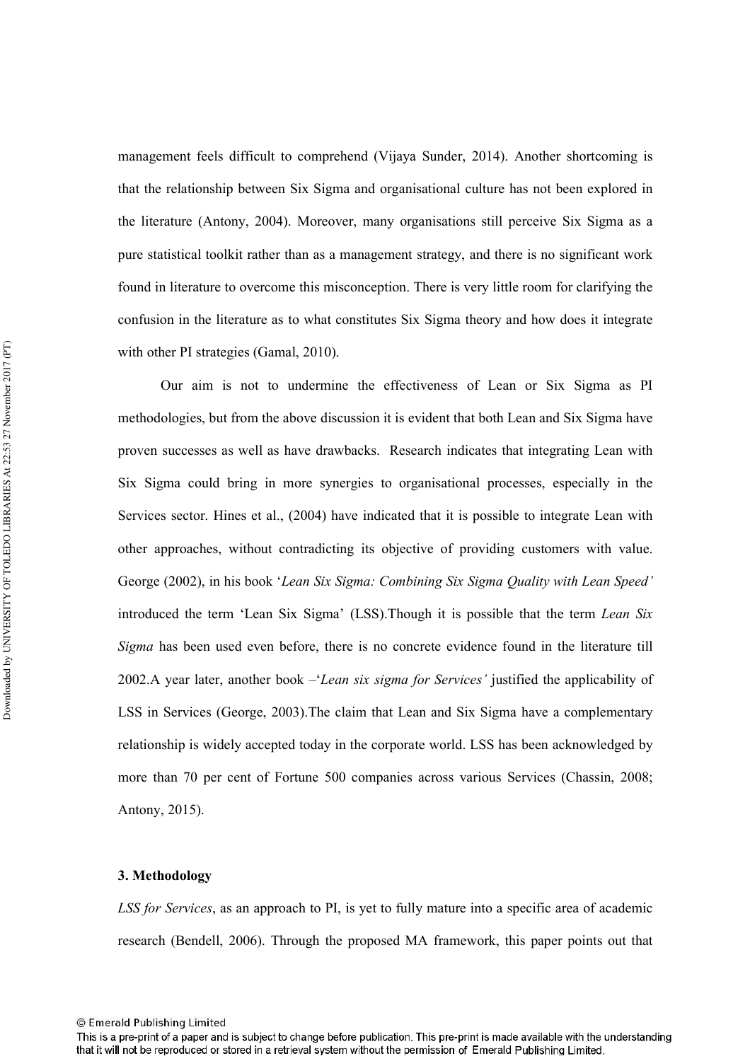management feels difficult to comprehend (Vijaya Sunder, 2014). Another shortcoming is that the relationship between Six Sigma and organisational culture has not been explored in the literature (Antony, 2004). Moreover, many organisations still perceive Six Sigma as a pure statistical toolkit rather than as a management strategy, and there is no significant work found in literature to overcome this misconception. There is very little room for clarifying the confusion in the literature as to what constitutes Six Sigma theory and how does it integrate with other PI strategies (Gamal, 2010).

Our aim is not to undermine the effectiveness of Lean or Six Sigma as PI methodologies, but from the above discussion it is evident that both Lean and Six Sigma have proven successes as well as have drawbacks. Research indicates that integrating Lean with Six Sigma could bring in more synergies to organisational processes, especially in the Services sector. Hines et al., (2004) have indicated that it is possible to integrate Lean with other approaches, without contradicting its objective of providing customers with value. George (2002), in his book 'Lean Six Sigma: Combining Six Sigma Quality with Lean Speed' introduced the term 'Lean Six Sigma' (LSS). Though it is possible that the term *Lean Six Sigma* has been used even before, there is no concrete evidence found in the literature till 2002. A year later, another book  $-i$ *Lean six sigma for Services'* justified the applicability of LSS in Services (George, 2003).The claim that Lean and Six Sigma have a complementary relationship is widely accepted today in the corporate world. LSS has been acknowledged by more than 70 per cent of Fortune 500 companies across various Services (Chassin, 2008; Antony, 2015).

#### **3. Methodology**

LSS for Services, as an approach to PI, is yet to fully mature into a specific area of academic research (Bendell, 2006). Through the proposed MA framework, this paper points out that

This is a pre-print of a paper and is subject to change before publication. This pre-print is made available with the understanding that it will not be reproduced or stored in a retrieval system without the permission of Emerald Publishing Limited.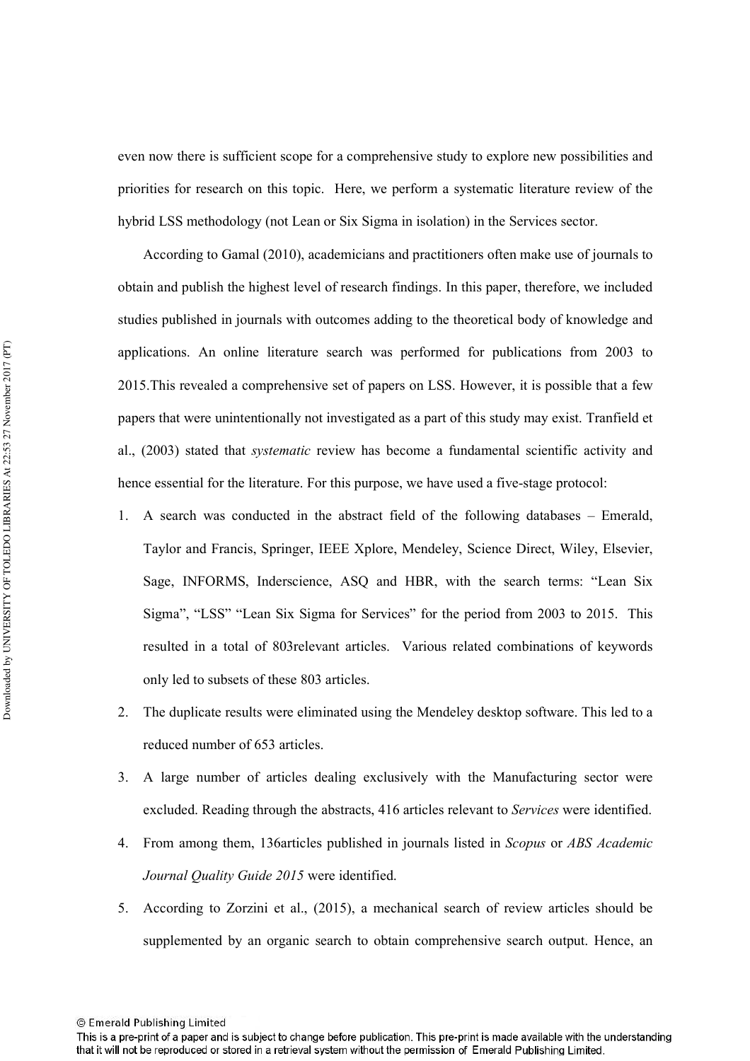even now there is sufficient scope for a comprehensive study to explore new possibilities and priorities for research on this topic. Here, we perform a systematic literature review of the hybrid LSS methodology (not Lean or Six Sigma in isolation) in the Services sector.

According to Gamal (2010), academicians and practitioners often make use of journals to obtain and publish the highest level of research findings. In this paper, therefore, we included studies published in journals with outcomes adding to the theoretical body of knowledge and applications. An online literature search was performed for publications from 2003 to 2015.This revealed a comprehensive set of papers on LSS. However, it is possible that a few papers that were unintentionally not investigated as a part of this study may exist. Tranfield et al., (2003) stated that *systematic* review has become a fundamental scientific activity and hence essential for the literature. For this purpose, we have used a five-stage protocol:

- 1. A search was conducted in the abstract field of the following databases Emerald, Taylor and Francis, Springer, IEEE Xplore, Mendeley, Science Direct, Wiley, Elsevier, Sage, INFORMS, Inderscience, ASQ and HBR, with the search terms: "Lean Six Sigma", "LSS" "Lean Six Sigma for Services" for the period from 2003 to 2015. This resulted in a total of 803relevant articles. Various related combinations of keywords only led to subsets of these 803 articles.
- 2. The duplicate results were eliminated using the Mendeley desktop software. This led to a reduced number of 653 articles.
- 3. A large number of articles dealing exclusively with the Manufacturing sector were excluded. Reading through the abstracts, 416 articles relevant to *Services* were identified.
- 4. From among them, 136 articles published in journals listed in *Scopus* or *ABS Academic Journal Quality Guide 2015* were identified.
- 5. According to Zorzini et al., (2015), a mechanical search of review articles should be supplemented by an organic search to obtain comprehensive search output. Hence, an

This is a pre-print of a paper and is subject to change before publication. This pre-print is made available with the understanding that it will not be reproduced or stored in a retrieval system without the permission of Emerald Publishing Limited.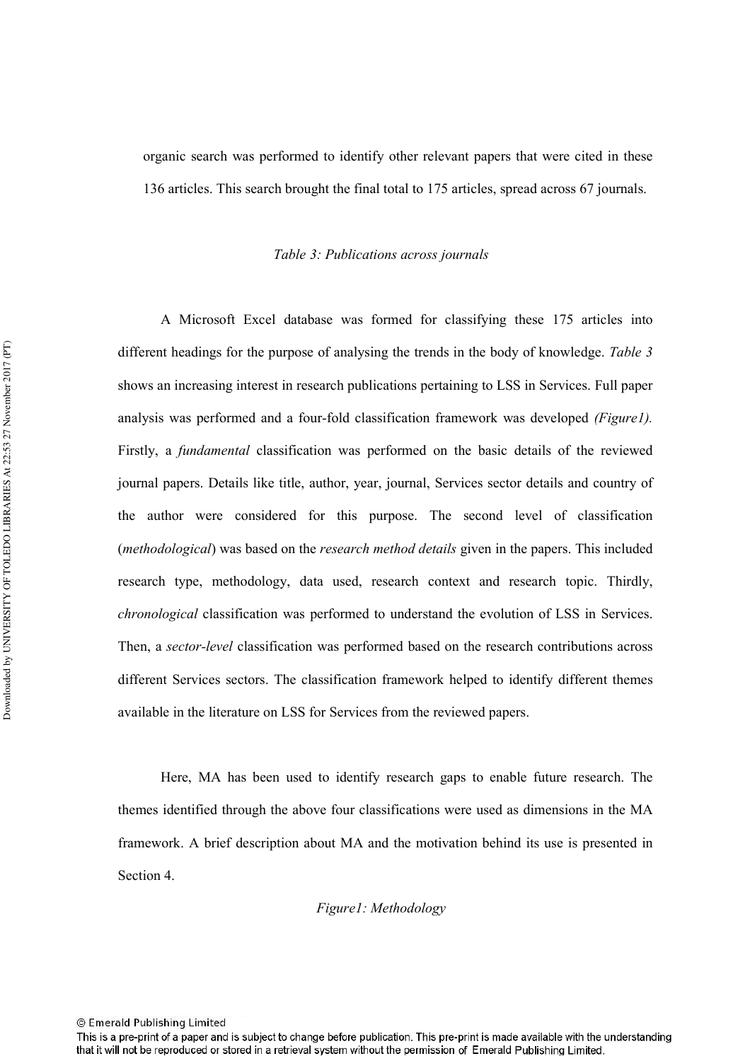organic search was performed to identify other relevant papers that were cited in these 136 articles. This search brought the final total to 175 articles, spread across 67 journals.

#### Table 3: Publications across journals

A Microsoft Excel database was formed for classifying these 175 articles into different headings for the purpose of analysing the trends in the body of knowledge. Table 3 shows an increasing interest in research publications pertaining to LSS in Services. Full paper analysis was performed and a four-fold classification framework was developed *(Figure1)*. Firstly, a *fundamental* classification was performed on the basic details of the reviewed journal papers. Details like title, author, year, journal, Services sector details and country of the author were considered for this purpose. The second level of classification (*methodological*) was based on the *research method details* given in the papers. This included research type, methodology, data used, research context and research topic. Thirdly, *chronological* classification was performed to understand the evolution of LSS in Services. Then, a sector-level classification was performed based on the research contributions across different Services sectors. The classification framework helped to identify different themes available in the literature on LSS for Services from the reviewed papers.

Here, MA has been used to identify research gaps to enable future research. The themes identified through the above four classifications were used as dimensions in the MA framework. A brief description about MA and the motivation behind its use is presented in Section 4.

*Figure1: Methodology* 

This is a pre-print of a paper and is subject to change before publication. This pre-print is made available with the understanding that it will not be reproduced or stored in a retrieval system without the permission of Emerald Publishing Limited.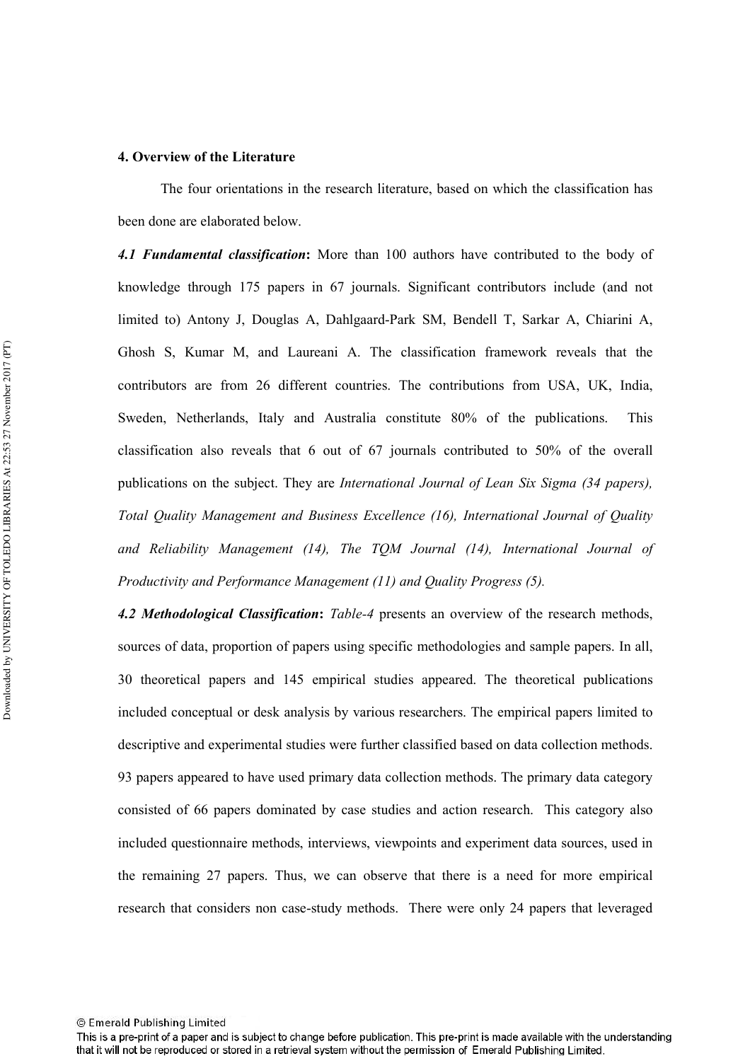#### **4. Overview of the Literature**

The four orientations in the research literature, based on which the classification has been done are elaborated below.

4.1 Fundamental classification: More than 100 authors have contributed to the body of knowledge through 175 papers in 67 journals. Significant contributors include (and not limited to) Antony J, Douglas A, Dahlgaard-Park SM, Bendell T, Sarkar A, Chiarini A, Ghosh S, Kumar M, and Laureani A. The classification framework reveals that the contributors are from 26 different countries. The contributions from USA, UK, India, Sweden, Netherlands, Italy and Australia constitute 80% of the publications. This classification also reveals that 6 out of 67 journals contributed to 50% of the overall publications on the subject. They are *International Journal of Lean Six Sigma (34 papers)*, Total Quality Management and Business Excellence (16), International Journal of Quality and Reliability Management (14), The TQM Journal (14), International Journal of *Productivity and Performance Management (11) and Quality Progress (5).* 

4.2 Methodological Classification: Table-4 presents an overview of the research methods, sources of data, proportion of papers using specific methodologies and sample papers. In all, 30 theoretical papers and 145 empirical studies appeared. The theoretical publications included conceptual or desk analysis by various researchers. The empirical papers limited to descriptive and experimental studies were further classified based on data collection methods. 93 papers appeared to have used primary data collection methods. The primary data category consisted of 66 papers dominated by case studies and action research. This category also included questionnaire methods, interviews, viewpoints and experiment data sources, used in the remaining 27 papers. Thus, we can observe that there is a need for more empirical research that considers non case-study methods. There were only 24 papers that leveraged

This is a pre-print of a paper and is subject to change before publication. This pre-print is made available with the understanding that it will not be reproduced or stored in a retrieval system without the permission of Emerald Publishing Limited.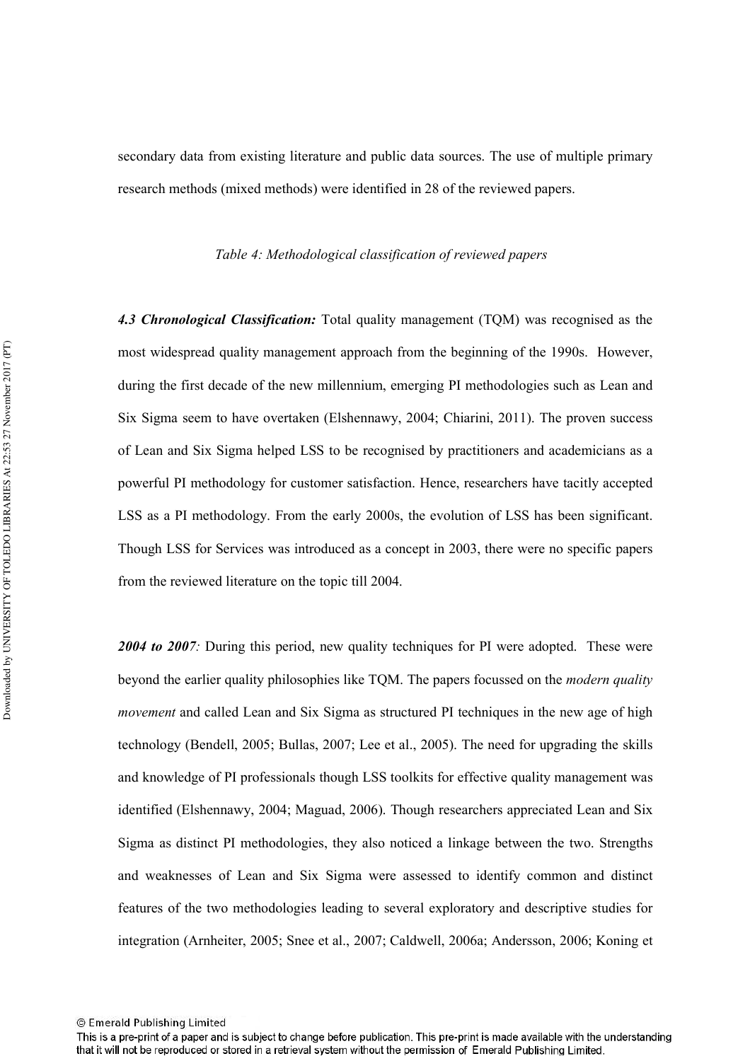secondary data from existing literature and public data sources. The use of multiple primary research methods (mixed methods) were identified in 28 of the reviewed papers.

#### Table 4: Methodological classification of reviewed papers

4.3 Chronological Classification: Total quality management (TQM) was recognised as the most widespread quality management approach from the beginning of the 1990s. However, during the first decade of the new millennium, emerging PI methodologies such as Lean and Six Sigma seem to have overtaken (Elshennawy, 2004; Chiarini, 2011). The proven success of Lean and Six Sigma helped LSS to be recognised by practitioners and academicians as a powerful PI methodology for customer satisfaction. Hence, researchers have tacitly accepted LSS as a PI methodology. From the early 2000s, the evolution of LSS has been significant. Though LSS for Services was introduced as a concept in 2003, there were no specific papers from the reviewed literature on the topic till 2004.

**2004 to 2007**: During this period, new quality techniques for PI were adopted. These were beyond the earlier quality philosophies like TQM. The papers focussed on the *modern quality movement* and called Lean and Six Sigma as structured PI techniques in the new age of high technology (Bendell, 2005; Bullas, 2007; Lee et al., 2005). The need for upgrading the skills and knowledge of PI professionals though LSS toolkits for effective quality management was identified (Elshennawy, 2004; Maguad, 2006). Though researchers appreciated Lean and Six Sigma as distinct PI methodologies, they also noticed a linkage between the two. Strengths and weaknesses of Lean and Six Sigma were assessed to identify common and distinct features of the two methodologies leading to several exploratory and descriptive studies for integration (Arnheiter, 2005; Snee et al., 2007; Caldwell, 2006a; Andersson, 2006; Koning et

<sup>©</sup> Emerald Publishing Limited

This is a pre-print of a paper and is subject to change before publication. This pre-print is made available with the understanding that it will not be reproduced or stored in a retrieval system without the permission of Emerald Publishing Limited.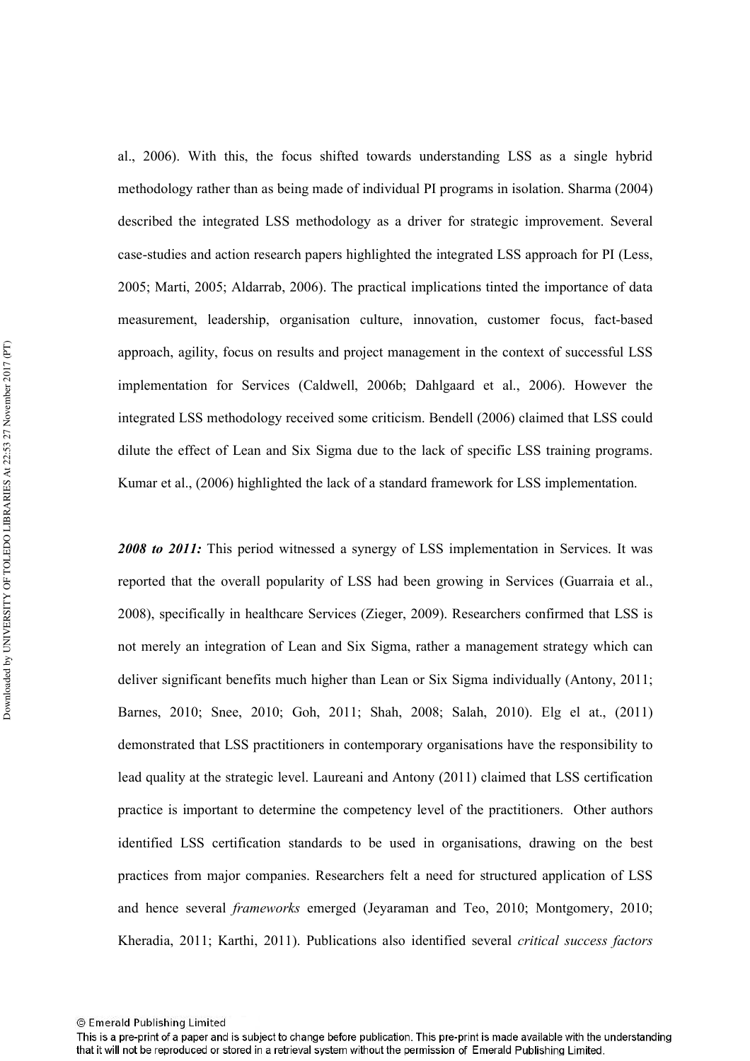al., 2006). With this, the focus shifted towards understanding LSS as a single hybrid methodology rather than as being made of individual PI programs in isolation. Sharma (2004) described the integrated LSS methodology as a driver for strategic improvement. Several case-studies and action research papers highlighted the integrated LSS approach for PI (Less, 2005; Marti, 2005; Aldarrab, 2006). The practical implications tinted the importance of data measurement, leadership, organisation culture, innovation, customer focus, fact-based approach, agility, focus on results and project management in the context of successful LSS implementation for Services (Caldwell, 2006b; Dahlgaard et al., 2006). However the integrated LSS methodology received some criticism. Bendell (2006) claimed that LSS could dilute the effect of Lean and Six Sigma due to the lack of specific LSS training programs. Kumar et al., (2006) highlighted the lack of a standard framework for LSS implementation.

**2008 to 2011:** This period witnessed a synergy of LSS implementation in Services. It was reported that the overall popularity of LSS had been growing in Services (Guarraia et al., 2008), specifically in healthcare Services (Zieger, 2009). Researchers confirmed that LSS is not merely an integration of Lean and Six Sigma, rather a management strategy which can deliver significant benefits much higher than Lean or Six Sigma individually (Antony, 2011; Barnes, 2010; Snee, 2010; Goh, 2011; Shah, 2008; Salah, 2010). Elg el at., (2011) demonstrated that LSS practitioners in contemporary organisations have the responsibility to lead quality at the strategic level. Laureani and Antony (2011) claimed that LSS certification practice is important to determine the competency level of the practitioners. Other authors identified LSS certification standards to be used in organisations, drawing on the best practices from major companies. Researchers felt a need for structured application of LSS and hence several *frameworks* emerged (Jeyaraman and Teo, 2010; Montgomery, 2010; Kheradia, 2011; Karthi, 2011). Publications also identified several *critical success factors* 

<sup>©</sup> Emerald Publishing Limited

This is a pre-print of a paper and is subject to change before publication. This pre-print is made available with the understanding that it will not be reproduced or stored in a retrieval system without the permission of Emerald Publishing Limited.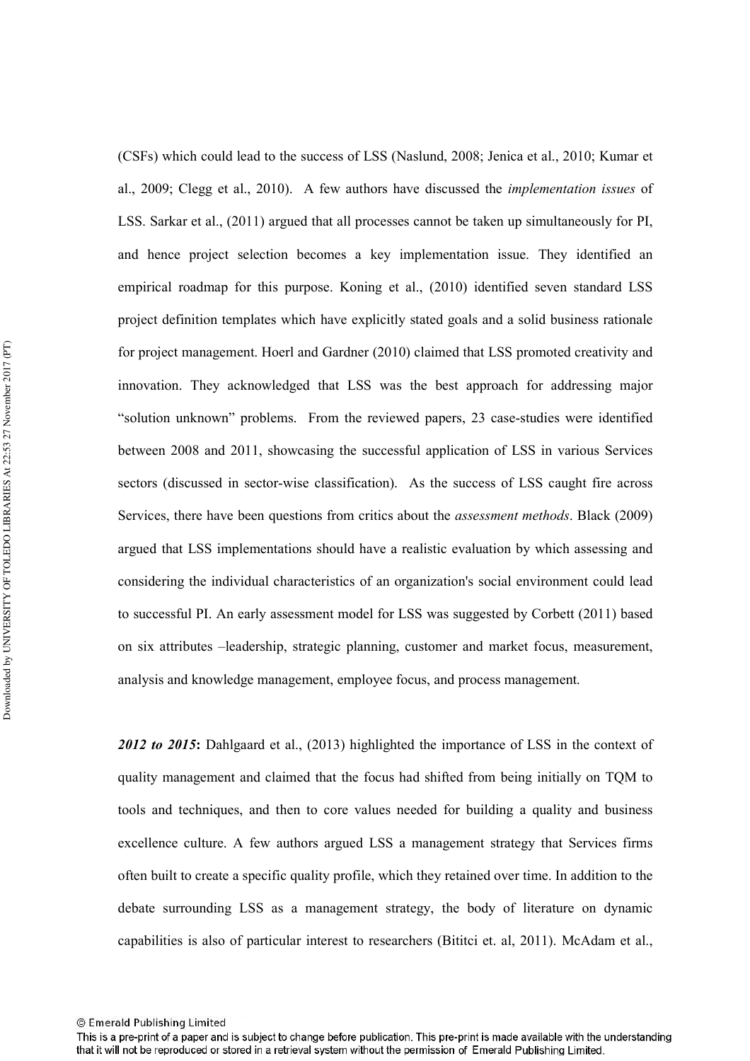(CSFs) which could lead to the success of LSS (Naslund, 2008; Jenica et al., 2010; Kumar et al., 2009; Clegg et al., 2010). A few authors have discussed the *implementation issues* of LSS. Sarkar et al., (2011) argued that all processes cannot be taken up simultaneously for PI, and hence project selection becomes a key implementation issue. They identified an empirical roadmap for this purpose. Koning et al., (2010) identified seven standard LSS project definition templates which have explicitly stated goals and a solid business rationale for project management. Hoerl and Gardner (2010) claimed that LSS promoted creativity and innovation. They acknowledged that LSS was the best approach for addressing major "solution unknown" problems. From the reviewed papers, 23 case-studies were identified between 2008 and 2011, showcasing the successful application of LSS in various Services sectors (discussed in sector-wise classification). As the success of LSS caught fire across Services, there have been questions from critics about the *assessment methods*. Black (2009) argued that LSS implementations should have a realistic evaluation by which assessing and considering the individual characteristics of an organization's social environment could lead to successful PI. An early assessment model for LSS was suggested by Corbett (2011) based on six attributes –leadership, strategic planning, customer and market focus, measurement, analysis and knowledge management, employee focus, and process management.

**2012 to 2015:** Dahlgaard et al., (2013) highlighted the importance of LSS in the context of quality management and claimed that the focus had shifted from being initially on TQM to tools and techniques, and then to core values needed for building a quality and business excellence culture. A few authors argued LSS a management strategy that Services firms often built to create a specific quality profile, which they retained over time. In addition to the debate surrounding LSS as a management strategy, the body of literature on dynamic capabilities is also of particular interest to researchers (Bititci et. al, 2011). McAdam et al.,

<sup>©</sup> Emerald Publishing Limited

This is a pre-print of a paper and is subject to change before publication. This pre-print is made available with the understanding that it will not be reproduced or stored in a retrieval system without the permission of Emerald Publishing Limited.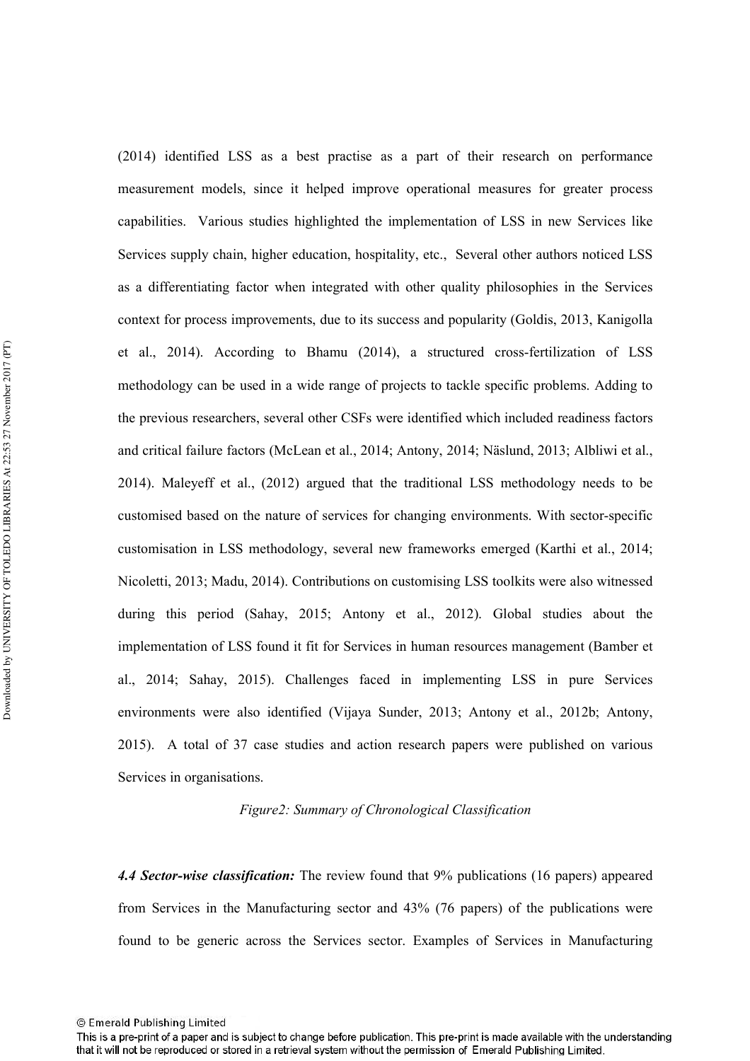(2014) identified LSS as a best practise as a part of their research on performance measurement models, since it helped improve operational measures for greater process capabilities. Various studies highlighted the implementation of LSS in new Services like Services supply chain, higher education, hospitality, etc., Several other authors noticed LSS as a differentiating factor when integrated with other quality philosophies in the Services context for process improvements, due to its success and popularity (Goldis, 2013, Kanigolla et al., 2014). According to Bhamu  $(2014)$ , a structured cross-fertilization of LSS methodology can be used in a wide range of projects to tackle specific problems. Adding to the previous researchers, several other CSFs were identified which included readiness factors and critical failure factors (McLean et al., 2014; Antony, 2014; Näslund, 2013; Albliwi et al., 2014). Maleyeff et al., (2012) argued that the traditional LSS methodology needs to be customised based on the nature of services for changing environments. With sector-specific customisation in LSS methodology, several new frameworks emerged (Karthi et al., 2014; Nicoletti, 2013; Madu, 2014). Contributions on customising LSS toolkits were also witnessed during this period (Sahay, 2015; Antony et al., 2012). Global studies about the implementation of LSS found it fit for Services in human resources management (Bamber et al., 2014; Sahay, 2015). Challenges faced in implementing LSS in pure Services environments were also identified (Vijaya Sunder, 2013; Antony et al., 2012b; Antony, 2015). A total of 37 case studies and action research papers were published on various Services in organisations.

#### Figure2: Summary of Chronological Classification

**4.4 Sector-wise classification:** The review found that 9% publications (16 papers) appeared from Services in the Manufacturing sector and 43% (76 papers) of the publications were found to be generic across the Services sector. Examples of Services in Manufacturing

<sup>©</sup> Emerald Publishing Limited

This is a pre-print of a paper and is subject to change before publication. This pre-print is made available with the understanding that it will not be reproduced or stored in a retrieval system without the permission of Emerald Publishing Limited.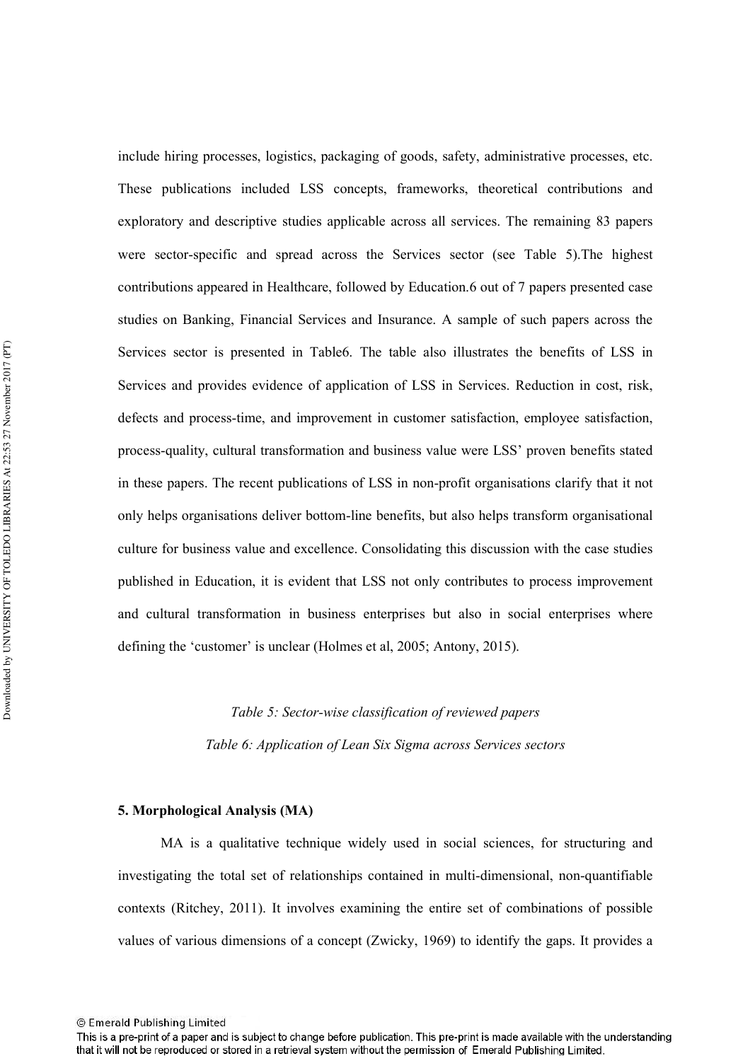include hiring processes, logistics, packaging of goods, safety, administrative processes, etc. These publications included LSS concepts, frameworks, theoretical contributions and exploratory and descriptive studies applicable across all services. The remaining 83 papers were sector-specific and spread across the Services sector (see Table 5). The highest contributions appeared in Healthcare, followed by Education.6 out of 7 papers presented case studies on Banking, Financial Services and Insurance. A sample of such papers across the Services sector is presented in Table6. The table also illustrates the benefits of LSS in Services and provides evidence of application of LSS in Services. Reduction in cost, risk, defects and process-time, and improvement in customer satisfaction, employee satisfaction, process-quality, cultural transformation and business value were LSS' proven benefits stated in these papers. The recent publications of LSS in non-profit organisations clarify that it not only helps organisations deliver bottom-line benefits, but also helps transform organisational culture for business value and excellence. Consolidating this discussion with the case studies published in Education, it is evident that LSS not only contributes to process improvement and cultural transformation in business enterprises but also in social enterprises where defining the 'customer' is unclear (Holmes et al, 2005; Antony, 2015).

> Table 5: Sector-wise classification of reviewed papers Table 6: Application of Lean Six Sigma across Services sectors

#### 5. Morphological Analysis (MA)

MA is a qualitative technique widely used in social sciences, for structuring and investigating the total set of relationships contained in multi-dimensional, non-quantifiable contexts (Ritchey, 2011). It involves examining the entire set of combinations of possible values of various dimensions of a concept (Zwicky, 1969) to identify the gaps. It provides a

This is a pre-print of a paper and is subject to change before publication. This pre-print is made available with the understanding that it will not be reproduced or stored in a retrieval system without the permission of Emerald Publishing Limited.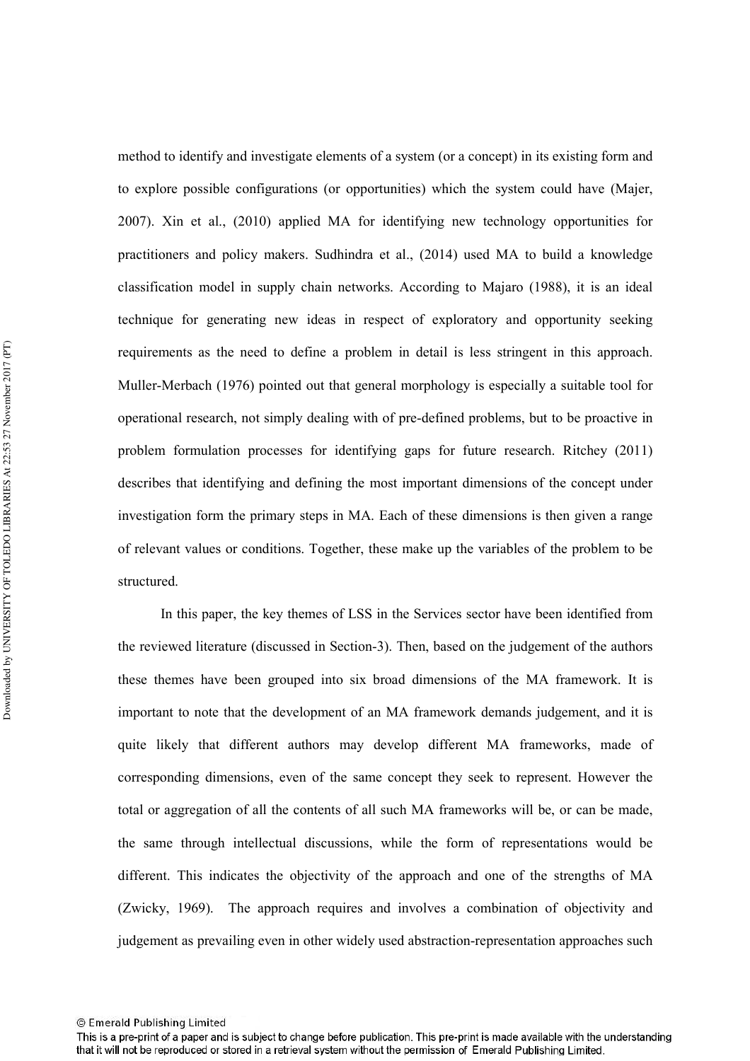method to identify and investigate elements of a system (or a concept) in its existing form and to explore possible configurations (or opportunities) which the system could have (Majer, 2007). Xin et al., (2010) applied MA for identifying new technology opportunities for practitioners and policy makers. Sudhindra et al., (2014) used MA to build a knowledge classification model in supply chain networks. According to Majaro (1988), it is an ideal technique for generating new ideas in respect of exploratory and opportunity seeking requirements as the need to define a problem in detail is less stringent in this approach. Muller-Merbach (1976) pointed out that general morphology is especially a suitable tool for operational research, not simply dealing with of pre/defined problems, but to be proactive in problem formulation processes for identifying gaps for future research. Ritchey (2011) describes that identifying and defining the most important dimensions of the concept under investigation form the primary steps in MA. Each of these dimensions is then given a range of relevant values or conditions. Together, these make up the variables of the problem to be structured.

In this paper, the key themes of LSS in the Services sector have been identified from the reviewed literature (discussed in Section-3). Then, based on the judgement of the authors these themes have been grouped into six broad dimensions of the MA framework. It is important to note that the development of an MA framework demands judgement, and it is quite likely that different authors may develop different MA frameworks, made of corresponding dimensions, even of the same concept they seek to represent. However the total or aggregation of all the contents of all such MA frameworks will be, or can be made, the same through intellectual discussions, while the form of representations would be different. This indicates the objectivity of the approach and one of the strengths of MA (Zwicky, 1969). The approach requires and involves a combination of objectivity and judgement as prevailing even in other widely used abstraction-representation approaches such

<sup>©</sup> Emerald Publishing Limited

This is a pre-print of a paper and is subject to change before publication. This pre-print is made available with the understanding that it will not be reproduced or stored in a retrieval system without the permission of Emerald Publishing Limited.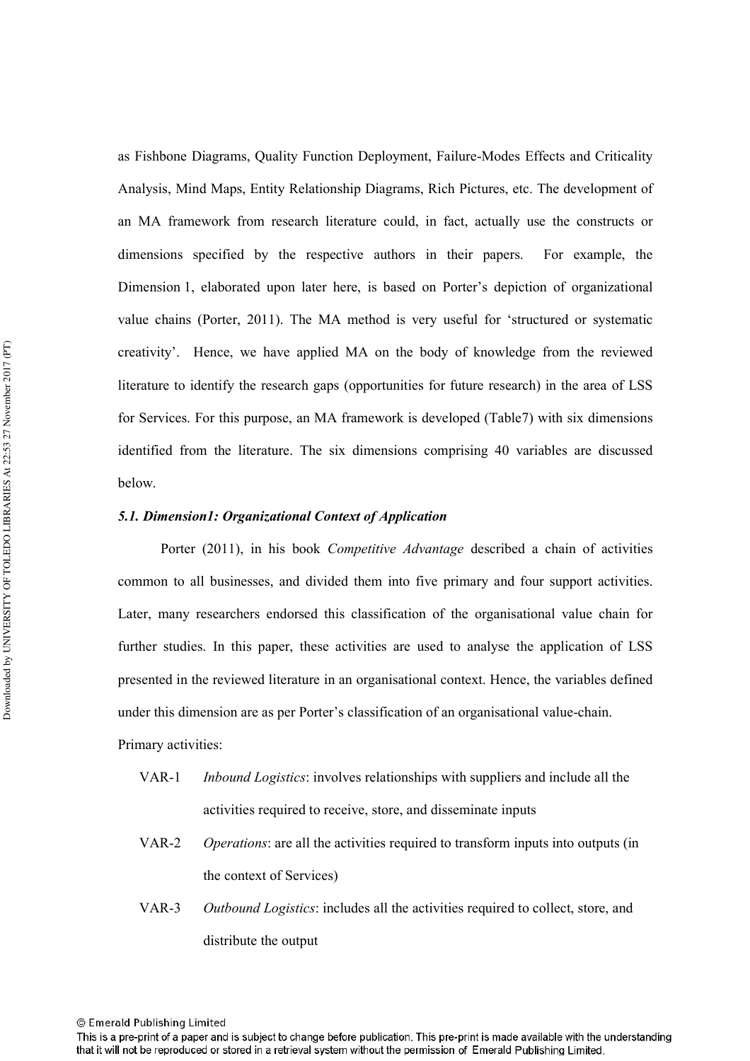as Fishbone Diagrams, Quality Function Deployment, Failure-Modes Effects and Criticality Analysis, Mind Maps, Entity Relationship Diagrams, Rich Pictures, etc. The development of an MA framework from research literature could, in fact, actually use the constructs or dimensions specified by the respective authors in their papers. For example, the Dimension 1, elaborated upon later here, is based on Porter's depiction of organizational value chains (Porter, 2011). The MA method is very useful for 'structured or systematic creativity'. Hence, we have applied MA on the body of knowledge from the reviewed literature to identify the research gaps (opportunities for future research) in the area of LSS for Services. For this purpose, an MA framework is developed (Table7) with six dimensions identified from the literature. The six dimensions comprising 40 variables are discussed below.

#### **5.1. Dimension1: Organizational Context of Application**

Porter (2011), in his book *Competitive Advantage* described a chain of activities common to all businesses, and divided them into five primary and four support activities. Later, many researchers endorsed this classification of the organisational value chain for further studies. In this paper, these activities are used to analyse the application of LSS presented in the reviewed literature in an organisational context. Hence, the variables defined under this dimension are as per Porter's classification of an organisational value-chain. Primary activities:

- **VAR-1** *und Logistics*: involves relationships with suppliers and include all the activities required to receive, store, and disseminate inputs
- VAR-2 *Operations*: are all the activities required to transform inputs into outputs (in the context of Services)
- VAR/3 *:tbound Logistics*: includes all the activities required to collect, store, and distribute the output

This is a pre-print of a paper and is subject to change before publication. This pre-print is made available with the understanding that it will not be reproduced or stored in a retrieval system without the permission of Emerald Publishing Limited.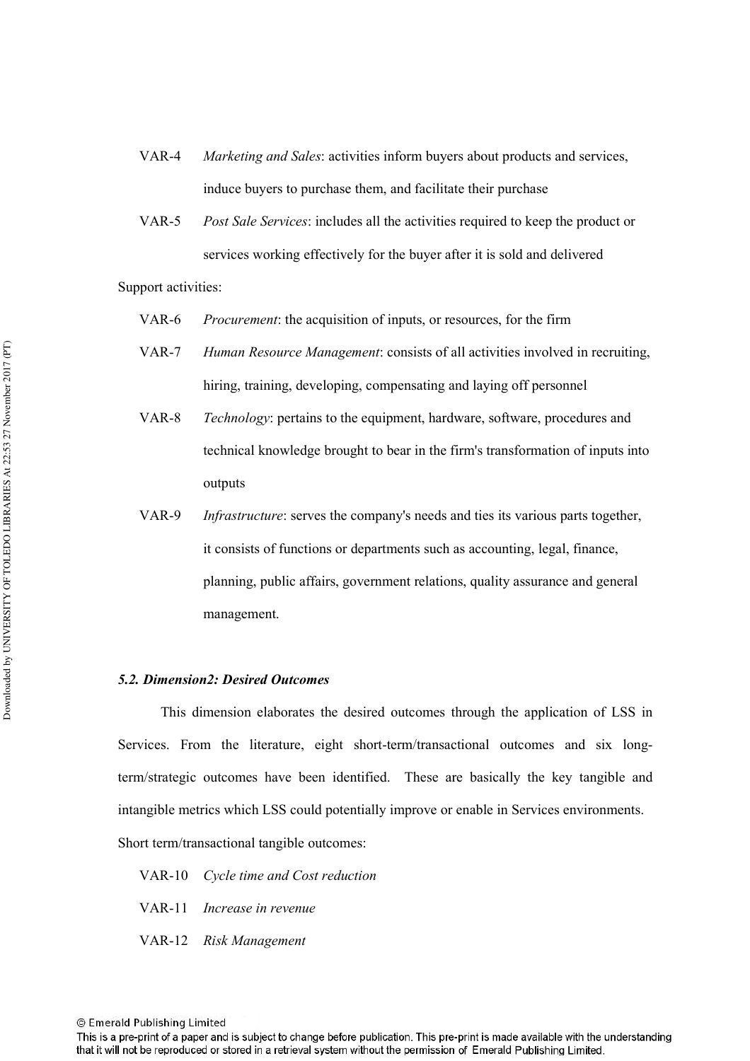- VAR-4 *Marketing and Sales*: activities inform buyers about products and services, induce buyers to purchase them, and facilitate their purchase
- VAR/5 *Post Sale Services:* includes all the activities required to keep the product or services working effectively for the buyer after it is sold and delivered

Support activities:

- VAR/6 *curement*: the acquisition of inputs, or resources, for the firm
- VAR/7 *;*man Resource Management: consists of all activities involved in recruiting, hiring, training, developing, compensating and laying off personnel
- VAR-8 Technology: pertains to the equipment, hardware, software, procedures and technical knowledge brought to bear in the firm's transformation of inputs into outputs
- VAR-9 *Infrastructure*: serves the company's needs and ties its various parts together, it consists of functions or departments such as accounting, legal, finance, planning, public affairs, government relations, quality assurance and general management.

#### **5.2. Dimension2: Desired Outcomes**

This dimension elaborates the desired outcomes through the application of LSS in Services. From the literature, eight short-term/transactional outcomes and six longterm/strategic outcomes have been identified. These are basically the key tangible and intangible metrics which LSS could potentially improve or enable in Services environments. Short term/transactional tangible outcomes:

VAR-10 *Cycle time and Cost reduction* 

VAR-11 *Increase in revenue* 

VAR-12 Risk Management

This is a pre-print of a paper and is subject to change before publication. This pre-print is made available with the understanding that it will not be reproduced or stored in a retrieval system without the permission of Emerald Publishing Limited.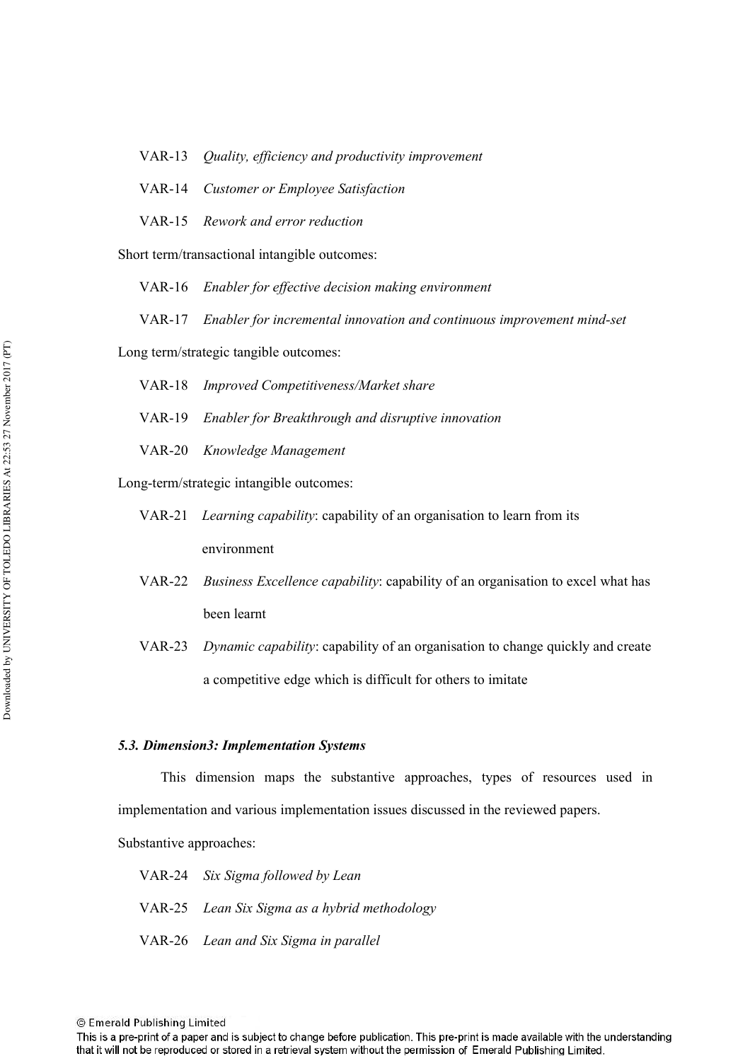- VAR/13 *\$*ality, efficiency and productivity improvement
- **VAR-14** stomer or Employee Satisfaction
- VAR-15 Rework and error reduction

Short term/transactional intangible outcomes:

VAR-16 Enabler for effective decision making environment

VAR-17 Enabler for incremental innovation and continuous improvement mind-set

Long term/strategic tangible outcomes:

- VAR-18 *Improved Competitiveness/Market share*
- VAR-19 Enabler for Breakthrough and disruptive innovation
- VAR-20 *Knowledge Management*

Long-term/strategic intangible outcomes:

- VAR-21 Learning capability: capability of an organisation to learn from its environment
- VAR/22 *(-Business Excellence capability*: capability of an organisation to excel what has been learnt
- VAR-23 *Dynamic capability*: capability of an organisation to change quickly and create a competitive edge which is difficult for others to imitate

#### **5.3. Dimension3: Implementation Systems**

This dimension maps the substantive approaches, types of resources used in implementation and various implementation issues discussed in the reviewed papers.

Substantive approaches:

VAR-24 *Six Sigma followed by Lean* 

VAR-25 Lean Six Sigma as a hybrid methodology

VAR-26 Lean and Six Sigma in parallel

This is a pre-print of a paper and is subject to change before publication. This pre-print is made available with the understanding that it will not be reproduced or stored in a retrieval system without the permission of Emerald Publishing Limited.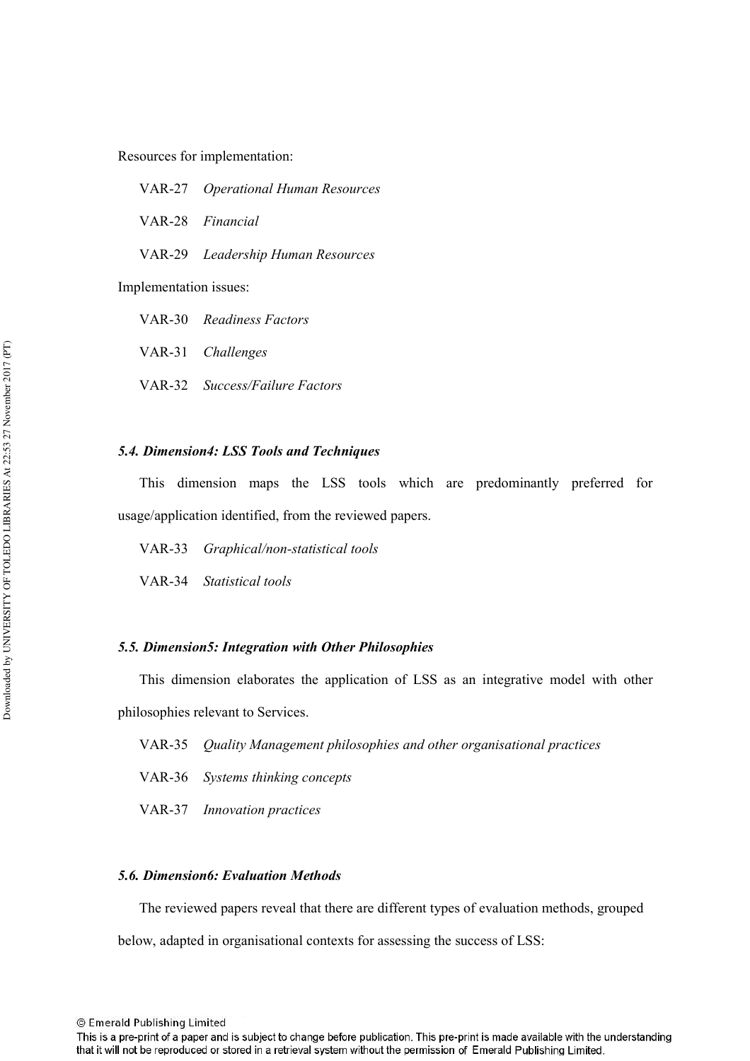Resources for implementation:

|                        | VAR-27 Operational Human Resources |
|------------------------|------------------------------------|
|                        | VAR-28 Financial                   |
|                        | VAR-29 Leadership Human Resources  |
| Implementation issues: |                                    |
|                        | $UAD.20.$ $Decdi$ and $Eccot$      |

VAR-30 Readiness Factors VAR-31 *Challenges* VAR-32 *Success/Failure Factors* 

#### 5.4. Dimension4: LSS Tools and Techniques

This dimension maps the LSS tools which are predominantly preferred for usage/application identified, from the reviewed papers.

VAR-33 *Graphical/non-statistical tools* 

VAR-34 *Statistical tools* 

#### 5.5. Dimension5: Integration with Other Philosophies

This dimension elaborates the application of LSS as an integrative model with other

philosophies relevant to Services.

- VAR/35 *\$*ality Management philosophies and other organisational practices
- VAR-36 *Systems thinking concepts*
- VAR-37 *Innovation practices*

#### **5.6. Dimension6: Evaluation Methods**

The reviewed papers reveal that there are different types of evaluation methods, grouped

below, adapted in organisational contexts for assessing the success of LSS:

This is a pre-print of a paper and is subject to change before publication. This pre-print is made available with the understanding that it will not be reproduced or stored in a retrieval system without the permission of Emerald Publishing Limited.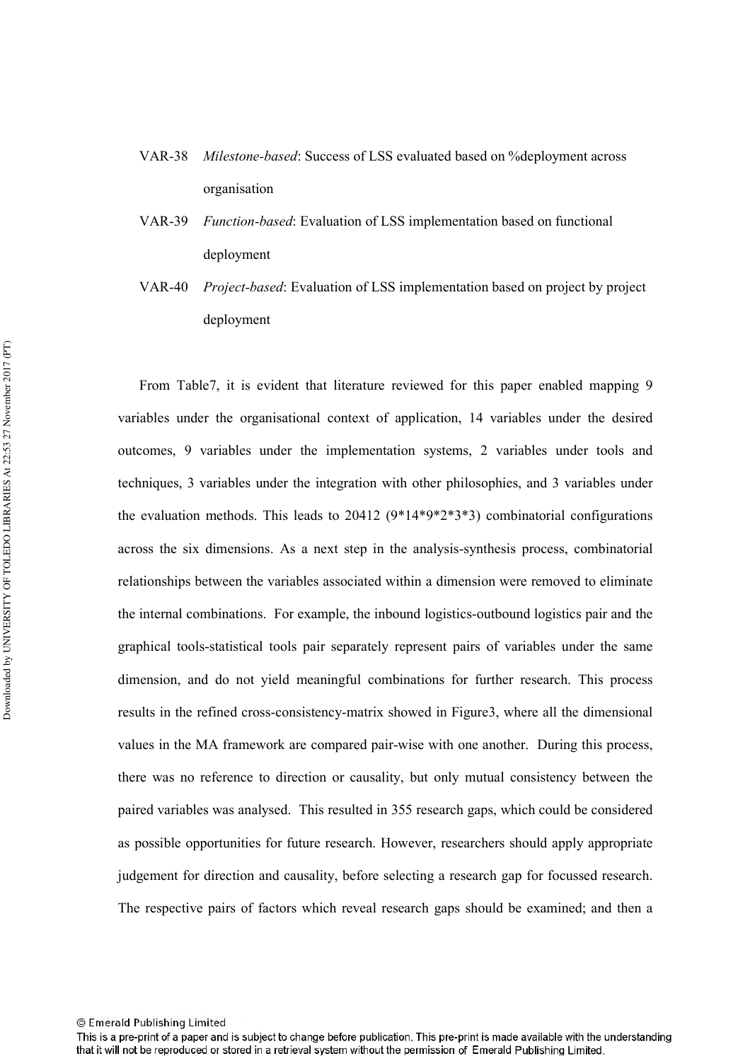- VAR-38 *Milestone-based*: Success of LSS evaluated based on %deployment across organisation
- VAR/39 *0*nction-based: Evaluation of LSS implementation based on functional deployment
- VAR/40 *Project-based*: Evaluation of LSS implementation based on project by project deployment

From Table7, it is evident that literature reviewed for this paper enabled mapping 9 variables under the organisational context of application, 14 variables under the desired outcomes, 9 variables under the implementation systems, 2 variables under tools and techniques, 3 variables under the integration with other philosophies, and 3 variables under the evaluation methods. This leads to 20412 (9\*14\*9\*2\*3\*3) combinatorial configurations across the six dimensions. As a next step in the analysis-synthesis process, combinatorial relationships between the variables associated within a dimension were removed to eliminate the internal combinations. For example, the inbound logistics-outbound logistics pair and the graphical tools-statistical tools pair separately represent pairs of variables under the same dimension, and do not yield meaningful combinations for further research. This process results in the refined cross-consistency-matrix showed in Figure3, where all the dimensional values in the MA framework are compared pair-wise with one another. During this process, there was no reference to direction or causality, but only mutual consistency between the paired variables was analysed. This resulted in 355 research gaps, which could be considered as possible opportunities for future research. However, researchers should apply appropriate judgement for direction and causality, before selecting a research gap for focussed research. The respective pairs of factors which reveal research gaps should be examined; and then a

<sup>©</sup> Emerald Publishing Limited

This is a pre-print of a paper and is subject to change before publication. This pre-print is made available with the understanding that it will not be reproduced or stored in a retrieval system without the permission of Emerald Publishing Limited.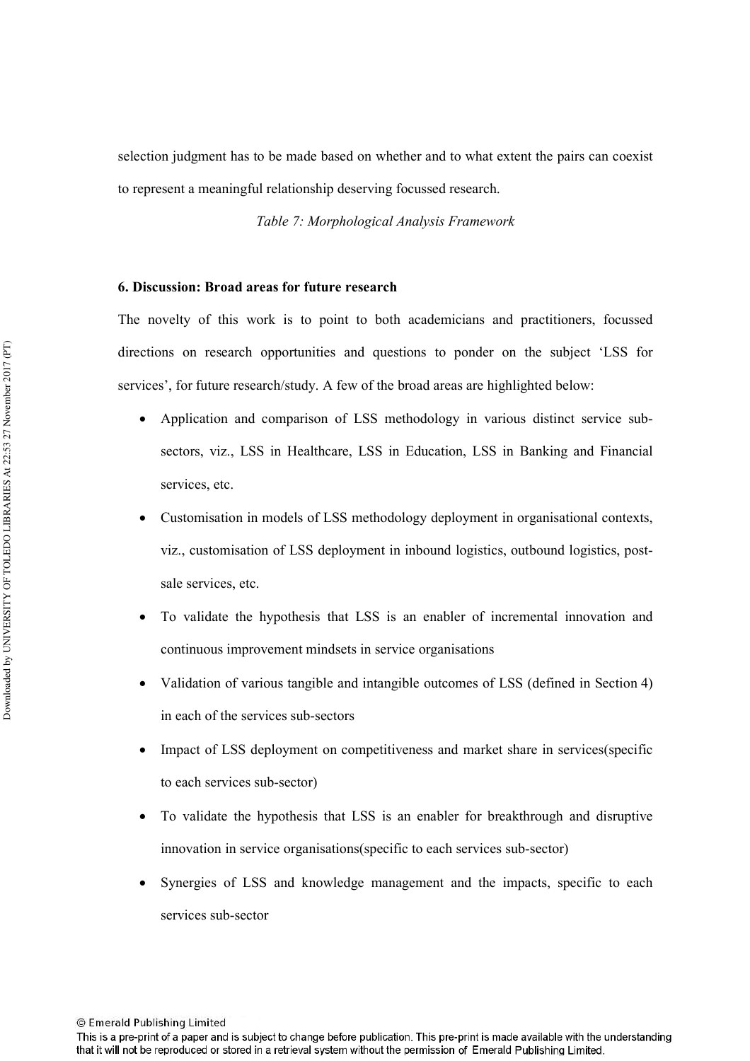selection judgment has to be made based on whether and to what extent the pairs can coexist to represent a meaningful relationship deserving focussed research.

Table 7: Morphological Analysis Framework

#### **6. Discussion: Broad areas for future research**

The novelty of this work is to point to both academicians and practitioners, focussed directions on research opportunities and questions to ponder on the subject 'LSS for services', for future research/study. A few of the broad areas are highlighted below:

- Application and comparison of LSS methodology in various distinct service sub/ sectors, viz., LSS in Healthcare, LSS in Education, LSS in Banking and Financial services, etc.
- Customisation in models of LSS methodology deployment in organisational contexts, viz., customisation of LSS deployment in inbound logistics, outbound logistics, post/ sale services, etc.
- To validate the hypothesis that LSS is an enabler of incremental innovation and continuous improvement mindsets in service organisations
- Validation of various tangible and intangible outcomes of LSS (defined in Section 4) in each of the services sub-sectors
- Impact of LSS deployment on competitiveness and market share in services(specific to each services sub-sector)
- To validate the hypothesis that LSS is an enabler for breakthrough and disruptive innovation in service organisations(specific to each services sub-sector)
- Synergies of LSS and knowledge management and the impacts, specific to each services sub-sector

This is a pre-print of a paper and is subject to change before publication. This pre-print is made available with the understanding that it will not be reproduced or stored in a retrieval system without the permission of Emerald Publishing Limited.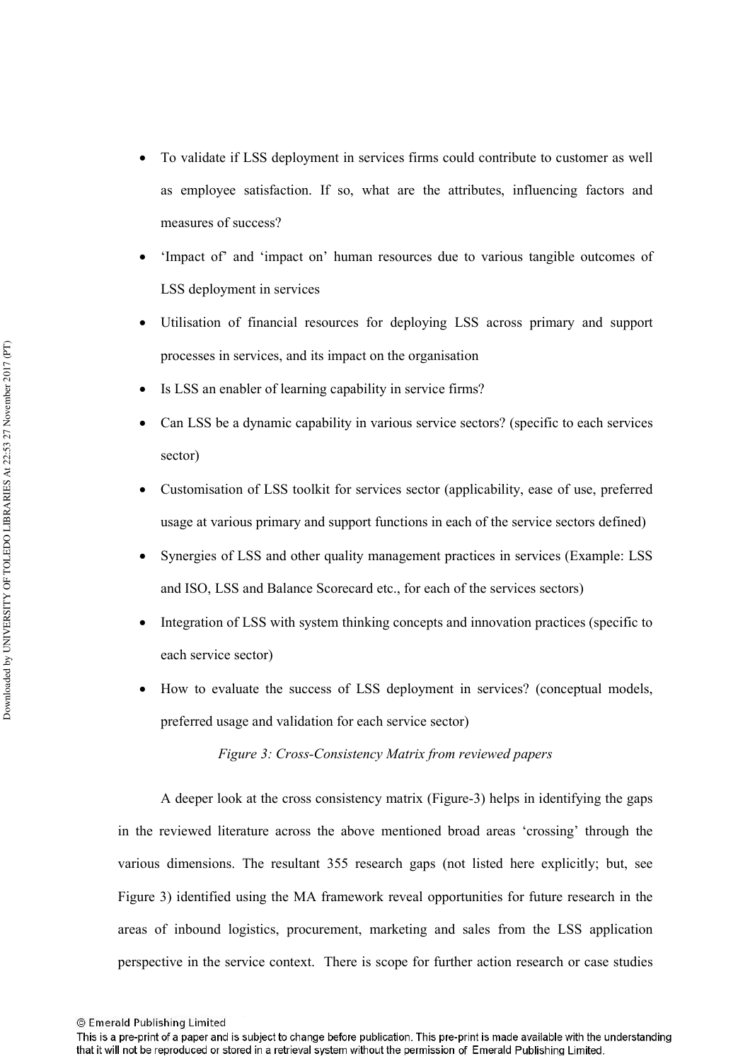- To validate if LSS deployment in services firms could contribute to customer as well as employee satisfaction. If so, what are the attributes, influencing factors and measures of success?
- 'Impact of' and 'impact on' human resources due to various tangible outcomes of LSS deployment in services
- Utilisation of financial resources for deploying LSS across primary and support processes in services, and its impact on the organisation
- Is LSS an enabler of learning capability in service firms?
- Can LSS be a dynamic capability in various service sectors? (specific to each services sector)
- Customisation of LSS toolkit for services sector (applicability, ease of use, preferred usage at various primary and support functions in each of the service sectors defined)
- Synergies of LSS and other quality management practices in services (Example: LSS and ISO, LSS and Balance Scorecard etc., for each of the services sectors)
- Integration of LSS with system thinking concepts and innovation practices (specific to each service sector)
- How to evaluate the success of LSS deployment in services? (conceptual models, preferred usage and validation for each service sector)

Figure 3: Cross-Consistency Matrix from reviewed papers

A deeper look at the cross consistency matrix (Figure/3) helps in identifying the gaps in the reviewed literature across the above mentioned broad areas 'crossing' through the various dimensions. The resultant 355 research gaps (not listed here explicitly; but, see Figure 3) identified using the MA framework reveal opportunities for future research in the areas of inbound logistics, procurement, marketing and sales from the LSS application perspective in the service context. There is scope for further action research or case studies

This is a pre-print of a paper and is subject to change before publication. This pre-print is made available with the understanding that it will not be reproduced or stored in a retrieval system without the permission of Emerald Publishing Limited.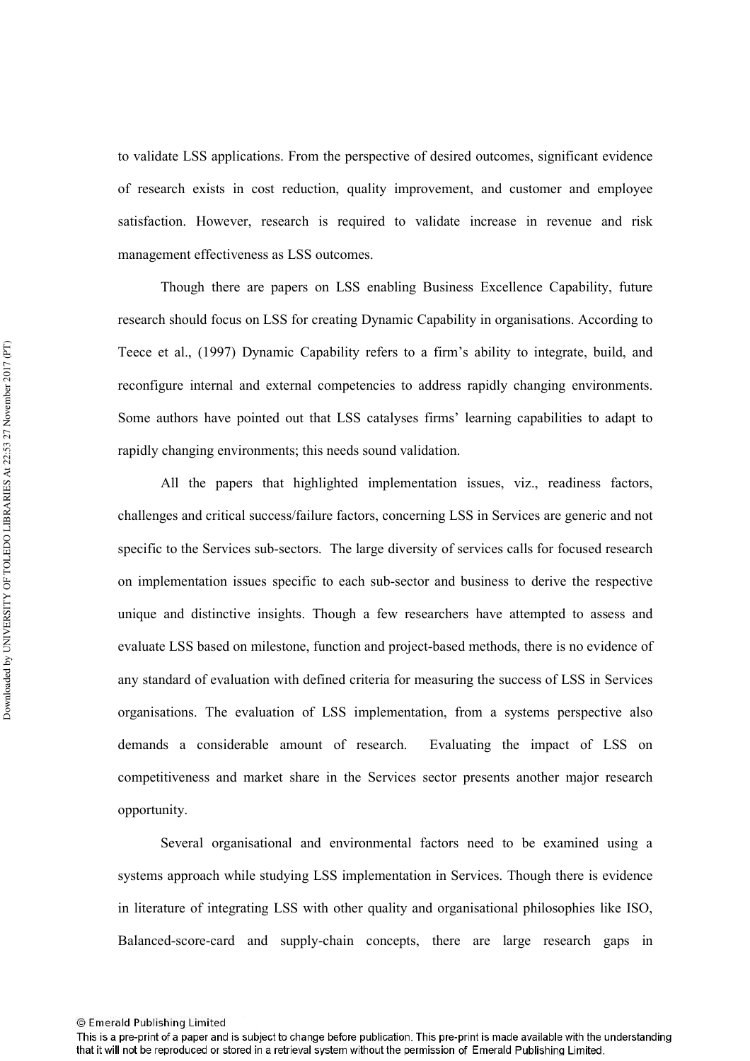to validate LSS applications. From the perspective of desired outcomes, significant evidence of research exists in cost reduction, quality improvement, and customer and employee satisfaction. However, research is required to validate increase in revenue and risk management effectiveness as LSS outcomes.

Though there are papers on LSS enabling Business Excellence Capability, future research should focus on LSS for creating Dynamic Capability in organisations. According to Teece et al., (1997) Dynamic Capability refers to a firm's ability to integrate, build, and reconfigure internal and external competencies to address rapidly changing environments. Some authors have pointed out that LSS catalyses firms' learning capabilities to adapt to rapidly changing environments; this needs sound validation.

All the papers that highlighted implementation issues, viz., readiness factors, challenges and critical success/failure factors, concerning LSS in Services are generic and not specific to the Services sub-sectors. The large diversity of services calls for focused research on implementation issues specific to each sub/sector and business to derive the respective unique and distinctive insights. Though a few researchers have attempted to assess and evaluate LSS based on milestone, function and project-based methods, there is no evidence of any standard of evaluation with defined criteria for measuring the success of LSS in Services organisations. The evaluation of LSS implementation, from a systems perspective also demands a considerable amount of research. Evaluating the impact of LSS on competitiveness and market share in the Services sector presents another major research opportunity.

Several organisational and environmental factors need to be examined using a systems approach while studying LSS implementation in Services. Though there is evidence in literature of integrating LSS with other quality and organisational philosophies like ISO, Balanced-score-card and supply-chain concepts, there are large research gaps in

<sup>©</sup> Emerald Publishing Limited

This is a pre-print of a paper and is subject to change before publication. This pre-print is made available with the understanding that it will not be reproduced or stored in a retrieval system without the permission of Emerald Publishing Limited.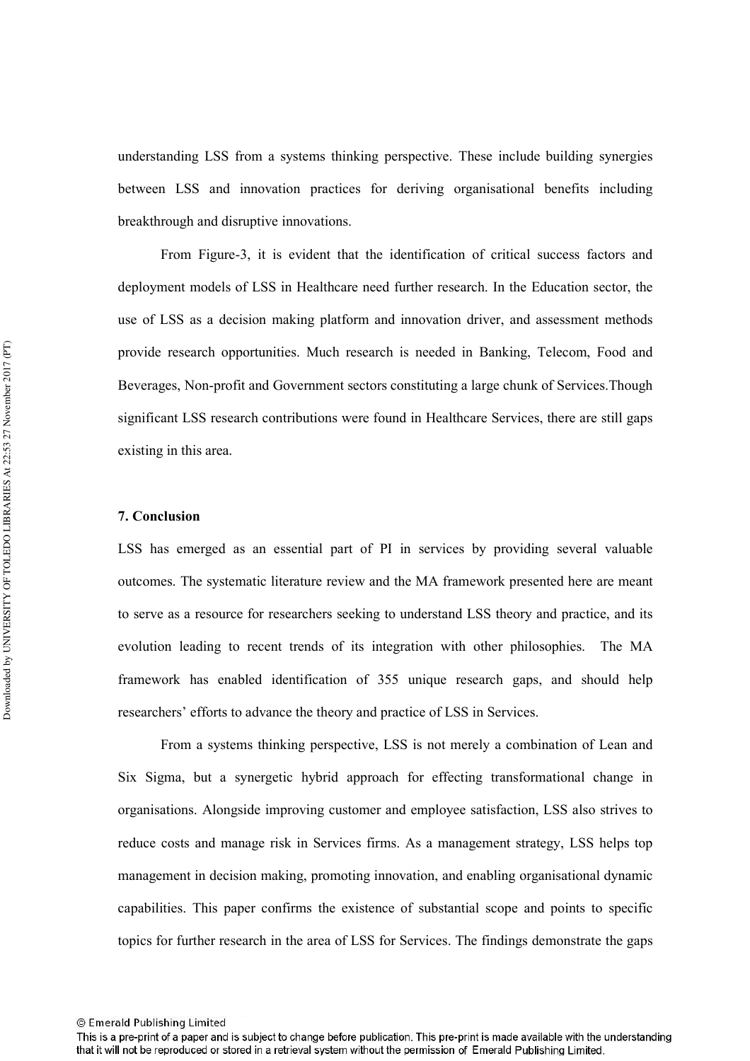understanding LSS from a systems thinking perspective. These include building synergies between LSS and innovation practices for deriving organisational benefits including breakthrough and disruptive innovations.

From Figure-3, it is evident that the identification of critical success factors and deployment models of LSS in Healthcare need further research. In the Education sector, the use of LSS as a decision making platform and innovation driver, and assessment methods provide research opportunities. Much research is needed in Banking, Telecom, Food and Beverages, Non-profit and Government sectors constituting a large chunk of Services. Though significant LSS research contributions were found in Healthcare Services, there are still gaps existing in this area.

#### **7. Conclusion**

LSS has emerged as an essential part of PI in services by providing several valuable outcomes. The systematic literature review and the MA framework presented here are meant to serve as a resource for researchers seeking to understand LSS theory and practice, and its evolution leading to recent trends of its integration with other philosophies. The MA framework has enabled identification of 355 unique research gaps, and should help researchers' efforts to advance the theory and practice of LSS in Services.

From a systems thinking perspective, LSS is not merely a combination of Lean and Six Sigma, but a synergetic hybrid approach for effecting transformational change in organisations. Alongside improving customer and employee satisfaction, LSS also strives to reduce costs and manage risk in Services firms. As a management strategy, LSS helps top management in decision making, promoting innovation, and enabling organisational dynamic capabilities. This paper confirms the existence of substantial scope and points to specific topics for further research in the area of LSS for Services. The findings demonstrate the gaps

This is a pre-print of a paper and is subject to change before publication. This pre-print is made available with the understanding that it will not be reproduced or stored in a retrieval system without the permission of Emerald Publishing Limited.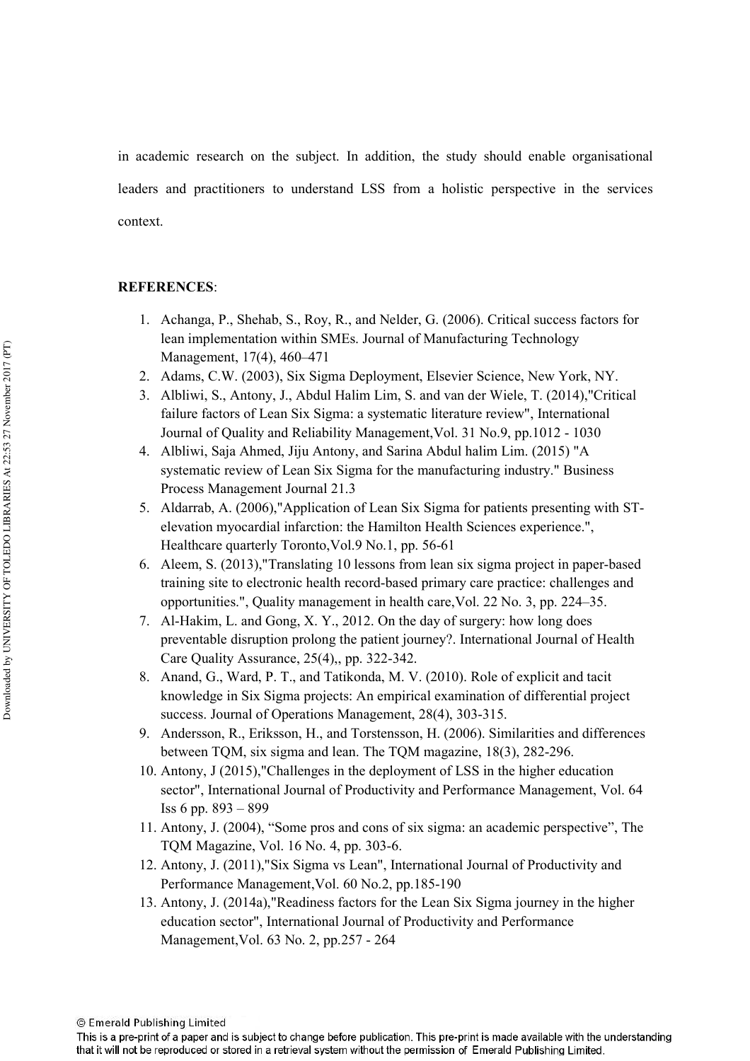in academic research on the subject. In addition, the study should enable organisational leaders and practitioners to understand LSS from a holistic perspective in the services context.

#### **REFERENCES:**

- 1. Achanga, P., Shehab, S., Roy, R., and Nelder, G. (2006). Critical success factors for lean implementation within SMEs. Journal of Manufacturing Technology Management, 17(4), 460–471
- 2. Adams, C.W. (2003), Six Sigma Deployment, Elsevier Science, New York, NY.
- 3. Albliwi, S., Antony, J., Abdul Halim Lim, S. and van der Wiele, T. (2014),"Critical failure factors of Lean Six Sigma: a systematic literature review", International Journal of Quality and Reliability Management, Vol. 31 No.9, pp.1012 - 1030
- 4. Albliwi, Saja Ahmed, Jiju Antony, and Sarina Abdul halim Lim. (2015) "A systematic review of Lean Six Sigma for the manufacturing industry." Business Process Management Journal 21.3
- 5. Aldarrab, A. (2006),"Application of Lean Six Sigma for patients presenting with ST/ elevation myocardial infarction: the Hamilton Health Sciences experience.", Healthcare quarterly Toronto, Vol.9 No.1, pp. 56-61
- 6. Aleem, S. (2013), "Translating 10 lessons from lean six sigma project in paper-based training site to electronic health record-based primary care practice: challenges and opportunities.", Quality management in health care,Vol. 22 No. 3, pp. 224–35.
- 7. Al-Hakim, L. and Gong, X. Y., 2012. On the day of surgery: how long does preventable disruption prolong the patient journey?. International Journal of Health Care Quality Assurance,  $25(4)$ ,, pp. 322-342.
- 8. Anand, G., Ward, P. T., and Tatikonda, M. V. (2010). Role of explicit and tacit knowledge in Six Sigma projects: An empirical examination of differential project success. Journal of Operations Management, 28(4), 303-315.
- 9. Andersson, R., Eriksson, H., and Torstensson, H. (2006). Similarities and differences between TQM, six sigma and lean. The TQM magazine,  $18(3)$ ,  $282-296$ .
- 10. Antony, J (2015),"Challenges in the deployment of LSS in the higher education sector", International Journal of Productivity and Performance Management, Vol. 64 Iss 6 pp. 893 – 899
- 11. Antony, J. (2004), "Some pros and cons of six sigma: an academic perspective", The TQM Magazine, Vol. 16 No. 4, pp. 303-6.
- 12. Antony, J. (2011),"Six Sigma vs Lean", International Journal of Productivity and Performance Management, Vol. 60 No.2, pp.185-190
- 13. Antony, J. (2014a),"Readiness factors for the Lean Six Sigma journey in the higher education sector", International Journal of Productivity and Performance Management, Vol. 63 No. 2, pp. 257 - 264

This is a pre-print of a paper and is subject to change before publication. This pre-print is made available with the understanding that it will not be reproduced or stored in a retrieval system without the permission of Emerald Publishing Limited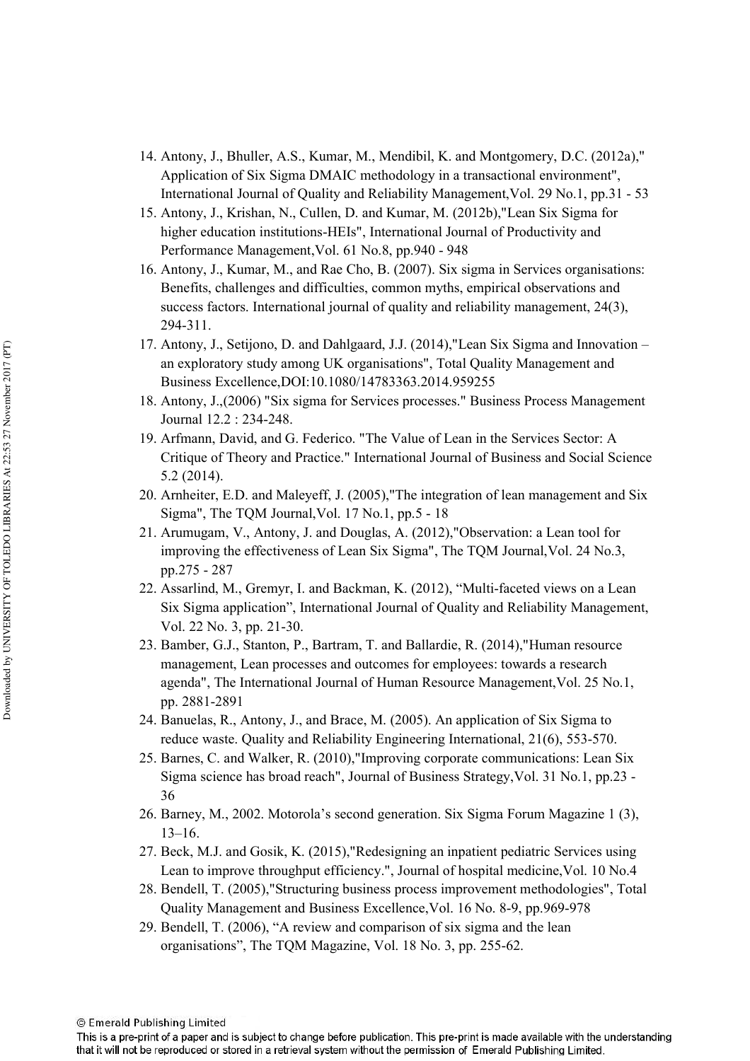- 14. Antony, J., Bhuller, A.S., Kumar, M., Mendibil, K. and Montgomery, D.C. (2012a)," Application of Six Sigma DMAIC methodology in a transactional environment", International Journal of Quality and Reliability Management, Vol. 29 No.1, pp.31 - 53
- 15. Antony, J., Krishan, N., Cullen, D. and Kumar, M. (2012b),"Lean Six Sigma for higher education institutions-HEIs", International Journal of Productivity and Performance Management, Vol. 61 No.8, pp.940 - 948
- 16. Antony, J., Kumar, M., and Rae Cho, B. (2007). Six sigma in Services organisations: Benefits, challenges and difficulties, common myths, empirical observations and success factors. International journal of quality and reliability management, 24(3), 294-311.
- 17. Antony, J., Setijono, D. and Dahlgaard, J.J. (2014),"Lean Six Sigma and Innovation an exploratory study among UK organisations", Total Quality Management and Business Excellence,DOI:10.1080/14783363.2014.959255
- 18. Antony, J.,(2006) "Six sigma for Services processes." Business Process Management Journal 12.2 : 234-248.
- 19. Arfmann, David, and G. Federico. "The Value of Lean in the Services Sector: A Critique of Theory and Practice." International Journal of Business and Social Science 5.2 (2014).
- 20. Arnheiter, E.D. and Maleyeff, J. (2005),"The integration of lean management and Six Sigma", The TQM Journal, Vol.  $17$  No.  $1$ , pp.  $5 - 18$
- 21. Arumugam, V., Antony, J. and Douglas, A. (2012),"Observation: a Lean tool for improving the effectiveness of Lean Six Sigma", The TQM Journal,Vol. 24 No.3, pp.275 - 287
- 22. Assarlind, M., Gremyr, I. and Backman, K. (2012), "Multi-faceted views on a Lean Six Sigma application", International Journal of Quality and Reliability Management, Vol. 22 No. 3, pp. 21-30.
- 23. Bamber, G.J., Stanton, P., Bartram, T. and Ballardie, R. (2014),"Human resource management, Lean processes and outcomes for employees: towards a research agenda", The International Journal of Human Resource Management,Vol. 25 No.1, pp. 2881-2891
- 24. Banuelas, R., Antony, J., and Brace, M. (2005). An application of Six Sigma to reduce waste. Quality and Reliability Engineering International,  $21(6)$ , 553-570.
- 25. Barnes, C. and Walker, R. (2010),"Improving corporate communications: Lean Six Sigma science has broad reach", Journal of Business Strategy, Vol. 31 No.1, pp.23 -36
- 26. Barney, M., 2002. Motorola's second generation. Six Sigma Forum Magazine 1 (3), 13–16.
- 27. Beck, M.J. and Gosik, K. (2015),"Redesigning an inpatient pediatric Services using Lean to improve throughput efficiency.", Journal of hospital medicine,Vol. 10 No.4
- 28. Bendell, T. (2005),"Structuring business process improvement methodologies", Total Quality Management and Business Excellence, Vol. 16 No. 8-9, pp.969-978
- 29. Bendell, T. (2006), "A review and comparison of six sigma and the lean organisations", The TQM Magazine, Vol. 18 No. 3, pp. 255-62.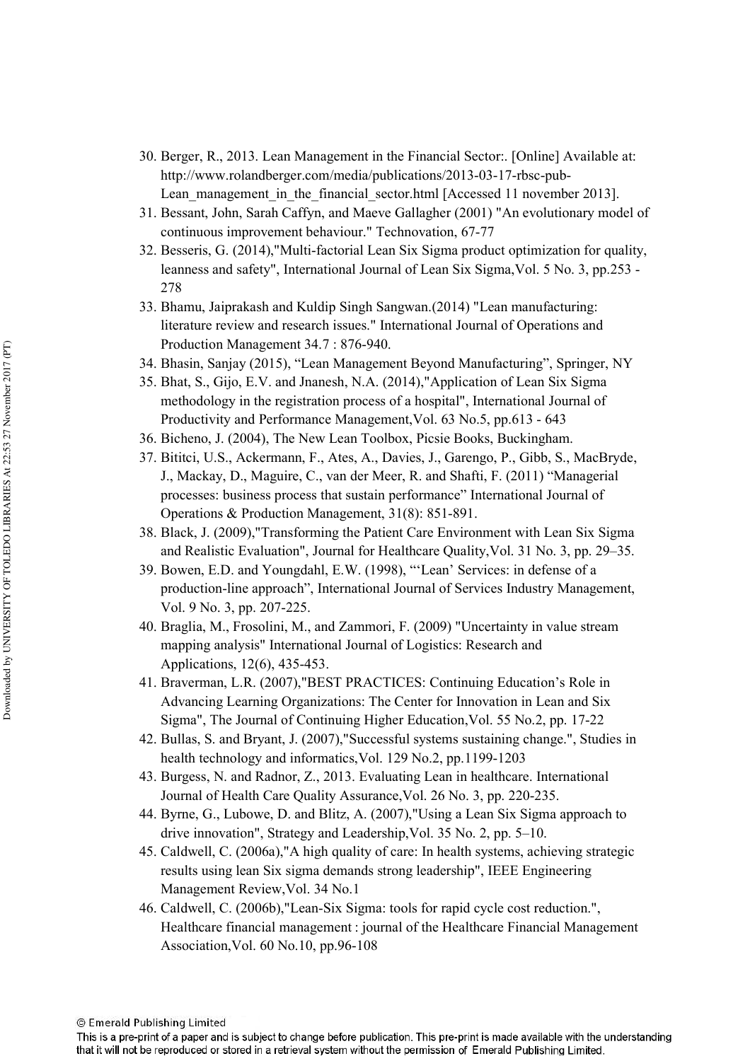- 30. Berger, R., 2013. Lean Management in the Financial Sector:. [Online] Available at: http://www.rolandberger.com/media/publications/2013-03-17-rbsc-pub-Lean management in the financial sector.html [Accessed 11 november 2013].
- 31. Bessant, John, Sarah Caffyn, and Maeve Gallagher (2001) "An evolutionary model of continuous improvement behaviour." Technovation, 67-77
- 32. Besseris, G. (2014), "Multi-factorial Lean Six Sigma product optimization for quality, leanness and safety", International Journal of Lean Six Sigma, Vol. 5 No. 3, pp.253 -278
- 33. Bhamu, Jaiprakash and Kuldip Singh Sangwan.(2014) "Lean manufacturing: literature review and research issues." International Journal of Operations and Production Management 34.7: 876-940.
- 34. Bhasin, Sanjay (2015), "Lean Management Beyond Manufacturing", Springer, NY
- 35. Bhat, S., Gijo, E.V. and Jnanesh, N.A. (2014),"Application of Lean Six Sigma methodology in the registration process of a hospital", International Journal of Productivity and Performance Management, Vol. 63 No.5, pp.613 - 643
- 36. Bicheno, J. (2004), The New Lean Toolbox, Picsie Books, Buckingham.
- 37. Bititci, U.S., Ackermann, F., Ates, A., Davies, J., Garengo, P., Gibb, S., MacBryde, J., Mackay, D., Maguire, C., van der Meer, R. and Shafti, F. (2011) "Managerial processes: business process that sustain performance" International Journal of Operations & Production Management,  $31(8)$ : 851-891.
- 38. Black, J. (2009),"Transforming the Patient Care Environment with Lean Six Sigma and Realistic Evaluation", Journal for Healthcare Quality,Vol. 31 No. 3, pp. 29–35.
- 39. Bowen, E.D. and Youngdahl, E.W. (1998), "'Lean' Services: in defense of a production-line approach", International Journal of Services Industry Management, Vol. 9 No. 3, pp. 207-225.
- 40. Braglia, M., Frosolini, M., and Zammori, F. (2009) "Uncertainty in value stream mapping analysis" International Journal of Logistics: Research and Applications, 12(6), 435-453.
- 41. Braverman, L.R. (2007),"BEST PRACTICES: Continuing Education's Role in Advancing Learning Organizations: The Center for Innovation in Lean and Six Sigma", The Journal of Continuing Higher Education, Vol. 55 No.2, pp. 17-22
- 42. Bullas, S. and Bryant, J. (2007),"Successful systems sustaining change.", Studies in health technology and informatics, Vol. 129 No.2, pp.1199-1203
- 43. Burgess, N. and Radnor, Z., 2013. Evaluating Lean in healthcare. International Journal of Health Care Quality Assurance, Vol. 26 No. 3, pp. 220-235.
- 44. Byrne, G., Lubowe, D. and Blitz, A. (2007),"Using a Lean Six Sigma approach to drive innovation", Strategy and Leadership,Vol. 35 No. 2, pp. 5–10.
- 45. Caldwell, C. (2006a),"A high quality of care: In health systems, achieving strategic results using lean Six sigma demands strong leadership", IEEE Engineering Management Review,Vol. 34 No.1
- 46. Caldwell, C. (2006b), "Lean-Six Sigma: tools for rapid cycle cost reduction.". Healthcare financial management : journal of the Healthcare Financial Management Association, Vol.  $60$  No.  $10$ , pp.  $96-108$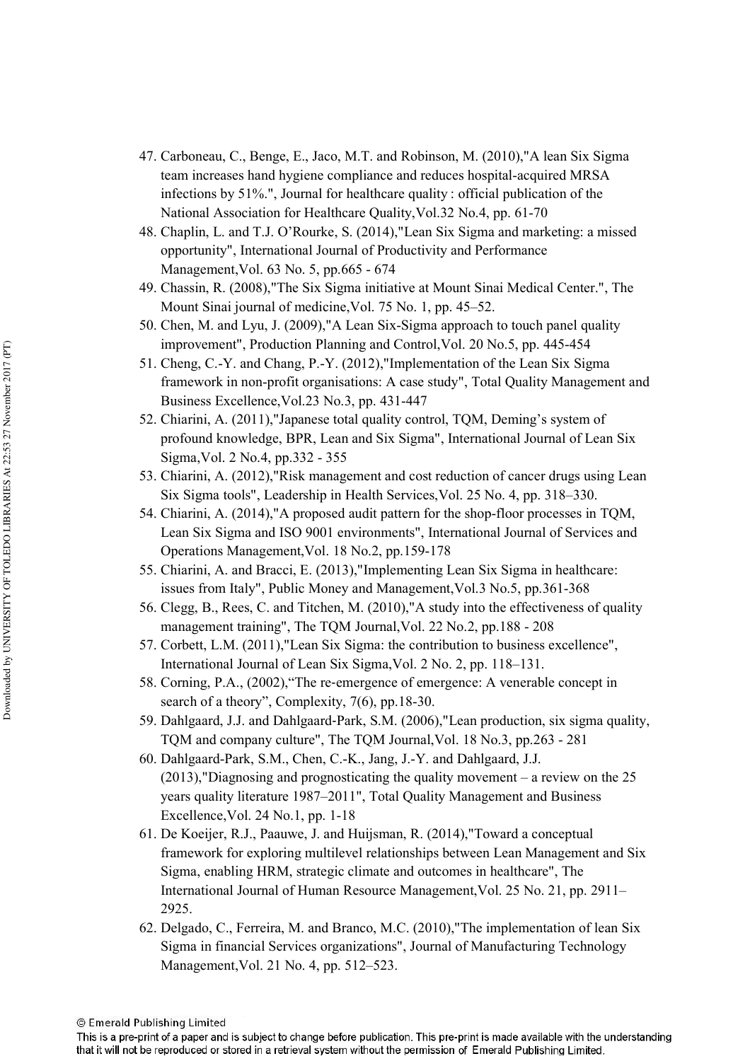- 47. Carboneau, C., Benge, E., Jaco, M.T. and Robinson, M. (2010),"A lean Six Sigma team increases hand hygiene compliance and reduces hospital-acquired MRSA infections by 51%.", Journal for healthcare quality : official publication of the National Association for Healthcare Quality, Vol. 32 No. 4, pp. 61-70
- 48. Chaplin, L. and T.J. O'Rourke, S. (2014),"Lean Six Sigma and marketing: a missed opportunity", International Journal of Productivity and Performance Management, Vol. 63 No. 5, pp.665 - 674
- 49. Chassin, R. (2008),"The Six Sigma initiative at Mount Sinai Medical Center.", The Mount Sinai journal of medicine,Vol. 75 No. 1, pp. 45–52.
- 50. Chen, M. and Lyu, J. (2009),"A Lean Six-Sigma approach to touch panel quality improvement", Production Planning and Control, Vol. 20 No.5, pp. 445-454
- 51. Cheng, C.-Y. and Chang, P.-Y. (2012),"Implementation of the Lean Six Sigma framework in non-profit organisations: A case study", Total Quality Management and Business Excellence, Vol.23 No.3, pp. 431-447
- 52. Chiarini, A. (2011),"Japanese total quality control, TQM, Deming's system of profound knowledge, BPR, Lean and Six Sigma", International Journal of Lean Six Sigma, Vol. 2 No. 4, pp. 332 - 355
- 53. Chiarini, A. (2012),"Risk management and cost reduction of cancer drugs using Lean Six Sigma tools", Leadership in Health Services,Vol. 25 No. 4, pp. 318–330.
- 54. Chiarini, A. (2014),"A proposed audit pattern for the shop/floor processes in TQM, Lean Six Sigma and ISO 9001 environments", International Journal of Services and Operations Management, Vol. 18 No.2, pp.159-178
- 55. Chiarini, A. and Bracci, E. (2013),"Implementing Lean Six Sigma in healthcare: issues from Italy", Public Money and Management, Vol.3 No.5, pp.361-368
- 56. Clegg, B., Rees, C. and Titchen, M. (2010),"A study into the effectiveness of quality management training", The TQM Journal, Vol. 22 No.2, pp.188 - 208
- 57. Corbett, L.M. (2011),"Lean Six Sigma: the contribution to business excellence", International Journal of Lean Six Sigma,Vol. 2 No. 2, pp. 118–131.
- 58. Corning, P.A., (2002), "The re-emergence of emergence: A venerable concept in search of a theory", Complexity,  $7(6)$ , pp. 18-30.
- 59. Dahlgaard, J.J. and Dahlgaard ‐Park, S.M. (2006),"Lean production, six sigma quality, TQM and company culture", The TQM Journal, Vol. 18 No.3, pp.263 - 281
- 60. Dahlgaard-Park, S.M., Chen, C.-K., Jang, J.-Y. and Dahlgaard, J.J. (2013),"Diagnosing and prognosticating the quality movement – a review on the 25 years quality literature 1987–2011", Total Quality Management and Business Excellence, Vol. 24 No. 1, pp.  $1-18$
- 61. De Koeijer, R.J., Paauwe, J. and Huijsman, R. (2014),"Toward a conceptual framework for exploring multilevel relationships between Lean Management and Six Sigma, enabling HRM, strategic climate and outcomes in healthcare", The International Journal of Human Resource Management,Vol. 25 No. 21, pp. 2911– 2925.
- 62. Delgado, C., Ferreira, M. and Branco, M.C. (2010),"The implementation of lean Six Sigma in financial Services organizations", Journal of Manufacturing Technology Management,Vol. 21 No. 4, pp. 512–523.

This is a pre-print of a paper and is subject to change before publication. This pre-print is made available with the understanding that it will not be reproduced or stored in a retrieval system without the permission of Emerald Publishing Limited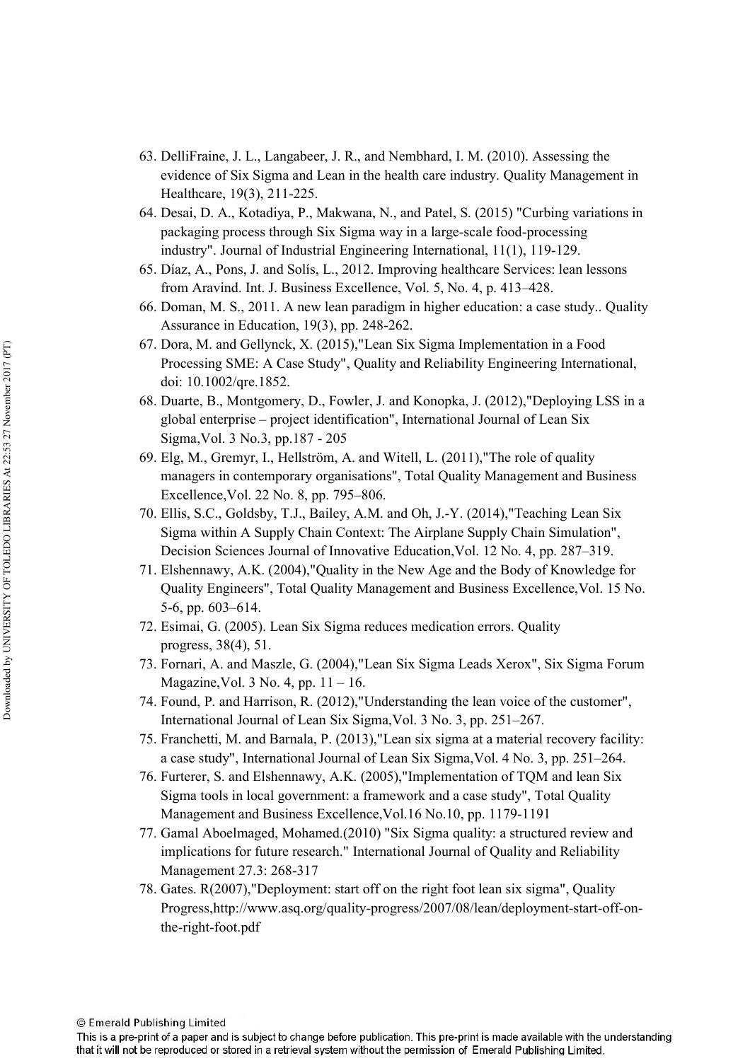- 63. DelliFraine, J. L., Langabeer, J. R., and Nembhard, I. M. (2010). Assessing the evidence of Six Sigma and Lean in the health care industry. Quality Management in Healthcare, 19(3), 211-225.
- 64. Desai, D. A., Kotadiya, P., Makwana, N., and Patel, S. (2015) "Curbing variations in packaging process through Six Sigma way in a large-scale food-processing industry". Journal of Industrial Engineering International,  $11(1)$ ,  $119-129$ .
- 65. Díaz, A., Pons, J. and Solís, L., 2012. Improving healthcare Services: lean lessons from Aravind. Int. J. Business Excellence, Vol. 5, No. 4, p. 413–428.
- 66. Doman, M. S., 2011. A new lean paradigm in higher education: a case study.. Quality Assurance in Education,  $19(3)$ , pp.  $248-262$ .
- 67. Dora, M. and Gellynck, X. (2015),"Lean Six Sigma Implementation in a Food Processing SME: A Case Study", Quality and Reliability Engineering International, doi: 10.1002/qre.1852.
- 68. Duarte, B., Montgomery, D., Fowler, J. and Konopka, J. (2012),"Deploying LSS in a global enterprise – project identification", International Journal of Lean Six Sigma, Vol. 3 No. 3, pp. 187 - 205
- 69. Elg, M., Gremyr, I., Hellström, A. and Witell, L. (2011),"The role of quality managers in contemporary organisations", Total Quality Management and Business Excellence,Vol. 22 No. 8, pp. 795–806.
- 70. Ellis, S.C., Goldsby, T.J., Bailey, A.M. and Oh, J.-Y. (2014), Teaching Lean Six Sigma within A Supply Chain Context: The Airplane Supply Chain Simulation", Decision Sciences Journal of Innovative Education,Vol. 12 No. 4, pp. 287–319.
- 71. Elshennawy, A.K. (2004),"Quality in the New Age and the Body of Knowledge for Quality Engineers", Total Quality Management and Business Excellence,Vol. 15 No. 5-6, pp. 603-614.
- 72. Esimai, G. (2005). Lean Six Sigma reduces medication errors. Quality progress, 38(4), 51.
- 73. Fornari, A. and Maszle, G. (2004),"Lean Six Sigma Leads Xerox", Six Sigma Forum Magazine,Vol. 3 No. 4, pp. 11 – 16.
- 74. Found, P. and Harrison, R. (2012),"Understanding the lean voice of the customer", International Journal of Lean Six Sigma,Vol. 3 No. 3, pp. 251–267.
- 75. Franchetti, M. and Barnala, P. (2013),"Lean six sigma at a material recovery facility: a case study", International Journal of Lean Six Sigma,Vol. 4 No. 3, pp. 251–264.
- 76. Furterer, S. and Elshennawy, A.K. (2005),"Implementation of TQM and lean Six Sigma tools in local government: a framework and a case study", Total Quality Management and Business Excellence, Vol. 16 No. 10, pp. 1179-1191
- 77. Gamal Aboelmaged, Mohamed.(2010) "Six Sigma quality: a structured review and implications for future research." International Journal of Quality and Reliability Management 27.3: 268-317
- 78. Gates. R(2007),"Deployment: start off on the right foot lean six sigma", Quality Progress.http://www.asq.org/quality-progress/2007/08/lean/deployment-start-off-onthe-right-foot.pdf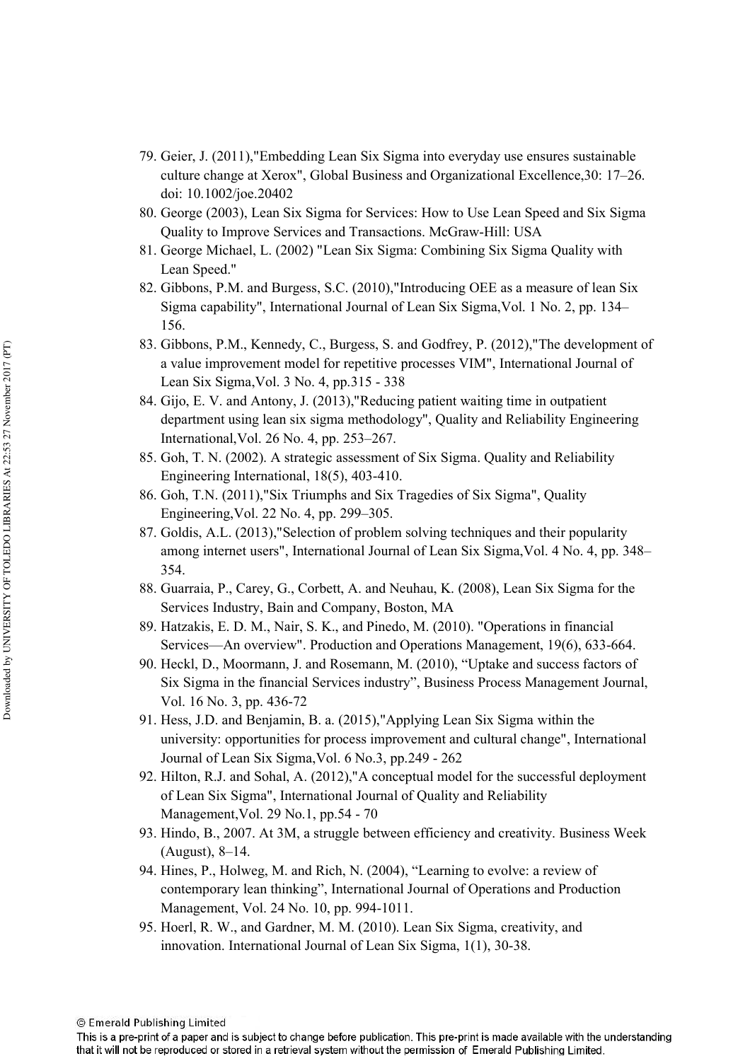- 79. Geier, J. (2011),"Embedding Lean Six Sigma into everyday use ensures sustainable culture change at Xerox", Global Business and Organizational Excellence,30: 17–26. doi: 10.1002/joe.20402
- 80. George (2003), Lean Six Sigma for Services: How to Use Lean Speed and Six Sigma Quality to Improve Services and Transactions. McGraw/Hill: USA
- 81. George Michael, L. (2002) "Lean Six Sigma: Combining Six Sigma Quality with Lean Speed."
- 82. Gibbons, P.M. and Burgess, S.C. (2010),"Introducing OEE as a measure of lean Six Sigma capability", International Journal of Lean Six Sigma,Vol. 1 No. 2, pp. 134– 156.
- 83. Gibbons, P.M., Kennedy, C., Burgess, S. and Godfrey, P. (2012),"The development of a value improvement model for repetitive processes VIM", International Journal of Lean Six Sigma, Vol.  $3$  No.  $4$ , pp.  $315 - 338$
- 84. Gijo, E. V. and Antony, J. (2013),"Reducing patient waiting time in outpatient department using lean six sigma methodology", Quality and Reliability Engineering International,Vol. 26 No. 4, pp. 253–267.
- 85. Goh, T. N. (2002). A strategic assessment of Six Sigma. Quality and Reliability Engineering International,  $18(5)$ ,  $403-410$ .
- 86. Goh, T.N. (2011),"Six Triumphs and Six Tragedies of Six Sigma", Quality Engineering,Vol. 22 No. 4, pp. 299–305.
- 87. Goldis, A.L. (2013),"Selection of problem solving techniques and their popularity among internet users", International Journal of Lean Six Sigma,Vol. 4 No. 4, pp. 348– 354.
- 88. Guarraia, P., Carey, G., Corbett, A. and Neuhau, K. (2008), Lean Six Sigma for the Services Industry, Bain and Company, Boston, MA
- 89. Hatzakis, E. D. M., Nair, S. K., and Pinedo, M. (2010). "Operations in financial Services—An overview". Production and Operations Management, 19(6), 633-664.
- 90. Heckl, D., Moormann, J. and Rosemann, M. (2010), "Uptake and success factors of Six Sigma in the financial Services industry", Business Process Management Journal, Vol. 16 No. 3, pp. 436-72
- 91. Hess, J.D. and Benjamin, B. a. (2015),"Applying Lean Six Sigma within the university: opportunities for process improvement and cultural change", International Journal of Lean Six Sigma, Vol. 6 No.3, pp.249 - 262
- 92. Hilton, R.J. and Sohal, A. (2012),"A conceptual model for the successful deployment of Lean Six Sigma", International Journal of Quality and Reliability Management, Vol. 29 No. 1, pp.  $54 - 70$
- 93. Hindo, B., 2007. At 3M, a struggle between efficiency and creativity. Business Week (August), 8–14.
- 94. Hines, P., Holweg, M. and Rich, N. (2004), "Learning to evolve: a review of contemporary lean thinking", International Journal of Operations and Production Management, Vol. 24 No. 10, pp. 994-1011.
- 95. Hoerl, R. W., and Gardner, M. M. (2010). Lean Six Sigma, creativity, and innovation. International Journal of Lean Six Sigma,  $1(1)$ ,  $30-38$ .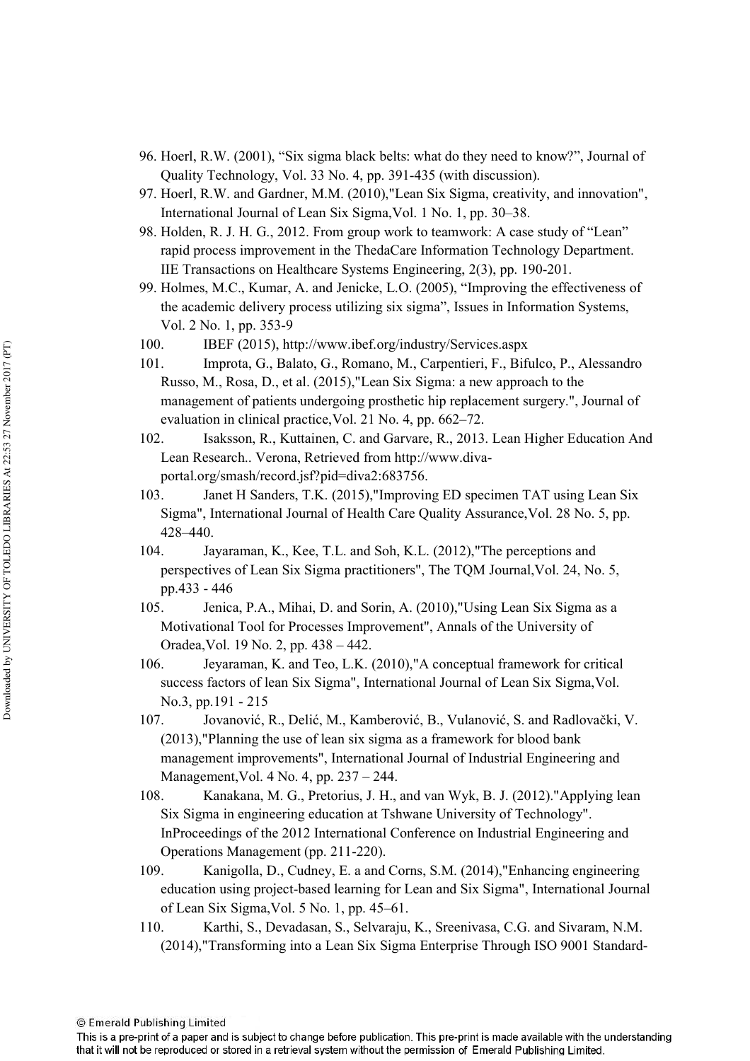- 96. Hoerl, R.W. (2001), "Six sigma black belts: what do they need to know?", Journal of Quality Technology, Vol. 33 No. 4, pp. 391-435 (with discussion).
- 97. Hoerl, R.W. and Gardner, M.M. (2010),"Lean Six Sigma, creativity, and innovation", International Journal of Lean Six Sigma,Vol. 1 No. 1, pp. 30–38.
- 98. Holden, R. J. H. G., 2012. From group work to teamwork: A case study of "Lean" rapid process improvement in the ThedaCare Information Technology Department. IIE Transactions on Healthcare Systems Engineering, 2(3), pp. 190-201.
- 99. Holmes, M.C., Kumar, A. and Jenicke, L.O. (2005), "Improving the effectiveness of the academic delivery process utilizing six sigma", Issues in Information Systems, Vol. 2 No. 1, pp. 353-9
- 100. IBEF (2015), http://www.ibef.org/industry/Services.aspx
- 101. Improta, G., Balato, G., Romano, M., Carpentieri, F., Bifulco, P., Alessandro Russo, M., Rosa, D., et al. (2015),"Lean Six Sigma: a new approach to the management of patients undergoing prosthetic hip replacement surgery.", Journal of evaluation in clinical practice,Vol. 21 No. 4, pp. 662–72.
- 102. Isaksson, R., Kuttainen, C. and Garvare, R., 2013. Lean Higher Education And Lean Research.. Verona, Retrieved from http://www.diva/ portal.org/smash/record.jsf?pid=diva2:683756.
- 103. Janet H Sanders, T.K. (2015),"Improving ED specimen TAT using Lean Six Sigma", International Journal of Health Care Quality Assurance,Vol. 28 No. 5, pp. 428–440.
- 104. Jayaraman, K., Kee, T.L. and Soh, K.L. (2012),"The perceptions and perspectives of Lean Six Sigma practitioners", The TQM Journal,Vol. 24, No. 5, pp.433 - 446
- 105. Jenica, P.A., Mihai, D. and Sorin, A. (2010),"Using Lean Six Sigma as a Motivational Tool for Processes Improvement", Annals of the University of Oradea,Vol. 19 No. 2, pp. 438 – 442.
- 106. Jeyaraman, K. and Teo, L.K. (2010),"A conceptual framework for critical success factors of lean Six Sigma", International Journal of Lean Six Sigma,Vol. No.3, pp.191 - 215
- 107. Jovanović, R., Delić, M., Kamberović, B., Vulanović, S. and Radlovački, V. (2013),"Planning the use of lean six sigma as a framework for blood bank management improvements", International Journal of Industrial Engineering and Management,Vol. 4 No. 4, pp. 237 – 244.
- 108. Kanakana, M. G., Pretorius, J. H., and van Wyk, B. J. (2012)."Applying lean Six Sigma in engineering education at Tshwane University of Technology". InProceedings of the 2012 International Conference on Industrial Engineering and Operations Management (pp. 211-220).
- 109. Kanigolla, D., Cudney, E. a and Corns, S.M. (2014),"Enhancing engineering education using project/based learning for Lean and Six Sigma", International Journal of Lean Six Sigma,Vol. 5 No. 1, pp. 45–61.
- 110. Karthi, S., Devadasan, S., Selvaraju, K., Sreenivasa, C.G. and Sivaram, N.M. (2014),"Transforming into a Lean Six Sigma Enterprise Through ISO 9001 Standard/

This is a pre-print of a paper and is subject to change before publication. This pre-print is made available with the understanding that it will not be reproduced or stored in a retrieval system without the permission of Emerald Publishing Limited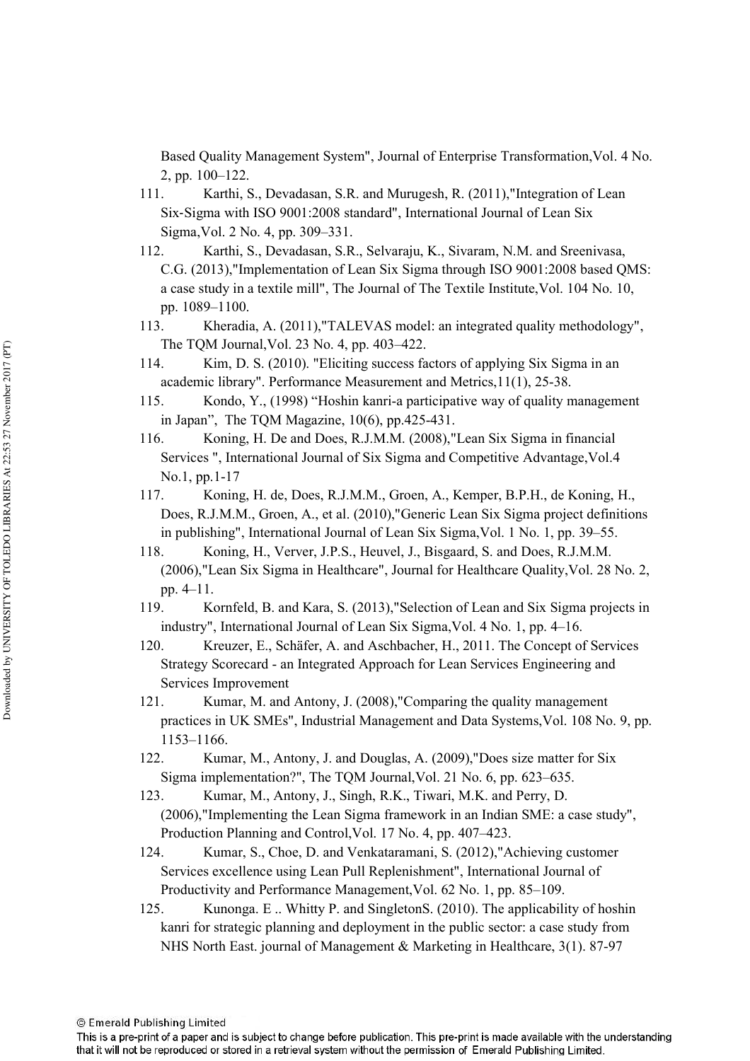Based Quality Management System", Journal of Enterprise Transformation,Vol. 4 No. 2, pp. 100–122.

- 111. Karthi, S., Devadasan, S.R. and Murugesh, R. (2011),"Integration of Lean Six‐Sigma with ISO 9001:2008 standard", International Journal of Lean Six Sigma,Vol. 2 No. 4, pp. 309–331.
- 112. Karthi, S., Devadasan, S.R., Selvaraju, K., Sivaram, N.M. and Sreenivasa, C.G. (2013),"Implementation of Lean Six Sigma through ISO 9001:2008 based QMS: a case study in a textile mill", The Journal of The Textile Institute,Vol. 104 No. 10, pp. 1089–1100.
- 113. Kheradia, A. (2011),"TALEVAS model: an integrated quality methodology", The TQM Journal,Vol. 23 No. 4, pp. 403–422.
- 114. Kim, D. S. (2010). "Eliciting success factors of applying Six Sigma in an academic library". Performance Measurement and Metrics, $11(1)$ ,  $25-38$ .
- 115. Kondo, Y., (1998) "Hoshin kanri-a participative way of quality management in Japan", The TQM Magazine,  $10(6)$ , pp.425-431.
- 116. Koning, H. De and Does, R.J.M.M. (2008),"Lean Six Sigma in financial Services ", International Journal of Six Sigma and Competitive Advantage,Vol.4 No.1, pp.1-17
- 117. Koning, H. de, Does, R.J.M.M., Groen, A., Kemper, B.P.H., de Koning, H., Does, R.J.M.M., Groen, A., et al. (2010),"Generic Lean Six Sigma project definitions in publishing", International Journal of Lean Six Sigma,Vol. 1 No. 1, pp. 39–55.
- 118. Koning, H., Verver, J.P.S., Heuvel, J., Bisgaard, S. and Does, R.J.M.M. (2006),"Lean Six Sigma in Healthcare", Journal for Healthcare Quality,Vol. 28 No. 2, pp. 4–11.
- 119. Kornfeld, B. and Kara, S. (2013),"Selection of Lean and Six Sigma projects in industry", International Journal of Lean Six Sigma,Vol. 4 No. 1, pp. 4–16.
- 120. Kreuzer, E., Schäfer, A. and Aschbacher, H., 2011. The Concept of Services Strategy Scorecard - an Integrated Approach for Lean Services Engineering and Services Improvement
- 121. Kumar, M. and Antony, J. (2008),"Comparing the quality management practices in UK SMEs", Industrial Management and Data Systems,Vol. 108 No. 9, pp. 1153–1166.
- 122. Kumar, M., Antony, J. and Douglas, A. (2009),"Does size matter for Six Sigma implementation?", The TQM Journal,Vol. 21 No. 6, pp. 623–635.
- 123. Kumar, M., Antony, J., Singh, R.K., Tiwari, M.K. and Perry, D. (2006),"Implementing the Lean Sigma framework in an Indian SME: a case study", Production Planning and Control,Vol. 17 No. 4, pp. 407–423.
- 124. Kumar, S., Choe, D. and Venkataramani, S. (2012),"Achieving customer Services excellence using Lean Pull Replenishment", International Journal of Productivity and Performance Management,Vol. 62 No. 1, pp. 85–109.
- 125. Kunonga. E .. Whitty P. and SingletonS. (2010). The applicability of hoshin kanri for strategic planning and deployment in the public sector: a case study from NHS North East. journal of Management  $&$  Marketing in Healthcare, 3(1). 87-97

Downloaded by UNIVERSITY OF TOLEDO LIBRARIES At 22:53 27 November 2017 (PT) Downloaded by UNIVERSITY OF TOLEDO LIBRARIES At 22:53 27 November 2017 (PT)

This is a pre-print of a paper and is subject to change before publication. This pre-print is made available with the understanding that it will not be reproduced or stored in a retrieval system without the permission of Emerald Publishing Limited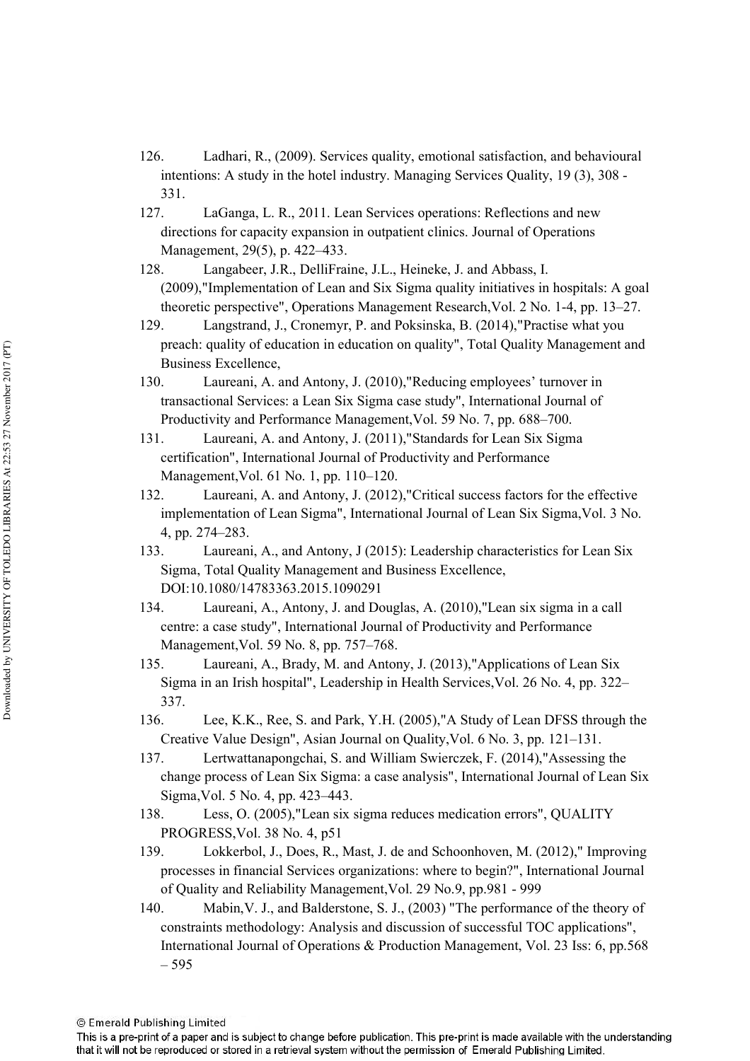- 126. Ladhari, R., (2009). Services quality, emotional satisfaction, and behavioural intentions: A study in the hotel industry. Managing Services Quality,  $19(3)$ ,  $308 -$ 331.
- 127. LaGanga, L. R., 2011. Lean Services operations: Reflections and new directions for capacity expansion in outpatient clinics. Journal of Operations Management, 29(5), p. 422–433.
- 128. Langabeer, J.R., DelliFraine, J.L., Heineke, J. and Abbass, I. (2009),"Implementation of Lean and Six Sigma quality initiatives in hospitals: A goal theoretic perspective", Operations Management Research, Vol. 2 No. 1-4, pp. 13–27.
- 129. Langstrand, J., Cronemyr, P. and Poksinska, B. (2014),"Practise what you preach: quality of education in education on quality", Total Quality Management and Business Excellence,
- 130. Laureani, A. and Antony, J. (2010),"Reducing employees' turnover in transactional Services: a Lean Six Sigma case study", International Journal of Productivity and Performance Management,Vol. 59 No. 7, pp. 688–700.
- 131. Laureani, A. and Antony, J. (2011),"Standards for Lean Six Sigma certification", International Journal of Productivity and Performance Management,Vol. 61 No. 1, pp. 110–120.
- 132. Laureani, A. and Antony, J. (2012),"Critical success factors for the effective implementation of Lean Sigma", International Journal of Lean Six Sigma,Vol. 3 No. 4, pp. 274–283.
- 133. Laureani, A., and Antony, J (2015): Leadership characteristics for Lean Six Sigma, Total Quality Management and Business Excellence, DOI:10.1080/14783363.2015.1090291
- 134. Laureani, A., Antony, J. and Douglas, A. (2010),"Lean six sigma in a call centre: a case study", International Journal of Productivity and Performance Management,Vol. 59 No. 8, pp. 757–768.
- 135. Laureani, A., Brady, M. and Antony, J. (2013),"Applications of Lean Six Sigma in an Irish hospital", Leadership in Health Services,Vol. 26 No. 4, pp. 322– 337.
- 136. Lee, K.K., Ree, S. and Park, Y.H. (2005),"A Study of Lean DFSS through the Creative Value Design", Asian Journal on Quality,Vol. 6 No. 3, pp. 121–131.
- 137. Lertwattanapongchai, S. and William Swierczek, F. (2014),"Assessing the change process of Lean Six Sigma: a case analysis", International Journal of Lean Six Sigma,Vol. 5 No. 4, pp. 423–443.
- 138. Less, O. (2005),"Lean six sigma reduces medication errors", QUALITY PROGRESS,Vol. 38 No. 4, p51
- 139. Lokkerbol, J., Does, R., Mast, J. de and Schoonhoven, M. (2012)," Improving processes in financial Services organizations: where to begin?", International Journal of Quality and Reliability Management, Vol. 29 No. 9, pp. 981 - 999
- 140. Mabin,V. J., and Balderstone, S. J., (2003) "The performance of the theory of constraints methodology: Analysis and discussion of successful TOC applications", International Journal of Operations & Production Management, Vol. 23 Iss: 6, pp.568 – 595

<sup>©</sup> Emerald Publishing Limited

This is a pre-print of a paper and is subject to change before publication. This pre-print is made available with the understanding that it will not be reproduced or stored in a retrieval system without the permission of Emerald Publishing Limited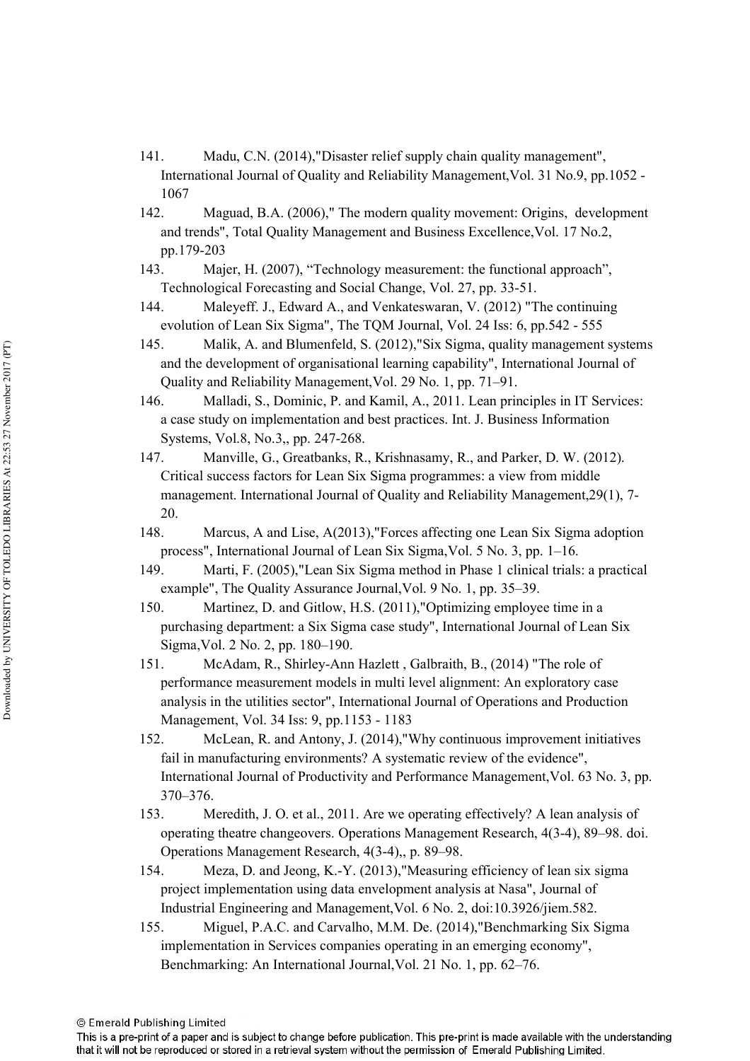- 141. Madu, C.N. (2014),"Disaster relief supply chain quality management", International Journal of Quality and Reliability Management, Vol. 31 No.9, pp.1052 -1067
- 142. Maguad, B.A. (2006)," The modern quality movement: Origins, development and trends", Total Quality Management and Business Excellence,Vol. 17 No.2, pp.179-203
- 143. Majer, H. (2007), "Technology measurement: the functional approach", Technological Forecasting and Social Change, Vol. 27, pp. 33-51.
- 144. Maleyeff. J., Edward A., and Venkateswaran, V. (2012) "The continuing evolution of Lean Six Sigma", The TQM Journal, Vol. 24 Iss:  $6$ , pp.  $542 - 555$
- 145. Malik, A. and Blumenfeld, S. (2012),"Six Sigma, quality management systems and the development of organisational learning capability", International Journal of Quality and Reliability Management,Vol. 29 No. 1, pp. 71–91.
- 146. Malladi, S., Dominic, P. and Kamil, A., 2011. Lean principles in IT Services: a case study on implementation and best practices. Int. J. Business Information Systems, Vol.8, No.3,, pp. 247-268.
- 147. Manville, G., Greatbanks, R., Krishnasamy, R., and Parker, D. W. (2012). Critical success factors for Lean Six Sigma programmes: a view from middle management. International Journal of Quality and Reliability Management, 29(1), 7-20.
- 148. Marcus, A and Lise, A(2013),"Forces affecting one Lean Six Sigma adoption process", International Journal of Lean Six Sigma,Vol. 5 No. 3, pp. 1–16.
- 149. Marti, F. (2005),"Lean Six Sigma method in Phase 1 clinical trials: a practical example", The Quality Assurance Journal,Vol. 9 No. 1, pp. 35–39.
- 150. Martinez, D. and Gitlow, H.S. (2011),"Optimizing employee time in a purchasing department: a Six Sigma case study", International Journal of Lean Six Sigma,Vol. 2 No. 2, pp. 180–190.
- 151. McAdam, R., Shirley-Ann Hazlett, Galbraith, B., (2014) "The role of performance measurement models in multi level alignment: An exploratory case analysis in the utilities sector", International Journal of Operations and Production Management, Vol. 34 Iss: 9, pp.1153 - 1183
- 152. McLean, R. and Antony, J. (2014),"Why continuous improvement initiatives fail in manufacturing environments? A systematic review of the evidence", International Journal of Productivity and Performance Management,Vol. 63 No. 3, pp. 370–376.
- 153. Meredith, J. O. et al., 2011. Are we operating effectively? A lean analysis of operating theatre changeovers. Operations Management Research, 4(3-4), 89–98. doi. Operations Management Research, 4(3-4),, p. 89–98.
- 154. Meza, D. and Jeong, K.-Y. (2013),"Measuring efficiency of lean six sigma project implementation using data envelopment analysis at Nasa", Journal of Industrial Engineering and Management,Vol. 6 No. 2, doi:10.3926/jiem.582.
- 155. Miguel, P.A.C. and Carvalho, M.M. De. (2014),"Benchmarking Six Sigma implementation in Services companies operating in an emerging economy", Benchmarking: An International Journal,Vol. 21 No. 1, pp. 62–76.

This is a pre-print of a paper and is subject to change before publication. This pre-print is made available with the understanding that it will not be reproduced or stored in a retrieval system without the permission of Emerald Publishing Limited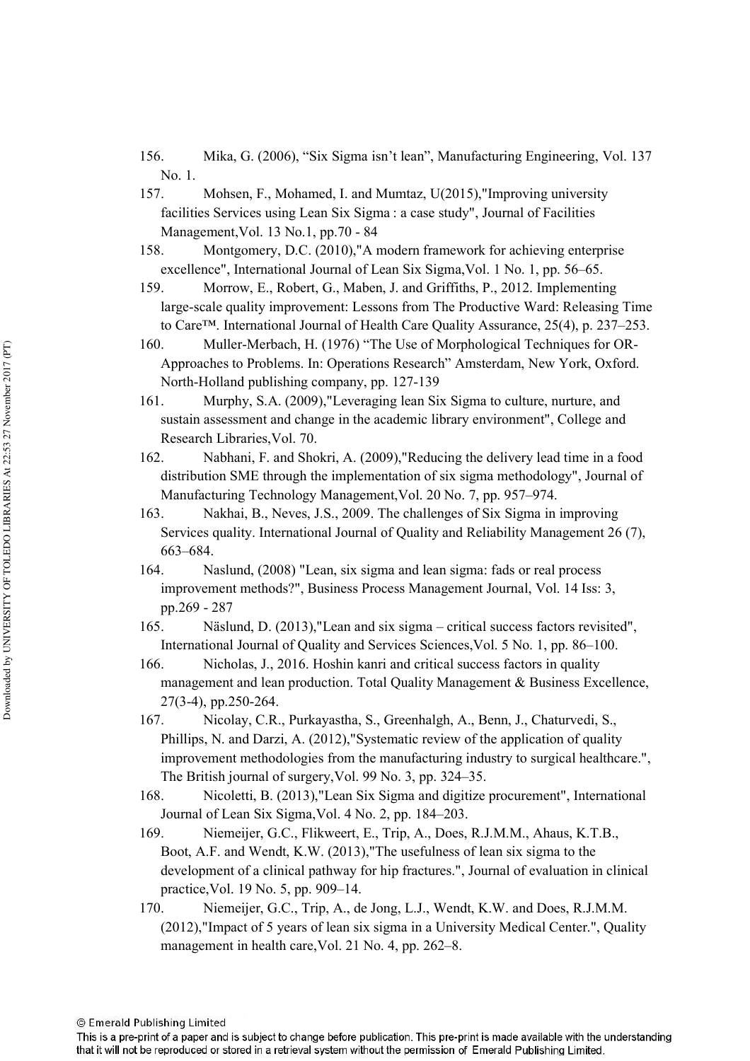- 156. Mika, G. (2006), "Six Sigma isn't lean", Manufacturing Engineering, Vol. 137 No. 1.
- 157. Mohsen, F., Mohamed, I. and Mumtaz, U(2015),"Improving university facilities Services using Lean Six Sigma : a case study", Journal of Facilities Management, Vol.  $13$  No.  $1$ , pp.  $70 - 84$
- 158. Montgomery, D.C. (2010),"A modern framework for achieving enterprise excellence", International Journal of Lean Six Sigma,Vol. 1 No. 1, pp. 56–65.
- 159. Morrow, E., Robert, G., Maben, J. and Griffiths, P., 2012. Implementing large-scale quality improvement: Lessons from The Productive Ward: Releasing Time to Care™. International Journal of Health Care Quality Assurance, 25(4), p. 237–253.
- 160. Muller-Merbach, H. (1976) "The Use of Morphological Techniques for OR-Approaches to Problems. In: Operations Research" Amsterdam, New York, Oxford. North-Holland publishing company, pp. 127-139
- 161. Murphy, S.A. (2009),"Leveraging lean Six Sigma to culture, nurture, and sustain assessment and change in the academic library environment", College and Research Libraries,Vol. 70.
- 162. Nabhani, F. and Shokri, A. (2009),"Reducing the delivery lead time in a food distribution SME through the implementation of six sigma methodology", Journal of Manufacturing Technology Management,Vol. 20 No. 7, pp. 957–974.
- 163. Nakhai, B., Neves, J.S., 2009. The challenges of Six Sigma in improving Services quality. International Journal of Quality and Reliability Management 26 (7), 663–684.
- 164. Naslund, (2008) "Lean, six sigma and lean sigma: fads or real process improvement methods?", Business Process Management Journal, Vol. 14 Iss: 3, pp.269 - 287
- 165. Näslund, D. (2013),"Lean and six sigma critical success factors revisited", International Journal of Quality and Services Sciences,Vol. 5 No. 1, pp. 86–100.
- 166. Nicholas, J., 2016. Hoshin kanri and critical success factors in quality management and lean production. Total Quality Management & Business Excellence,  $27(3-4)$ , pp.250-264.
- 167. Nicolay, C.R., Purkayastha, S., Greenhalgh, A., Benn, J., Chaturvedi, S., Phillips, N. and Darzi, A. (2012),"Systematic review of the application of quality improvement methodologies from the manufacturing industry to surgical healthcare.", The British journal of surgery,Vol. 99 No. 3, pp. 324–35.
- 168. Nicoletti, B. (2013),"Lean Six Sigma and digitize procurement", International Journal of Lean Six Sigma,Vol. 4 No. 2, pp. 184–203.
- 169. Niemeijer, G.C., Flikweert, E., Trip, A., Does, R.J.M.M., Ahaus, K.T.B., Boot, A.F. and Wendt, K.W. (2013),"The usefulness of lean six sigma to the development of a clinical pathway for hip fractures.", Journal of evaluation in clinical practice,Vol. 19 No. 5, pp. 909–14.
- 170. Niemeijer, G.C., Trip, A., de Jong, L.J., Wendt, K.W. and Does, R.J.M.M. (2012),"Impact of 5 years of lean six sigma in a University Medical Center.", Quality management in health care,Vol. 21 No. 4, pp. 262–8.

This is a pre-print of a paper and is subject to change before publication. This pre-print is made available with the understanding that it will not be reproduced or stored in a retrieval system without the permission of Emerald Publishing Limited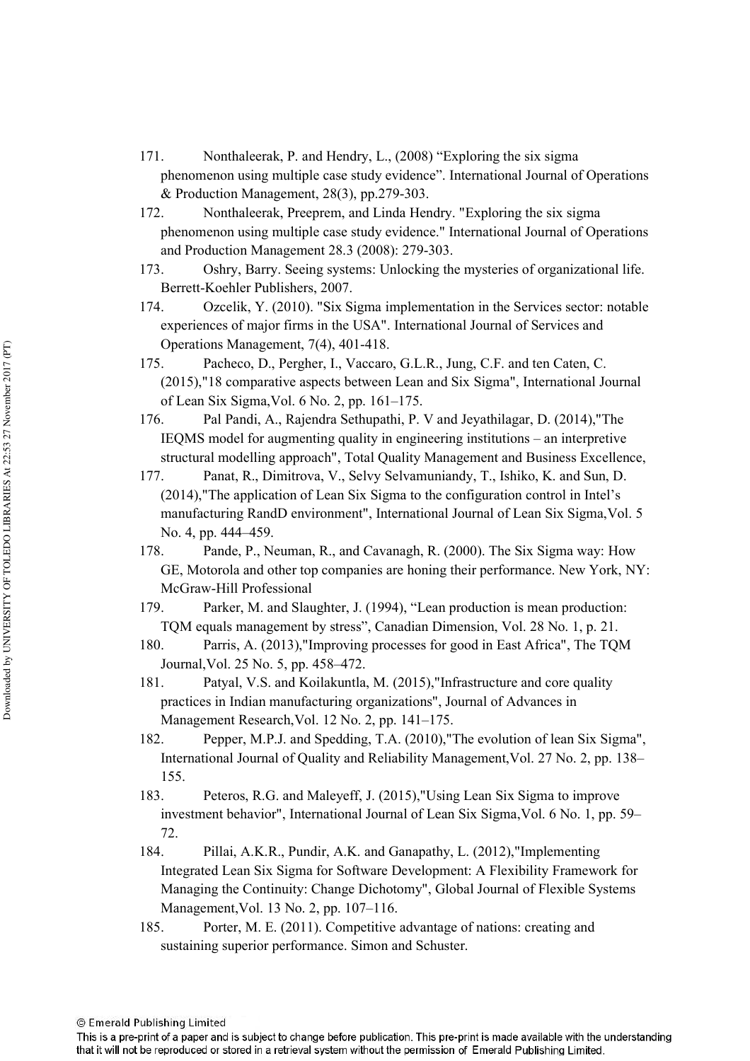- 171. Nonthaleerak, P. and Hendry, L., (2008) "Exploring the six sigma phenomenon using multiple case study evidence". International Journal of Operations & Production Management,  $28(3)$ , pp.  $279-303$ .
- 172. Nonthaleerak, Preeprem, and Linda Hendry. "Exploring the six sigma phenomenon using multiple case study evidence." International Journal of Operations and Production Management  $28.3$   $(2008)$ :  $279-303$ .
- 173. Oshry, Barry. Seeing systems: Unlocking the mysteries of organizational life. Berrett-Koehler Publishers, 2007.
- 174. Ozcelik, Y. (2010). "Six Sigma implementation in the Services sector: notable experiences of major firms in the USA". International Journal of Services and Operations Management,  $7(4)$ ,  $401-418$ .
- 175. Pacheco, D., Pergher, I., Vaccaro, G.L.R., Jung, C.F. and ten Caten, C. (2015),"18 comparative aspects between Lean and Six Sigma", International Journal of Lean Six Sigma,Vol. 6 No. 2, pp. 161–175.
- 176. Pal Pandi, A., Rajendra Sethupathi, P. V and Jeyathilagar, D. (2014),"The IEQMS model for augmenting quality in engineering institutions – an interpretive structural modelling approach", Total Quality Management and Business Excellence,
- 177. Panat, R., Dimitrova, V., Selvy Selvamuniandy, T., Ishiko, K. and Sun, D. (2014),"The application of Lean Six Sigma to the configuration control in Intel's manufacturing RandD environment", International Journal of Lean Six Sigma,Vol. 5 No. 4, pp. 444–459.
- 178. Pande, P., Neuman, R., and Cavanagh, R. (2000). The Six Sigma way: How GE, Motorola and other top companies are honing their performance. New York, NY: McGraw-Hill Professional
- 179. Parker, M. and Slaughter, J. (1994), "Lean production is mean production: TQM equals management by stress", Canadian Dimension, Vol. 28 No. 1, p. 21.
- 180. Parris, A. (2013),"Improving processes for good in East Africa", The TQM Journal,Vol. 25 No. 5, pp. 458–472.
- 181. Patyal, V.S. and Koilakuntla, M. (2015),"Infrastructure and core quality practices in Indian manufacturing organizations", Journal of Advances in Management Research,Vol. 12 No. 2, pp. 141–175.
- 182. Pepper, M.P.J. and Spedding, T.A. (2010),"The evolution of lean Six Sigma", International Journal of Quality and Reliability Management,Vol. 27 No. 2, pp. 138– 155.
- 183. Peteros, R.G. and Maleyeff, J. (2015),"Using Lean Six Sigma to improve investment behavior", International Journal of Lean Six Sigma,Vol. 6 No. 1, pp. 59– 72.
- 184. Pillai, A.K.R., Pundir, A.K. and Ganapathy, L. (2012),"Implementing Integrated Lean Six Sigma for Software Development: A Flexibility Framework for Managing the Continuity: Change Dichotomy", Global Journal of Flexible Systems Management,Vol. 13 No. 2, pp. 107–116.
- 185. Porter, M. E. (2011). Competitive advantage of nations: creating and sustaining superior performance. Simon and Schuster.

This is a pre-print of a paper and is subject to change before publication. This pre-print is made available with the understanding that it will not be reproduced or stored in a retrieval system without the permission of Emerald Publishing Limited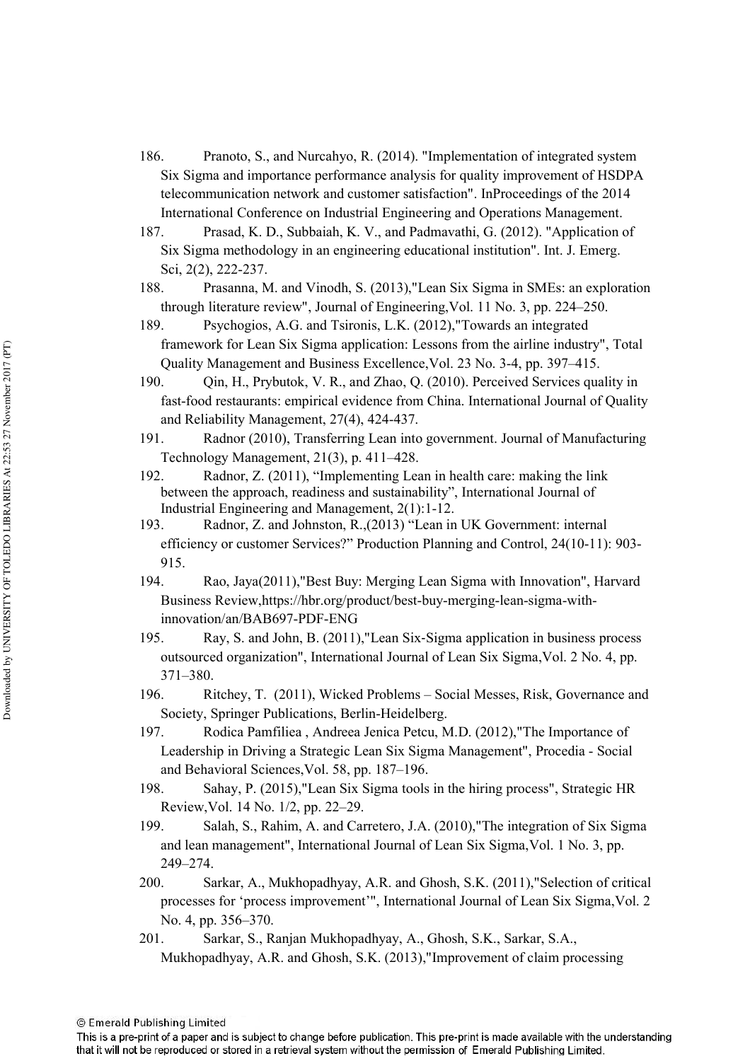- 186. Pranoto, S., and Nurcahyo, R. (2014). "Implementation of integrated system Six Sigma and importance performance analysis for quality improvement of HSDPA telecommunication network and customer satisfaction". InProceedings of the 2014 International Conference on Industrial Engineering and Operations Management.
- 187. Prasad, K. D., Subbaiah, K. V., and Padmavathi, G. (2012). "Application of Six Sigma methodology in an engineering educational institution". Int. J. Emerg. Sci, 2(2), 222-237.
- 188. Prasanna, M. and Vinodh, S. (2013),"Lean Six Sigma in SMEs: an exploration through literature review", Journal of Engineering,Vol. 11 No. 3, pp. 224–250.
- 189. Psychogios, A.G. and Tsironis, L.K. (2012),"Towards an integrated framework for Lean Six Sigma application: Lessons from the airline industry", Total Quality Management and Business Excellence, Vol. 23 No. 3-4, pp. 397–415.
- 190. Qin, H., Prybutok, V. R., and Zhao, Q. (2010). Perceived Services quality in fast-food restaurants: empirical evidence from China. International Journal of Quality and Reliability Management,  $27(4)$ ,  $424-437$ .
- 191. Radnor (2010), Transferring Lean into government. Journal of Manufacturing Technology Management, 21(3), p. 411–428.
- 192. Radnor, Z. (2011), "Implementing Lean in health care: making the link between the approach, readiness and sustainability", International Journal of Industrial Engineering and Management,  $2(1)$ : 1-12.
- 193. Radnor, Z. and Johnston, R.,(2013) "Lean in UK Government: internal efficiency or customer Services?" Production Planning and Control, 24(10-11): 903-915.
- 194. Rao, Jaya(2011),"Best Buy: Merging Lean Sigma with Innovation", Harvard Business Review,https://hbr.org/product/best-buy-merging-lean-sigma-withinnovation/an/BAB697-PDF-ENG
- 195. Ray, S. and John, B. (2011),"Lean Six‐Sigma application in business process outsourced organization", International Journal of Lean Six Sigma,Vol. 2 No. 4, pp. 371–380.
- 196. Ritchey, T. (2011), Wicked Problems Social Messes, Risk, Governance and Society, Springer Publications, Berlin-Heidelberg.
- 197. Rodica Pamfiliea , Andreea Jenica Petcu, M.D. (2012),"The Importance of Leadership in Driving a Strategic Lean Six Sigma Management", Procedia - Social and Behavioral Sciences,Vol. 58, pp. 187–196.
- 198. Sahay, P. (2015),"Lean Six Sigma tools in the hiring process", Strategic HR Review,Vol. 14 No. 1/2, pp. 22–29.
- 199. Salah, S., Rahim, A. and Carretero, J.A. (2010),"The integration of Six Sigma and lean management", International Journal of Lean Six Sigma,Vol. 1 No. 3, pp. 249–274.
- 200. Sarkar, A., Mukhopadhyay, A.R. and Ghosh, S.K. (2011),"Selection of critical processes for 'process improvement'", International Journal of Lean Six Sigma,Vol. 2 No. 4, pp. 356–370.
- 201. Sarkar, S., Ranjan Mukhopadhyay, A., Ghosh, S.K., Sarkar, S.A., Mukhopadhyay, A.R. and Ghosh, S.K. (2013),"Improvement of claim processing

This is a pre-print of a paper and is subject to change before publication. This pre-print is made available with the understanding that it will not be reproduced or stored in a retrieval system without the permission of Emerald Publishing Limited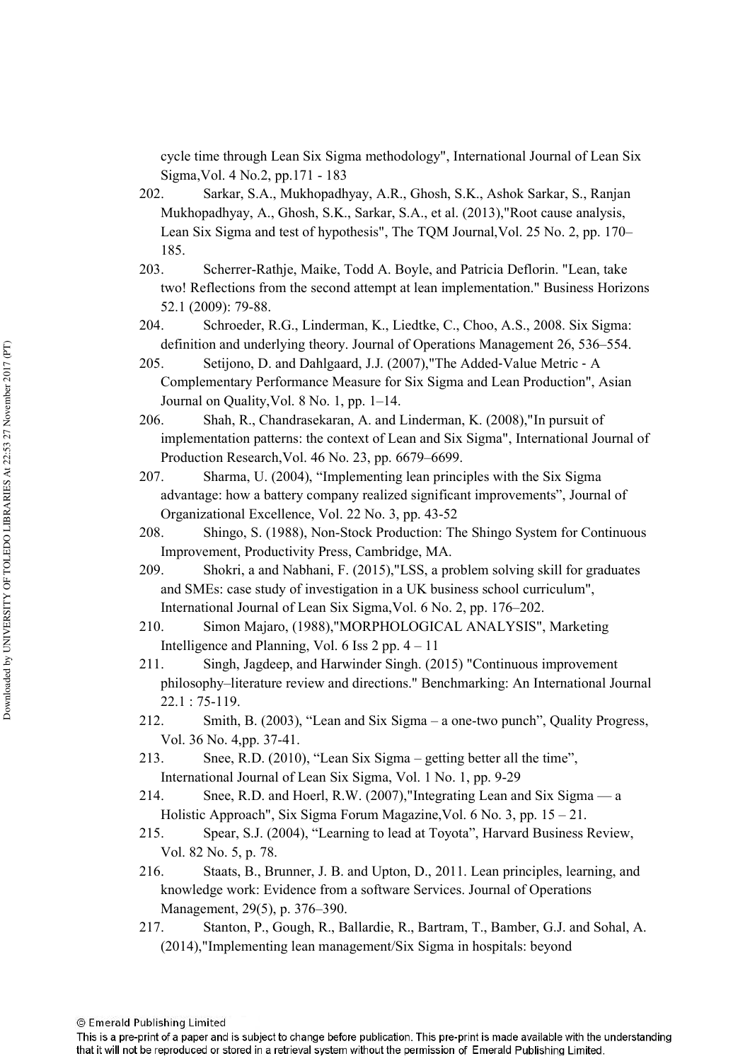cycle time through Lean Six Sigma methodology", International Journal of Lean Six Sigma, Vol. 4 No. 2, pp. 171 - 183

- 202. Sarkar, S.A., Mukhopadhyay, A.R., Ghosh, S.K., Ashok Sarkar, S., Ranjan Mukhopadhyay, A., Ghosh, S.K., Sarkar, S.A., et al. (2013),"Root cause analysis, Lean Six Sigma and test of hypothesis", The TQM Journal,Vol. 25 No. 2, pp. 170– 185.
- 203. Scherrer-Rathie, Maike, Todd A. Boyle, and Patricia Deflorin. "Lean, take two! Reflections from the second attempt at lean implementation." Business Horizons 52.1 (2009): 79-88.
- 204. Schroeder, R.G., Linderman, K., Liedtke, C., Choo, A.S., 2008. Six Sigma: definition and underlying theory. Journal of Operations Management 26, 536–554.
- 205. Setijono, D. and Dahlgaard, J.J. (2007),"The Added‐Value Metric ‐ A Complementary Performance Measure for Six Sigma and Lean Production", Asian Journal on Quality,Vol. 8 No. 1, pp. 1–14.
- 206. Shah, R., Chandrasekaran, A. and Linderman, K. (2008),"In pursuit of implementation patterns: the context of Lean and Six Sigma", International Journal of Production Research,Vol. 46 No. 23, pp. 6679–6699.
- 207. Sharma, U. (2004), "Implementing lean principles with the Six Sigma advantage: how a battery company realized significant improvements", Journal of Organizational Excellence, Vol. 22 No. 3, pp. 43-52
- 208. Shingo, S. (1988), Non-Stock Production: The Shingo System for Continuous Improvement, Productivity Press, Cambridge, MA.
- 209. Shokri, a and Nabhani, F. (2015),"LSS, a problem solving skill for graduates and SMEs: case study of investigation in a UK business school curriculum", International Journal of Lean Six Sigma,Vol. 6 No. 2, pp. 176–202.
- 210. Simon Majaro, (1988),"MORPHOLOGICAL ANALYSIS", Marketing Intelligence and Planning, Vol.  $6$  Iss  $2$  pp.  $4 - 11$
- 211. Singh, Jagdeep, and Harwinder Singh. (2015) "Continuous improvement philosophy–literature review and directions." Benchmarking: An International Journal  $22.1 : 75-119.$
- 212. Smith, B. (2003), "Lean and Six Sigma a one-two punch", Quality Progress, Vol. 36 No. 4, pp.  $37-41$ .
- 213. Snee, R.D. (2010), "Lean Six Sigma getting better all the time", International Journal of Lean Six Sigma, Vol. 1 No. 1, pp. 9-29
- 214. Snee, R.D. and Hoerl, R.W. (2007),"Integrating Lean and Six Sigma a Holistic Approach", Six Sigma Forum Magazine,Vol. 6 No. 3, pp. 15 – 21.
- 215. Spear, S.J. (2004), "Learning to lead at Toyota", Harvard Business Review, Vol. 82 No. 5, p. 78.
- 216. Staats, B., Brunner, J. B. and Upton, D., 2011. Lean principles, learning, and knowledge work: Evidence from a software Services. Journal of Operations Management, 29(5), p. 376–390.
- 217. Stanton, P., Gough, R., Ballardie, R., Bartram, T., Bamber, G.J. and Sohal, A. (2014),"Implementing lean management/Six Sigma in hospitals: beyond

This is a pre-print of a paper and is subject to change before publication. This pre-print is made available with the understanding that it will not be reproduced or stored in a retrieval system without the permission of Emerald Publishing Limited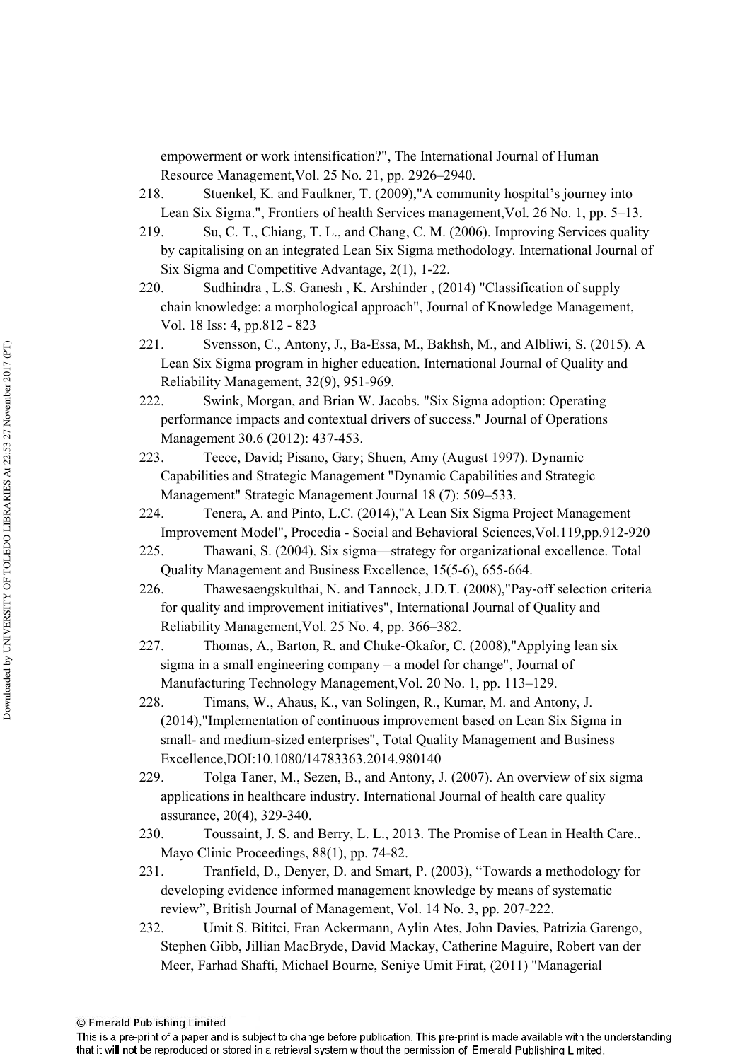empowerment or work intensification?", The International Journal of Human Resource Management,Vol. 25 No. 21, pp. 2926–2940.

- 218. Stuenkel, K. and Faulkner, T. (2009),"A community hospital's journey into Lean Six Sigma.", Frontiers of health Services management,Vol. 26 No. 1, pp. 5–13.
- 219. Su, C. T., Chiang, T. L., and Chang, C. M. (2006). Improving Services quality by capitalising on an integrated Lean Six Sigma methodology. International Journal of Six Sigma and Competitive Advantage,  $2(1)$ , 1-22.
- 220. Sudhindra , L.S. Ganesh , K. Arshinder , (2014) "Classification of supply chain knowledge: a morphological approach", Journal of Knowledge Management, Vol. 18 Iss: 4, pp.812 - 823
- 221. Svensson, C., Antony, J., Ba-Essa, M., Bakhsh, M., and Albliwi, S. (2015). A Lean Six Sigma program in higher education. International Journal of Quality and Reliability Management, 32(9), 951-969.
- 222. Swink, Morgan, and Brian W. Jacobs. "Six Sigma adoption: Operating performance impacts and contextual drivers of success." Journal of Operations Management 30.6 (2012): 437-453.
- 223. Teece, David; Pisano, Gary; Shuen, Amy (August 1997). Dynamic Capabilities and Strategic Management "Dynamic Capabilities and Strategic Management" Strategic Management Journal 18 (7): 509–533.
- 224. Tenera, A. and Pinto, L.C. (2014),"A Lean Six Sigma Project Management Improvement Model", Procedia - Social and Behavioral Sciences, Vol. 119, pp. 912-920
- 225. Thawani, S. (2004). Six sigma—strategy for organizational excellence. Total Quality Management and Business Excellence, 15(5-6), 655-664.
- 226. Thawesaengskulthai, N. and Tannock, J.D.T. (2008), "Pay-off selection criteria for quality and improvement initiatives", International Journal of Quality and Reliability Management,Vol. 25 No. 4, pp. 366–382.
- 227. Thomas, A., Barton, R. and Chuke‐Okafor, C. (2008),"Applying lean six sigma in a small engineering company – a model for change", Journal of Manufacturing Technology Management,Vol. 20 No. 1, pp. 113–129.
- 228. Timans, W., Ahaus, K., van Solingen, R., Kumar, M. and Antony, J. (2014),"Implementation of continuous improvement based on Lean Six Sigma in small- and medium-sized enterprises", Total Quality Management and Business Excellence,DOI:10.1080/14783363.2014.980140
- 229. Tolga Taner, M., Sezen, B., and Antony, J. (2007). An overview of six sigma applications in healthcare industry. International Journal of health care quality assurance,  $20(4)$ ,  $329-340$ .
- 230. Toussaint, J. S. and Berry, L. L., 2013. The Promise of Lean in Health Care.. Mayo Clinic Proceedings,  $88(1)$ , pp. 74-82.
- 231. Tranfield, D., Denyer, D. and Smart, P. (2003), "Towards a methodology for developing evidence informed management knowledge by means of systematic review", British Journal of Management, Vol. 14 No. 3, pp. 207-222.
- 232. Umit S. Bititci, Fran Ackermann, Aylin Ates, John Davies, Patrizia Garengo, Stephen Gibb, Jillian MacBryde, David Mackay, Catherine Maguire, Robert van der Meer, Farhad Shafti, Michael Bourne, Seniye Umit Firat, (2011) "Managerial

<sup>©</sup> Emerald Publishing Limited

This is a pre-print of a paper and is subject to change before publication. This pre-print is made available with the understanding that it will not be reproduced or stored in a retrieval system without the permission of Emerald Publishing Limited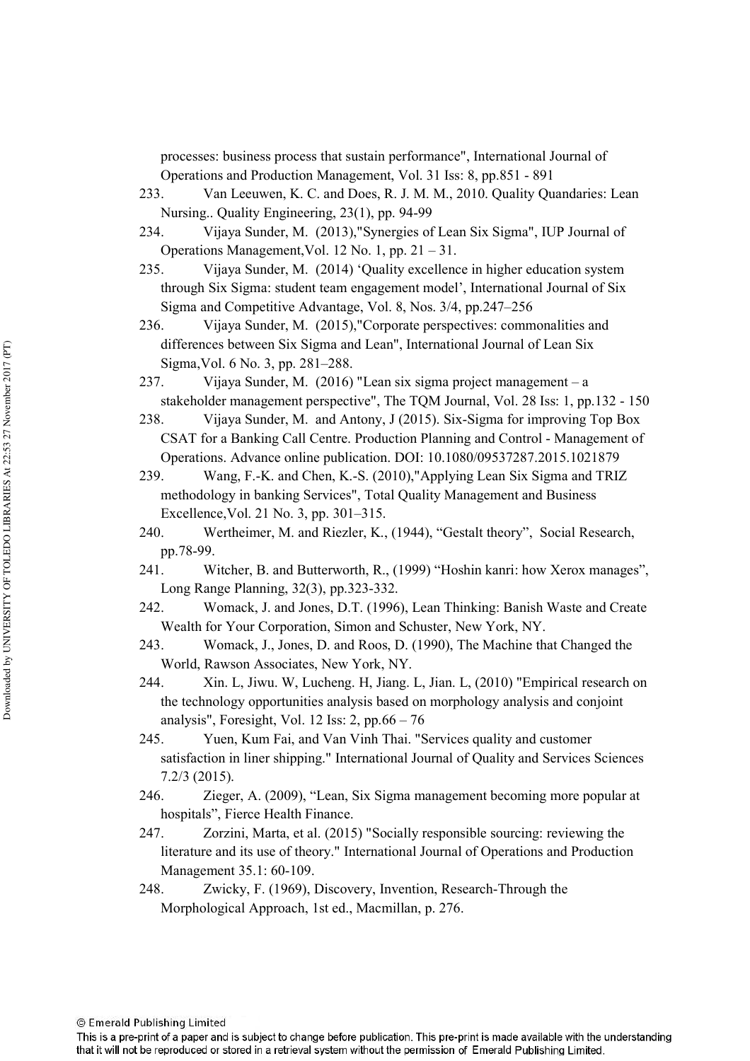processes: business process that sustain performance", International Journal of Operations and Production Management, Vol. 31 Iss: 8, pp.851 - 891

- 233. Van Leeuwen, K. C. and Does, R. J. M. M., 2010. Quality Quandaries: Lean Nursing.. Quality Engineering, 23(1), pp. 94-99
- 234. Vijaya Sunder, M. (2013),"Synergies of Lean Six Sigma", IUP Journal of Operations Management,Vol. 12 No. 1, pp. 21 – 31.
- 235. Vijaya Sunder, M. (2014) 'Quality excellence in higher education system through Six Sigma: student team engagement model', International Journal of Six Sigma and Competitive Advantage, Vol. 8, Nos. 3/4, pp.247–256
- 236. Vijaya Sunder, M. (2015),"Corporate perspectives: commonalities and differences between Six Sigma and Lean", International Journal of Lean Six Sigma,Vol. 6 No. 3, pp. 281–288.
- 237. Vijaya Sunder, M. (2016) "Lean six sigma project management a stakeholder management perspective", The TQM Journal, Vol. 28 Iss: 1, pp.132 - 150
- 238. Vijaya Sunder, M. and Antony, J (2015). Six-Sigma for improving Top Box CSAT for a Banking Call Centre. Production Planning and Control - Management of Operations. Advance online publication. DOI: 10.1080/09537287.2015.1021879
- 239. Wang, F.-K. and Chen, K.-S. (2010),"Applying Lean Six Sigma and TRIZ methodology in banking Services", Total Quality Management and Business Excellence,Vol. 21 No. 3, pp. 301–315.
- 240. Wertheimer, M. and Riezler, K., (1944), "Gestalt theory", Social Research, pp.78-99.
- 241. Witcher, B. and Butterworth, R., (1999) "Hoshin kanri: how Xerox manages", Long Range Planning, 32(3), pp.323-332.
- 242. Womack, J. and Jones, D.T. (1996), Lean Thinking: Banish Waste and Create Wealth for Your Corporation, Simon and Schuster, New York, NY.
- 243. Womack, J., Jones, D. and Roos, D. (1990), The Machine that Changed the World, Rawson Associates, New York, NY.
- 244. Xin. L, Jiwu. W, Lucheng. H, Jiang. L, Jian. L, (2010) "Empirical research on the technology opportunities analysis based on morphology analysis and conjoint analysis", Foresight, Vol. 12 Iss:  $2$ , pp.66 – 76
- 245. Yuen, Kum Fai, and Van Vinh Thai. "Services quality and customer satisfaction in liner shipping." International Journal of Quality and Services Sciences 7.2/3 (2015).
- 246. Zieger, A. (2009), "Lean, Six Sigma management becoming more popular at hospitals", Fierce Health Finance.
- 247. Zorzini, Marta, et al. (2015) "Socially responsible sourcing: reviewing the literature and its use of theory." International Journal of Operations and Production Management 35.1: 60-109.
- 248. Zwicky, F. (1969), Discovery, Invention, Research-Through the Morphological Approach, 1st ed., Macmillan, p. 276.

This is a pre-print of a paper and is subject to change before publication. This pre-print is made available with the understanding that it will not be reproduced or stored in a retrieval system without the permission of Emerald Publishing Limited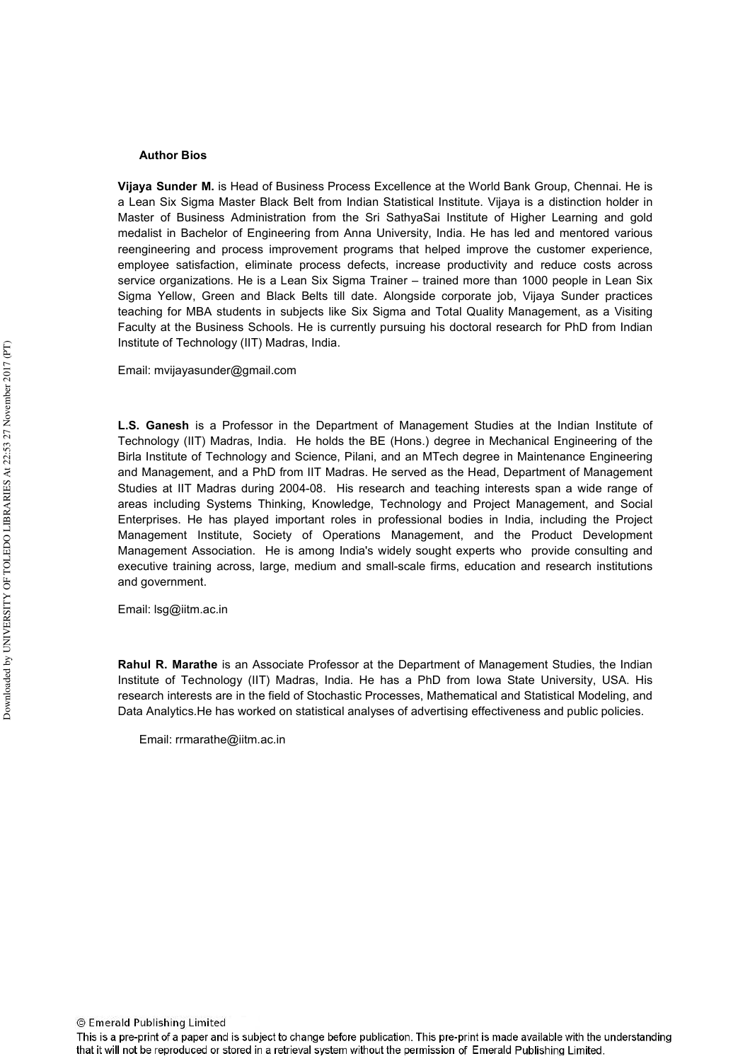#### **Author Bios**

Vijaya Sunder M. is Head of Business Process Excellence at the World Bank Group, Chennai. He is a Lean Six Sigma Master Black Belt from Indian Statistical Institute. Vijaya is a distinction holder in Master of Business Administration from the Sri SathyaSai Institute of Higher Learning and gold medalist in Bachelor of Engineering from Anna University, India. He has led and mentored various reengineering and process improvement programs that helped improve the customer experience, employee satisfaction, eliminate process defects, increase productivity and reduce costs across service organizations. He is a Lean Six Sigma Trainer - trained more than 1000 people in Lean Six Sigma Yellow, Green and Black Belts till date. Alongside corporate job, Vijaya Sunder practices teaching for MBA students in subjects like Six Sigma and Total Quality Management, as a Visiting Faculty at the Business Schools. He is currently pursuing his doctoral research for PhD from Indian Institute of Technology (IIT) Madras, India.

Email: mvijayasunder@gmail.com

L.S. Ganesh is a Professor in the Department of Management Studies at the Indian Institute of Technology (IIT) Madras, India. He holds the BE (Hons.) degree in Mechanical Engineering of the Birla Institute of Technology and Science, Pilani, and an MTech degree in Maintenance Engineering and Management, and a PhD from IIT Madras. He served as the Head, Department of Management Studies at IIT Madras during 2004-08. His research and teaching interests span a wide range of areas including Systems Thinking, Knowledge, Technology and Project Management, and Social Enterprises. He has played important roles in professional bodies in India, including the Project Management Institute, Society of Operations Management, and the Product Development Management Association. He is among India's widely sought experts who provide consulting and executive training across, large, medium and small-scale firms, education and research institutions and government.

Email: Isg@iitm.ac.in

Rahul R. Marathe is an Associate Professor at the Department of Management Studies, the Indian Institute of Technology (IIT) Madras, India. He has a PhD from lowa State University, USA. His research interests are in the field of Stochastic Processes, Mathematical and Statistical Modeling, and Data Analytics. He has worked on statistical analyses of advertising effectiveness and public policies.

Email: rrmarathe@iitm.ac.in

This is a pre-print of a paper and is subject to change before publication. This pre-print is made available with the understanding that it will not be reproduced or stored in a retrieval system without the permission of Emerald Publishing Limited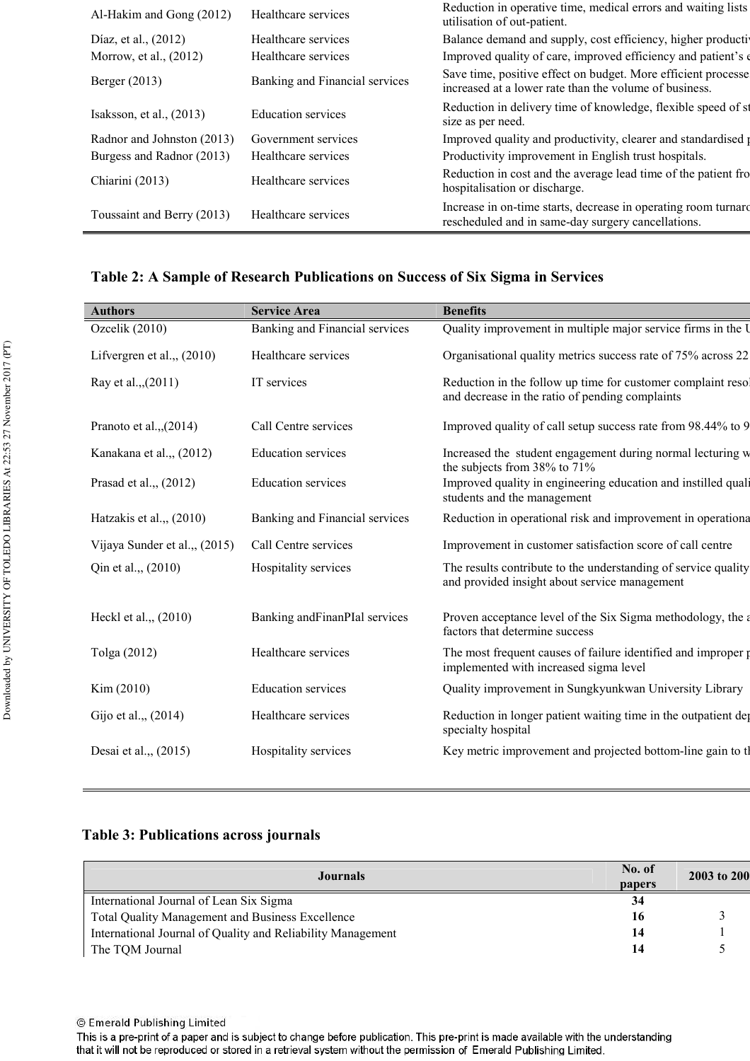| Al-Hakim and Gong (2012)   | Healthcare services            | Reduction in operative time, medical errors and waiting lists<br>utilisation of out-patient.                            |
|----------------------------|--------------------------------|-------------------------------------------------------------------------------------------------------------------------|
| Díaz, et al., $(2012)$     | Healthcare services            | Balance demand and supply, cost efficiency, higher productively                                                         |
| Morrow, et al., (2012)     | Healthcare services            | Improved quality of care, improved efficiency and patient's e                                                           |
| Berger $(2013)$            | Banking and Financial services | Save time, positive effect on budget. More efficient processe<br>increased at a lower rate than the volume of business. |
| Isaksson, et al., $(2013)$ | <b>Education services</b>      | Reduction in delivery time of knowledge, flexible speed of st<br>size as per need.                                      |
| Radnor and Johnston (2013) | Government services            | Improved quality and productivity, clearer and standardised p                                                           |
| Burgess and Radnor (2013)  | Healthcare services            | Productivity improvement in English trust hospitals.                                                                    |
| Chiarini (2013)            | Healthcare services            | Reduction in cost and the average lead time of the patient fro<br>hospitalisation or discharge.                         |
| Toussaint and Berry (2013) | Healthcare services            | Increase in on-time starts, decrease in operating room turnard<br>rescheduled and in same-day surgery cancellations.    |

#### Table 2: A Sample of Research Publications on Success of Six Sigma in Services

| <b>Authors</b>               | <b>Service Area</b>             | <b>Benefits</b>                                                                                                 |
|------------------------------|---------------------------------|-----------------------------------------------------------------------------------------------------------------|
| Ozcelik (2010)               | Banking and Financial services  | Quality improvement in multiple major service firms in the U                                                    |
| Lifvergren et al., $(2010)$  | Healthcare services             | Organisational quality metrics success rate of 75% across 22                                                    |
| Ray et al., (2011)           | IT services                     | Reduction in the follow up time for customer complaint resol<br>and decrease in the ratio of pending complaints |
| Pranoto et al., $(2014)$     | Call Centre services            | Improved quality of call setup success rate from 98.44% to 9                                                    |
| Kanakana et al.,, (2012)     | <b>Education services</b>       | Increased the student engagement during normal lecturing w<br>the subjects from 38% to 71%                      |
| Prasad et al.,, (2012)       | <b>Education services</b>       | Improved quality in engineering education and instilled quali<br>students and the management                    |
| Hatzakis et al., $(2010)$    | Banking and Financial services  | Reduction in operational risk and improvement in operational                                                    |
| Vijaya Sunder et al., (2015) | Call Centre services            | Improvement in customer satisfaction score of call centre                                                       |
| Qin et al.,, (2010)          | Hospitality services            | The results contribute to the understanding of service quality<br>and provided insight about service management |
| Heckl et al.,, (2010)        | Banking and Finan PIal services | Proven acceptance level of the Six Sigma methodology, the a<br>factors that determine success                   |
| Tolga (2012)                 | Healthcare services             | The most frequent causes of failure identified and improper p<br>implemented with increased sigma level         |
| Kim (2010)                   | <b>Education services</b>       | Quality improvement in Sungkyunkwan University Library                                                          |
| Gijo et al., (2014)          | Healthcare services             | Reduction in longer patient waiting time in the outpatient dep<br>specialty hospital                            |
| Desai et al.,, (2015)        | Hospitality services            | Key metric improvement and projected bottom-line gain to the                                                    |

#### **Table 3: Publications across journals**

| Journals                                                    | No. of<br>papers | 2003 to 200 |
|-------------------------------------------------------------|------------------|-------------|
| International Journal of Lean Six Sigma                     | 34               |             |
| <b>Total Quality Management and Business Excellence</b>     | 16               |             |
| International Journal of Quality and Reliability Management | 14               |             |
| The TQM Journal                                             | 14               |             |

© Emerald Publishing Limited

This is a pre-print of a paper and is subject to change before publication. This pre-print is made available with the understanding that it will not be reproduced or stored in a retrieval system without the permission of Emerald Publishing Limited.

 $\overline{a}$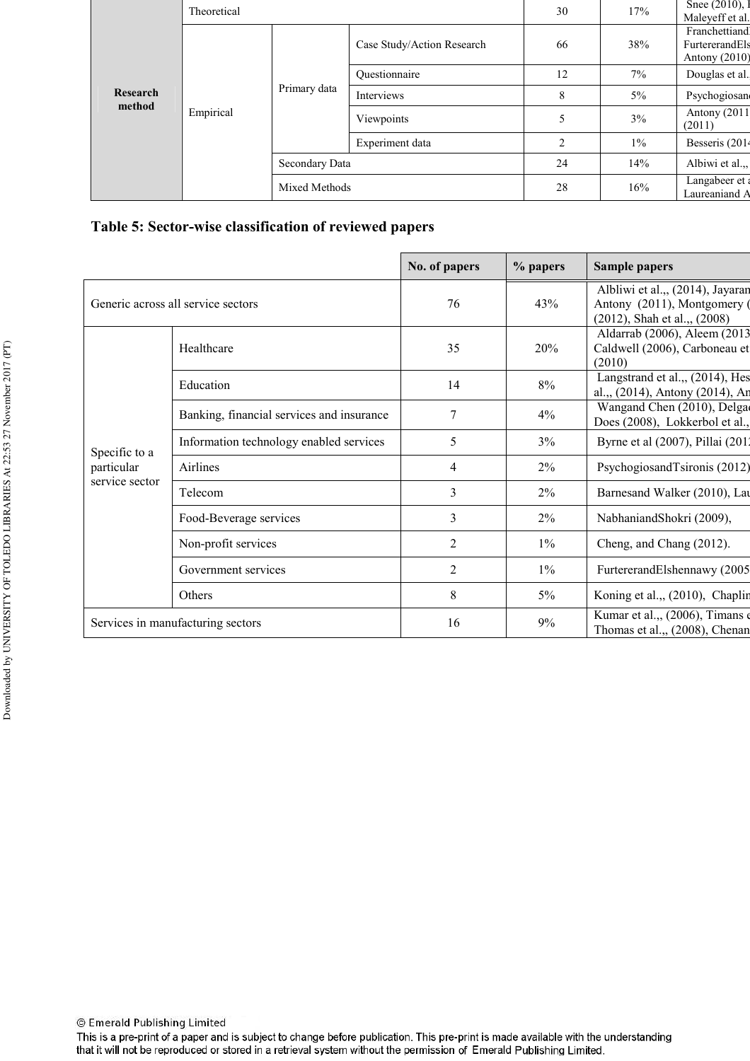|          | Theoretical |                |                            | 30             | 17%   | Snee (2010), I                    |
|----------|-------------|----------------|----------------------------|----------------|-------|-----------------------------------|
|          |             |                |                            |                |       | Maleveff et al.<br>Franchettiand  |
|          |             |                | Case Study/Action Research | 66             | 38%   | FurtererandEls<br>Antony $(2010)$ |
|          |             | Primary data   | Ouestionnaire              | 12             | $7\%$ | Douglas et al.                    |
| Research |             |                | Interviews                 | 8              | $5\%$ | Psychogiosan                      |
| method   | Empirical   |                | Viewpoints                 | 5              | $3\%$ | Antony (2011)<br>(2011)           |
|          |             |                | Experiment data            | $\overline{c}$ | $1\%$ | Besseris (2014                    |
|          |             | Secondary Data |                            | 24             | 14%   | Albiwi et al.,,                   |
|          |             | Mixed Methods  |                            | 28             | 16%   | Langabeer et a<br>Laureaniand A   |

|  |  |  | Table 5: Sector-wise classification of reviewed papers |  |
|--|--|--|--------------------------------------------------------|--|
|  |  |  |                                                        |  |

|                |                                           | No. of papers  | % papers | Sample papers                                                                                       |
|----------------|-------------------------------------------|----------------|----------|-----------------------------------------------------------------------------------------------------|
|                | Generic across all service sectors        | 76             | 43%      | Albliwi et al.,, (2014), Jayaran<br>Antony (2011), Montgomery (<br>$(2012)$ , Shah et al., $(2008)$ |
|                | Healthcare                                | 35             | 20%      | Aldarrab (2006), Aleem (2013<br>Caldwell (2006), Carboneau et<br>(2010)                             |
|                | Education                                 | 14             | 8%       | Langstrand et al., (2014), Hes<br>al.,, (2014), Antony (2014), An                                   |
|                | Banking, financial services and insurance | 7              | 4%       | Wangand Chen (2010), Delgae<br>Does (2008), Lokkerbol et al.,                                       |
| Specific to a  | Information technology enabled services   | 5              | 3%       | Byrne et al (2007), Pillai (2011                                                                    |
| particular     | Airlines                                  | 4              | $2\%$    | PsychogiosandTsironis (2012)                                                                        |
| service sector | Telecom                                   | $\overline{3}$ | $2\%$    | Barnesand Walker (2010), Lau                                                                        |
|                | Food-Beverage services                    | 3              | 2%       | NabhaniandShokri (2009),                                                                            |
|                | Non-profit services                       | $\overline{2}$ | $1\%$    | Cheng, and Chang (2012).                                                                            |
|                | Government services                       | $\overline{2}$ | $1\%$    | FurtererandElshennawy (2005                                                                         |
|                | Others                                    | 8              | $5\%$    | Koning et al., (2010), Chaplin                                                                      |
|                | Services in manufacturing sectors         | 16             | 9%       | Kumar et al.,, $(2006)$ , Timans $\epsilon$<br>Thomas et al.,, (2008), Chenan                       |

© Emerald Publishing Limited

This is a pre-print of a paper and is subject to change before publication. This pre-print is made available with the understanding<br>that it will not be reproduced or stored in a retrieval system without the permission of E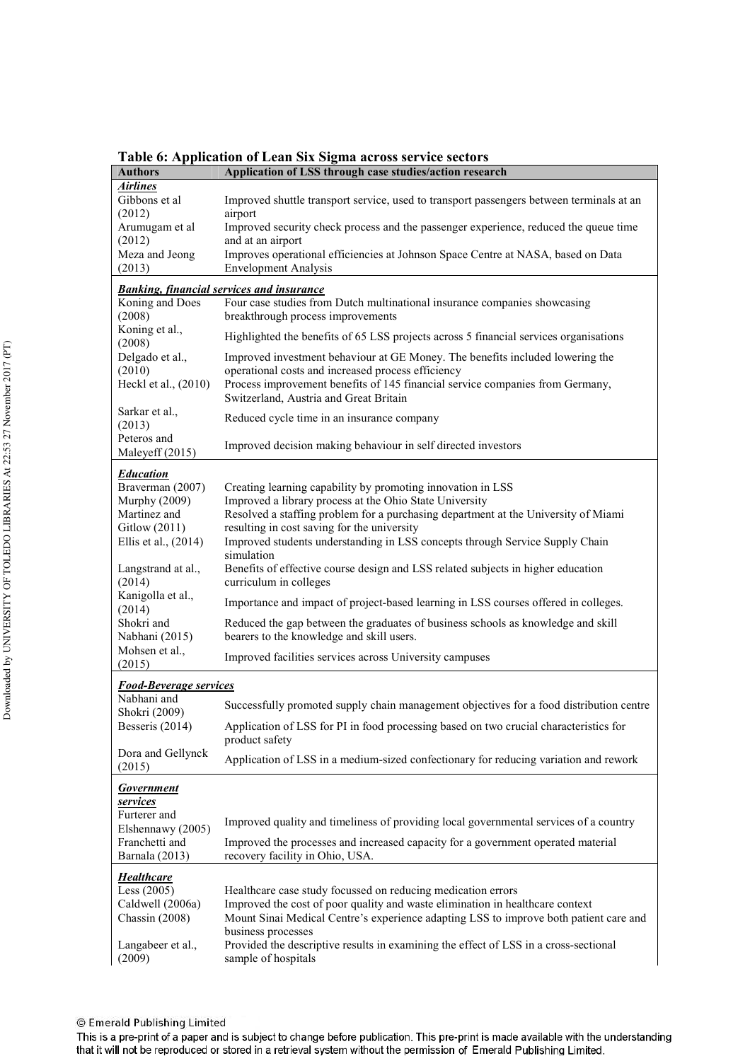| <b>Authors</b>                                                                                                        | Application of LSS through case studies/action research                                                                                                                                                                                                                                                                                                                     |  |  |  |  |  |  |  |  |  |
|-----------------------------------------------------------------------------------------------------------------------|-----------------------------------------------------------------------------------------------------------------------------------------------------------------------------------------------------------------------------------------------------------------------------------------------------------------------------------------------------------------------------|--|--|--|--|--|--|--|--|--|
| <b>Airlines</b><br>Gibbons et al<br>(2012)                                                                            | Improved shuttle transport service, used to transport passengers between terminals at an<br>airport                                                                                                                                                                                                                                                                         |  |  |  |  |  |  |  |  |  |
| Arumugam et al<br>(2012)                                                                                              | Improved security check process and the passenger experience, reduced the queue time<br>and at an airport                                                                                                                                                                                                                                                                   |  |  |  |  |  |  |  |  |  |
| Meza and Jeong<br>(2013)                                                                                              | Improves operational efficiencies at Johnson Space Centre at NASA, based on Data<br><b>Envelopment Analysis</b>                                                                                                                                                                                                                                                             |  |  |  |  |  |  |  |  |  |
|                                                                                                                       | <b>Banking, financial services and insurance</b>                                                                                                                                                                                                                                                                                                                            |  |  |  |  |  |  |  |  |  |
| Koning and Does<br>(2008)                                                                                             | Four case studies from Dutch multinational insurance companies showcasing<br>breakthrough process improvements                                                                                                                                                                                                                                                              |  |  |  |  |  |  |  |  |  |
| Koning et al.,<br>(2008)                                                                                              | Highlighted the benefits of 65 LSS projects across 5 financial services organisations                                                                                                                                                                                                                                                                                       |  |  |  |  |  |  |  |  |  |
| Delgado et al.,<br>(2010)<br>Heckl et al., (2010)                                                                     | Improved investment behaviour at GE Money. The benefits included lowering the<br>operational costs and increased process efficiency<br>Process improvement benefits of 145 financial service companies from Germany,<br>Switzerland, Austria and Great Britain                                                                                                              |  |  |  |  |  |  |  |  |  |
| Sarkar et al.,<br>(2013)                                                                                              | Reduced cycle time in an insurance company                                                                                                                                                                                                                                                                                                                                  |  |  |  |  |  |  |  |  |  |
| Peteros and<br>Maleyeff (2015)                                                                                        | Improved decision making behaviour in self directed investors                                                                                                                                                                                                                                                                                                               |  |  |  |  |  |  |  |  |  |
| <b>Education</b><br>Braverman (2007)<br><b>Murphy (2009)</b><br>Martinez and<br>Gitlow (2011)<br>Ellis et al., (2014) | Creating learning capability by promoting innovation in LSS<br>Improved a library process at the Ohio State University<br>Resolved a staffing problem for a purchasing department at the University of Miami<br>resulting in cost saving for the university<br>Improved students understanding in LSS concepts through Service Supply Chain                                 |  |  |  |  |  |  |  |  |  |
| Langstrand at al.,<br>(2014)                                                                                          | simulation<br>Benefits of effective course design and LSS related subjects in higher education<br>curriculum in colleges                                                                                                                                                                                                                                                    |  |  |  |  |  |  |  |  |  |
| Kanigolla et al.,<br>(2014)                                                                                           | Importance and impact of project-based learning in LSS courses offered in colleges.                                                                                                                                                                                                                                                                                         |  |  |  |  |  |  |  |  |  |
| Shokri and<br>Nabhani (2015)                                                                                          | Reduced the gap between the graduates of business schools as knowledge and skill<br>bearers to the knowledge and skill users.                                                                                                                                                                                                                                               |  |  |  |  |  |  |  |  |  |
| Mohsen et al.,<br>(2015)                                                                                              | Improved facilities services across University campuses                                                                                                                                                                                                                                                                                                                     |  |  |  |  |  |  |  |  |  |
| <b>Food-Beverage services</b>                                                                                         |                                                                                                                                                                                                                                                                                                                                                                             |  |  |  |  |  |  |  |  |  |
| Nabhani and<br>Shokri (2009)                                                                                          | Successfully promoted supply chain management objectives for a food distribution centre                                                                                                                                                                                                                                                                                     |  |  |  |  |  |  |  |  |  |
| Besseris (2014)                                                                                                       | Application of LSS for PI in food processing based on two crucial characteristics for<br>product safety                                                                                                                                                                                                                                                                     |  |  |  |  |  |  |  |  |  |
| Dora and Gellynck<br>(2015)                                                                                           | Application of LSS in a medium-sized confectionary for reducing variation and rework                                                                                                                                                                                                                                                                                        |  |  |  |  |  |  |  |  |  |
| Government<br><u>services</u>                                                                                         |                                                                                                                                                                                                                                                                                                                                                                             |  |  |  |  |  |  |  |  |  |
| Furterer and<br>Elshennawy (2005)                                                                                     | Improved quality and timeliness of providing local governmental services of a country                                                                                                                                                                                                                                                                                       |  |  |  |  |  |  |  |  |  |
| Franchetti and<br>Barnala (2013)                                                                                      | Improved the processes and increased capacity for a government operated material<br>recovery facility in Ohio, USA.                                                                                                                                                                                                                                                         |  |  |  |  |  |  |  |  |  |
| <b>Healthcare</b><br>Less $(2005)$<br>Caldwell (2006a)<br>Chassin (2008)<br>Langabeer et al.,<br>(2009)               | Healthcare case study focussed on reducing medication errors<br>Improved the cost of poor quality and waste elimination in healthcare context<br>Mount Sinai Medical Centre's experience adapting LSS to improve both patient care and<br>business processes<br>Provided the descriptive results in examining the effect of LSS in a cross-sectional<br>sample of hospitals |  |  |  |  |  |  |  |  |  |

Table 6: Application of Lean Six Sigma across service sectors

This is a pre-print of a paper and is subject to change before publication. This pre-print is made available with the understanding that it will not be reproduced or stored in a retrieval system without the permission of Emerald Publishing Limited.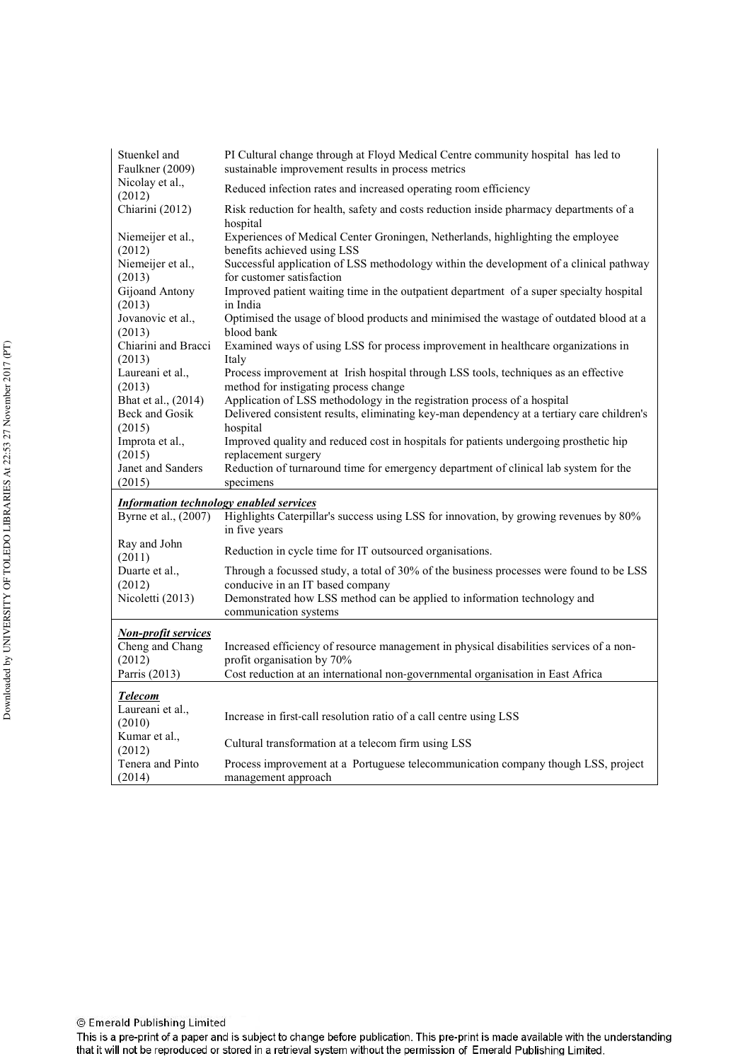| Stuenkel and<br>Faulkner (2009)                                        | PI Cultural change through at Floyd Medical Centre community hospital has led to<br>sustainable improvement results in process metrics |
|------------------------------------------------------------------------|----------------------------------------------------------------------------------------------------------------------------------------|
| Nicolay et al.,                                                        | Reduced infection rates and increased operating room efficiency                                                                        |
| (2012)<br>Chiarini (2012)                                              | Risk reduction for health, safety and costs reduction inside pharmacy departments of a                                                 |
| Niemeijer et al.,                                                      | hospital<br>Experiences of Medical Center Groningen, Netherlands, highlighting the employee                                            |
| (2012)<br>Niemeijer et al.,                                            | benefits achieved using LSS<br>Successful application of LSS methodology within the development of a clinical pathway                  |
| (2013)                                                                 | for customer satisfaction                                                                                                              |
| Gijoand Antony<br>(2013)                                               | Improved patient waiting time in the outpatient department of a super specialty hospital<br>in India                                   |
| Jovanovic et al.,<br>(2013)                                            | Optimised the usage of blood products and minimised the wastage of outdated blood at a<br>blood bank                                   |
| Chiarini and Bracci<br>(2013)                                          | Examined ways of using LSS for process improvement in healthcare organizations in<br>Italy                                             |
| Laureani et al.,                                                       | Process improvement at Irish hospital through LSS tools, techniques as an effective                                                    |
| (2013)<br>Bhat et al., (2014)                                          | method for instigating process change<br>Application of LSS methodology in the registration process of a hospital                      |
| Beck and Gosik                                                         | Delivered consistent results, eliminating key-man dependency at a tertiary care children's                                             |
| (2015)<br>Improta et al.,                                              | hospital<br>Improved quality and reduced cost in hospitals for patients undergoing prosthetic hip                                      |
| (2015)                                                                 | replacement surgery                                                                                                                    |
| Janet and Sanders                                                      | Reduction of turnaround time for emergency department of clinical lab system for the                                                   |
|                                                                        |                                                                                                                                        |
| (2015)                                                                 | specimens                                                                                                                              |
|                                                                        |                                                                                                                                        |
| <b>Information technology enabled services</b><br>Byrne et al., (2007) | Highlights Caterpillar's success using LSS for innovation, by growing revenues by 80%                                                  |
| Ray and John                                                           | in five years<br>Reduction in cycle time for IT outsourced organisations.                                                              |
| (2011)<br>Duarte et al.,                                               | Through a focussed study, a total of 30% of the business processes were found to be LSS                                                |
| (2012)<br>Nicoletti (2013)                                             | conducive in an IT based company<br>Demonstrated how LSS method can be applied to information technology and                           |
|                                                                        | communication systems                                                                                                                  |
| <b>Non-profit services</b>                                             |                                                                                                                                        |
| Cheng and Chang<br>(2012)                                              | Increased efficiency of resource management in physical disabilities services of a non-<br>profit organisation by 70%                  |
| Parris (2013)                                                          | Cost reduction at an international non-governmental organisation in East Africa                                                        |
|                                                                        |                                                                                                                                        |
| <u>Telecom</u><br>Laureani et al.,<br>(2010)                           | Increase in first-call resolution ratio of a call centre using LSS                                                                     |
| Kumar et al.,<br>(2012)                                                | Cultural transformation at a telecom firm using LSS                                                                                    |

This is a pre-print of a paper and is subject to change before publication. This pre-print is made available with the understanding<br>that it will not be reproduced or stored in a retrieval system without the permission of E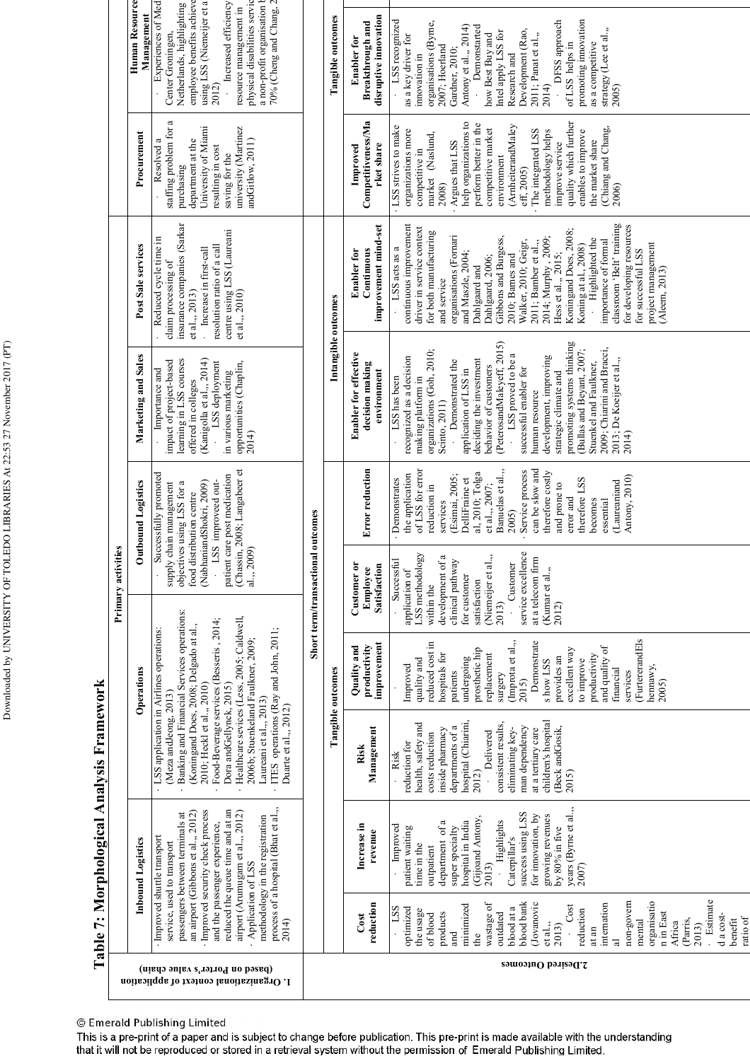|                                                                             |                                                                                                                                                                                                                                                                                                                                                                                              | Table 7: Morphological Analysis Framework                                                                                                                                                                                                                                                                                                                |                                                                                                                                                                                                                                                                                          |                                                                                                                                                                                                                                                                                                                                             |                                                                                                                                                                                                                                                         |                                                                                                                                                                                                                                                                                                                                                        |                                                                                                                                                                                                                                                                                                                                                                                                                                                                                                                           |                                                                                                                                                                                                                                                                                                                                                                                                                                                                                                                                                                 |                                                                                                                                                                                                                                                                                                                                                                                                           |                                                                                                                                                                                                                                                                                                                                                                                                  |
|-----------------------------------------------------------------------------|----------------------------------------------------------------------------------------------------------------------------------------------------------------------------------------------------------------------------------------------------------------------------------------------------------------------------------------------------------------------------------------------|----------------------------------------------------------------------------------------------------------------------------------------------------------------------------------------------------------------------------------------------------------------------------------------------------------------------------------------------------------|------------------------------------------------------------------------------------------------------------------------------------------------------------------------------------------------------------------------------------------------------------------------------------------|---------------------------------------------------------------------------------------------------------------------------------------------------------------------------------------------------------------------------------------------------------------------------------------------------------------------------------------------|---------------------------------------------------------------------------------------------------------------------------------------------------------------------------------------------------------------------------------------------------------|--------------------------------------------------------------------------------------------------------------------------------------------------------------------------------------------------------------------------------------------------------------------------------------------------------------------------------------------------------|---------------------------------------------------------------------------------------------------------------------------------------------------------------------------------------------------------------------------------------------------------------------------------------------------------------------------------------------------------------------------------------------------------------------------------------------------------------------------------------------------------------------------|-----------------------------------------------------------------------------------------------------------------------------------------------------------------------------------------------------------------------------------------------------------------------------------------------------------------------------------------------------------------------------------------------------------------------------------------------------------------------------------------------------------------------------------------------------------------|-----------------------------------------------------------------------------------------------------------------------------------------------------------------------------------------------------------------------------------------------------------------------------------------------------------------------------------------------------------------------------------------------------------|--------------------------------------------------------------------------------------------------------------------------------------------------------------------------------------------------------------------------------------------------------------------------------------------------------------------------------------------------------------------------------------------------|
|                                                                             |                                                                                                                                                                                                                                                                                                                                                                                              |                                                                                                                                                                                                                                                                                                                                                          |                                                                                                                                                                                                                                                                                          |                                                                                                                                                                                                                                                                                                                                             | Primary activities                                                                                                                                                                                                                                      |                                                                                                                                                                                                                                                                                                                                                        |                                                                                                                                                                                                                                                                                                                                                                                                                                                                                                                           |                                                                                                                                                                                                                                                                                                                                                                                                                                                                                                                                                                 |                                                                                                                                                                                                                                                                                                                                                                                                           |                                                                                                                                                                                                                                                                                                                                                                                                  |
|                                                                             |                                                                                                                                                                                                                                                                                                                                                                                              | <b>Inbound Logistics</b>                                                                                                                                                                                                                                                                                                                                 |                                                                                                                                                                                                                                                                                          | Operations                                                                                                                                                                                                                                                                                                                                  |                                                                                                                                                                                                                                                         | Outbound Logistics                                                                                                                                                                                                                                                                                                                                     | Marketing and Sales                                                                                                                                                                                                                                                                                                                                                                                                                                                                                                       | Post Sale services                                                                                                                                                                                                                                                                                                                                                                                                                                                                                                                                              | Procurement                                                                                                                                                                                                                                                                                                                                                                                               | Human Resource<br>Management                                                                                                                                                                                                                                                                                                                                                                     |
| (nisdo on Porter's value chain)<br>1. Organizational context of application | Application of LSS<br>2014)                                                                                                                                                                                                                                                                                                                                                                  | process of a hospital (Bhat et al.,,<br>reduced the queue time and at an<br>Improved security check process<br>airport (Arumugam et al.,, 2012)<br>an airport (Gibbons et al.,, 2012)<br>passengers between terminals at<br>methodology in the registration<br>and the passenger experience,<br>Improved shuttle transport<br>service, used to transport | 2006b; Stuenkeland Faulkner, 2009;<br>Dora andGellynck, 2015)<br>2010; Heckl et al., 2010)<br>(Meza andJeong, 2013)<br>Laureani et al., 2013)<br>Duarte et al.,, 2012)                                                                                                                   | Banking and Financial Services operations:<br>Healthcare sevices (Less, 2005; Caldwell,<br>Food-Beverage services (Besseris, 2014;<br>ITES operations (Ray and John, 2011;<br>· LSS application in Airlines operations:<br>(Koningand Does, 2008; Delgado at al                                                                             | al.,, 2009)<br>supply                                                                                                                                                                                                                                   | Chassin, 2008; Langabeer et<br>Successfully promoted<br>patient care post medication<br>- LSS improveed out-<br>(NabhaniandShokri, 2009)<br>objectives using LSS for a<br>chain management<br>food distribution centre                                                                                                                                 | (Kanigolla et al.,, 2014)<br>learning in LSS courses<br>impact of project-based<br>LSS deployment<br>opportunities (Chaplin,<br>Importance and<br>in various marketing<br>offered in colleges<br>2014)                                                                                                                                                                                                                                                                                                                    | insurance companies (Sarkar<br>centre using LSS (Laureani<br>et al.,, 2010)<br>Reduced cycle time in<br>resolution ratio of a call<br>Increase in first-call<br>claim processing of<br>et al., 2013)                                                                                                                                                                                                                                                                                                                                                            | staffing problem for a<br>University of Miami<br>university (Martinez<br>andGitlow, 2011)<br>department at the<br>Resolved a<br>resulting in cost<br>saving for the<br>purchasing                                                                                                                                                                                                                         | a non-profit organisation b<br>70% (Cheng and Chang, 2<br>employee benefits achieve<br>physical disabilities servic<br>using LSS (Niemeijer et al<br>Experiences of Med<br>Increased efficiency<br>Netherlands, highlighting<br>resource management in<br>Center Groningen,<br>2012)                                                                                                             |
|                                                                             |                                                                                                                                                                                                                                                                                                                                                                                              |                                                                                                                                                                                                                                                                                                                                                          |                                                                                                                                                                                                                                                                                          |                                                                                                                                                                                                                                                                                                                                             | Short term/transactional outcomes                                                                                                                                                                                                                       |                                                                                                                                                                                                                                                                                                                                                        |                                                                                                                                                                                                                                                                                                                                                                                                                                                                                                                           |                                                                                                                                                                                                                                                                                                                                                                                                                                                                                                                                                                 |                                                                                                                                                                                                                                                                                                                                                                                                           |                                                                                                                                                                                                                                                                                                                                                                                                  |
|                                                                             |                                                                                                                                                                                                                                                                                                                                                                                              |                                                                                                                                                                                                                                                                                                                                                          |                                                                                                                                                                                                                                                                                          | Tangible outcomes                                                                                                                                                                                                                                                                                                                           |                                                                                                                                                                                                                                                         |                                                                                                                                                                                                                                                                                                                                                        |                                                                                                                                                                                                                                                                                                                                                                                                                                                                                                                           | Intangible outcomes                                                                                                                                                                                                                                                                                                                                                                                                                                                                                                                                             |                                                                                                                                                                                                                                                                                                                                                                                                           | Tangible outcomes                                                                                                                                                                                                                                                                                                                                                                                |
|                                                                             | reduction<br>Cost                                                                                                                                                                                                                                                                                                                                                                            | Increase in<br>revenue                                                                                                                                                                                                                                                                                                                                   | Management<br>Risk                                                                                                                                                                                                                                                                       | improvement<br>productivity<br>Quality and                                                                                                                                                                                                                                                                                                  | Customer or<br>Satisfaction<br>Employee                                                                                                                                                                                                                 | Error reduction                                                                                                                                                                                                                                                                                                                                        | <b>Enabler</b> for effective<br>decision making<br>environment                                                                                                                                                                                                                                                                                                                                                                                                                                                            | improvement mind-set<br>Continuous<br><b>Enabler</b> for                                                                                                                                                                                                                                                                                                                                                                                                                                                                                                        | Competitiveness/Ma<br>rket share<br>Improved                                                                                                                                                                                                                                                                                                                                                              | disruptive innovation<br>Breakthrough and<br><b>Enabler</b> for                                                                                                                                                                                                                                                                                                                                  |
| 2.Desired Outcomes                                                          | · Estimate<br>non-govern<br>organisatio<br>wastage of<br>(Jovanovic<br>blood bank<br>minimized<br>internation<br>Cost<br>blood at a<br>optimized<br>SS<br>reduction<br>the usage<br>n in East<br>outdated<br>products<br>of blood<br>d a cost-<br>ratio of<br>(Parris,<br>benefit<br>mental<br>$\mathop{\rm et}\nolimits {\rm al.},$<br>Africa<br>2013)<br>2013)<br>at an<br>and<br>the<br>ಸ | years (Byrne et al.,,<br>success using LSS<br>growing revenues<br>for innovation, by<br>(Gijoand Antony,<br>Highlights<br>department of a<br>hospital in India<br>Improved<br>patient waiting<br>super specialty<br>by 80% in five<br>Caterpillar's<br>time in the<br>outpatient<br>2013)<br>2007)                                                       | children's hospital<br>hospital (Chiarini,<br>health, safety and<br>consistent results,<br>man dependency<br>departments of a<br>(Beck and Gosik,<br>inside pharmacy<br>eliminating key-<br>at a tertiary care<br>Delivered<br>costs reduction<br>reduction for<br>Risk<br>2015<br>2012) | (FurtererandEls<br>(Improta et al.,,<br>Demonstrate<br>reduced cost in<br>and quality of<br>prosthetic hip<br>excellent way<br>hospitals for<br>replacement<br>productivity<br>provides an<br>indergoing<br>quality and<br>to improve<br>show LSS<br>Improved<br>hennawy.<br>financial<br>services<br>patients<br>surgery<br>2015)<br>2005) | service excellence<br>LSS methodology<br>development of a<br>(Niemeijer et al.,<br>at a telecom firm<br>clinical pathway<br>Successful<br>Customer<br>(Kumar et al.,,<br>application of<br>for customer<br>satisfaction<br>within the<br>2012)<br>2013) | of LSS for error<br>can be slow and<br>Banuelas et al.,,<br>Service process<br>therefore costly<br>al, 2010; Tolga<br>the application<br>(Esimai, 2005;<br>Antony, 2010)<br>DelliFraine et<br>therefore LSS<br>Demonstrates<br>(Laureaniand<br>et al., 2007;<br>and prone to<br>reduction in<br>error and<br>becomes<br>essential<br>services<br>2005) | promoting systems thinking<br>(PeterosandMaleyeff, 2015)<br>2009; Chiarini and Bracci,<br>organizations (Goh, 2010;<br>(Bullas and Beyant, 2007;<br>LSS proved to be a<br>development, improving<br>recognized as a decision<br>2013; De Koeijer et al.,,<br>deciding the investment<br>Demonstrated the<br>Stuenkel and Faulkner,<br>behavior of customers<br>successful enabler for<br>application of LSS in<br>strategic climate and<br>making platform in<br>LSS has been<br>human resource<br>Scinto, 2011)<br>2014) | continuous improvement<br>classroom 'Belt' training<br>for developing resources<br>driver in service context<br>Hess et al., 2015;<br>Koningand Does, 2008;<br>for both manufacturing<br>organisations (Fornari<br>Gibbons and Burgess,<br>2014; Murphy, 2009;<br>Highlighted the<br>importance of formal<br>Walker, 2010; Geigr,<br>$2011$ ; Bamber et al.,<br>project management<br>Koning at al., 2008)<br>LSS acts as a<br>for successful LSS<br>and Maszle, 2004;<br>2010; Barnes and<br>Dahlgaard, 2006;<br>Dahlgaard and<br>(Aleem, 2013)<br>and service | quality which further<br>help organizations to<br>perform better in the<br>(Arnheiter and Maley<br>. LSS strives to make<br>Chiang and Chang,<br>competitive market<br>The integrated LSS<br>organizations more<br>methodology helps<br>enables to improve<br>market (Naslund,<br>the market share<br>Argues that LSS<br>improve service<br>competitive in<br>environment<br>eff, 2005)<br>2008)<br>2006) | promoting innovation<br>LSS recognized<br>DFSS approach<br>organisations (Byrne,<br>Antony et al.,, 2014)<br>Demonstarted<br>strategy (Lee et al.,,<br>Development (Rao,<br>Intel apply LSS for<br>2011; Panat et al.,,<br>how Best Buy and<br>as a key driver for<br>as a competitive<br>of LSS helps in<br>2007; Hoerland<br>Gardner, 2010;<br>Research and<br>innovation in<br>2014)<br>2005) |

© Emerald Publishing Limited

This is a pre-print of a paper and is subject to change before publication. This pre-print is made available with the understanding<br>that it will not be reproduced or stored in a retrieval system without the permission of E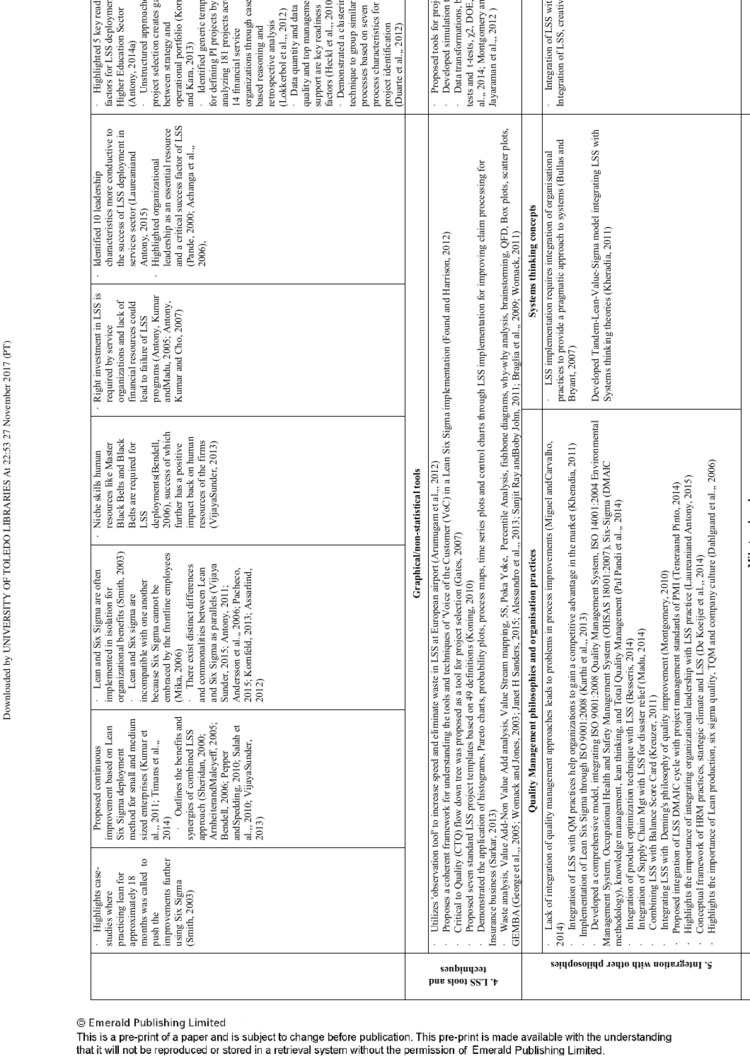| Identified generic temp<br>organizations through case<br>Data transformations, b<br>operational portfolio (Korr<br>factors (Heckl et al.,, 2010<br>al.,, 2014; Montgomery an<br>Integration of LSS with<br>Integration of LSS, creativ<br>for defining PI projects by<br>analyzing 181 projects acr<br>quality and top manageme<br>- Demonstrated a clusterin<br>technique to group similar<br>process characteristics for<br>tests and t-tests, $\chi^2$ , DOE,<br>Proposed tools for proj<br>Developed simulation<br>support are key readiness<br>processes based on seven<br>Data quantity and data<br>Jayaraman et al.,, 2012)<br>(Lokkerbol et al., 2012)<br>retrospective analysis<br>project identification<br>(Duarte et al.,, 2012)<br>based reasoning and<br>14 financial service<br>and Kara, 2013) | and a critical success factor of LSS<br>Percentile Analysis, fishbone diagrams, why-why analysis, brainstorming, QFD, Box plots, scatter plots,<br>Developed Tandem-Lean-Value-Sigma model integrating LSS with<br>practices to provide a pragmatic approach to systems (Bullas and<br>(Pande, 2000; Achanga et al.,,<br>LSS implementation requires integration of organisational<br>Systems thinking concepts<br>2011)<br>2006), | Systems thinking theories (Kheradia, 2011)<br>Kumar and Cho, 2007)<br>Bryant, 2007)                                                                                                        | al.,, 2013; Sanjit Ray andBoby John, 2011; Braglia et al.,, 2009; Womack,<br>impact back on human<br>resources of the firms<br>(VijayaSunder, 2013)<br>further has a positive<br>the market (Kheradia, 2011)<br>(Dahlgaard et al.,, 2006)<br>Graphical/non-statistical tools<br>li et al.,, 2014)<br>2007 | Demonstrated the application of histograms, Pareto charts, probability plots, process maps, time series plots and control charts through LSS implementation for improving claim processing for<br>Proposes a coherent framework for understanding the tools and techniques of 'Voice of the Customer (VoC) in a Lean Six Sigma implementation (Found and Harrison, 2012)<br>- Implementation of Lean Six Sigma through ISO 9001:2008 (Karthi et al., 2013)<br>- Developed a comprehensive model, integrating ISO 9001:2008 Quality Management System, ISO 14001:2004 Environmental<br>Lack of integration of quality management approaches leads to problems in process improvements (Miguel andCarvalho,<br>Management System, Occupational Health and Safety Management System (OHSAS 18001:2007), Six-Sigma (DMAIC<br>Utilizes 'observation tool' to increase speed and eliminate waste in LSS at European airport (Arumugam et al., 2012)<br>Highlights the importance of integrating organizational leadership with LSS practice (Laureaniand Antony, 2015)<br>Proposed integration of LSS DMAIC cycle with project management standards of PMI (Teneraand Pinto, 2014)<br>Quality Management philosophies and organisation practices<br>Waste analysis, Value Add-Non Value Add analysis, Value Stream mapping, 5S, Poka Yoke,<br>methodology), knowledge management, lean thinking, and Total Quality Management (Pal Pand<br>Critical to Quality (CTQ) flow down tree was proposed as a tool for project selection (Gates,<br>Conceptual framework of HRM practices, startegic climate and LSS (De Koeijer et al.,, 2014)<br>GEMBA (George et al.,, 2005; Womack and Jones, 2003; Janet H Sanders, 2015; Alessandro et<br>Integration of LSS with QM practices help organizations to gain a competitive advantage in<br>Highlights the importance of Lean production, six sigma quality, TQM and company culture<br>and Six Sigma as parallels (Vijaya<br>There exist distinct differences<br>and commonalities between Lean<br>Andersson et al., 2006; Pacheco,<br>2015; Kornfeld, 2013; Assarlind,<br>2012)<br>Integrating LSS with Deming's philosophy of quality improvement (Montgomery, 2010)<br>Sunder, 2015; Antony, 2011;<br>(Mika, 2006) | Proposed seven standard LSS project templates based on 49 definitions (Koning, 2010)<br>Integration of Supply Chain Mgt with LSS for disaster relief (Madu, 2014)<br>Integration of product optimization technique with LSS (Besseris, 2014)<br>Combining LSS with Balance Score Card (Kreuzer, 2011)<br>Outlines the benefits and<br>AmheiterandMaleyeff, 2005;<br>andSpedding, 2010; Salah et<br>synergies of combined LSS<br>approach (Sheridan, 2000;<br>al.,, 2010; VijayaSunder,<br>Bendell, 2006; Pepper<br>2013) | Insurance business (Sarkar, 2013)<br>using Six Sigma<br>(Smith, 2003)<br>2014)                                                           | 5. Integration with other philosophies<br>techniques<br>pue stoot SST * |
|----------------------------------------------------------------------------------------------------------------------------------------------------------------------------------------------------------------------------------------------------------------------------------------------------------------------------------------------------------------------------------------------------------------------------------------------------------------------------------------------------------------------------------------------------------------------------------------------------------------------------------------------------------------------------------------------------------------------------------------------------------------------------------------------------------------|------------------------------------------------------------------------------------------------------------------------------------------------------------------------------------------------------------------------------------------------------------------------------------------------------------------------------------------------------------------------------------------------------------------------------------|--------------------------------------------------------------------------------------------------------------------------------------------------------------------------------------------|-----------------------------------------------------------------------------------------------------------------------------------------------------------------------------------------------------------------------------------------------------------------------------------------------------------|------------------------------------------------------------------------------------------------------------------------------------------------------------------------------------------------------------------------------------------------------------------------------------------------------------------------------------------------------------------------------------------------------------------------------------------------------------------------------------------------------------------------------------------------------------------------------------------------------------------------------------------------------------------------------------------------------------------------------------------------------------------------------------------------------------------------------------------------------------------------------------------------------------------------------------------------------------------------------------------------------------------------------------------------------------------------------------------------------------------------------------------------------------------------------------------------------------------------------------------------------------------------------------------------------------------------------------------------------------------------------------------------------------------------------------------------------------------------------------------------------------------------------------------------------------------------------------------------------------------------------------------------------------------------------------------------------------------------------------------------------------------------------------------------------------------------------------------------------------------------------------------------------------------------------------------------------------------------------------------------------------------------------------------------------------------------------------------------------------------------------------------------------------------------------------------------------------------------------------------------------------|--------------------------------------------------------------------------------------------------------------------------------------------------------------------------------------------------------------------------------------------------------------------------------------------------------------------------------------------------------------------------------------------------------------------------------------------------------------------------------------------------------------------------|------------------------------------------------------------------------------------------------------------------------------------------|-------------------------------------------------------------------------|
|                                                                                                                                                                                                                                                                                                                                                                                                                                                                                                                                                                                                                                                                                                                                                                                                                |                                                                                                                                                                                                                                                                                                                                                                                                                                    |                                                                                                                                                                                            |                                                                                                                                                                                                                                                                                                           |                                                                                                                                                                                                                                                                                                                                                                                                                                                                                                                                                                                                                                                                                                                                                                                                                                                                                                                                                                                                                                                                                                                                                                                                                                                                                                                                                                                                                                                                                                                                                                                                                                                                                                                                                                                                                                                                                                                                                                                                                                                                                                                                                                                                                                                            |                                                                                                                                                                                                                                                                                                                                                                                                                                                                                                                          |                                                                                                                                          |                                                                         |
|                                                                                                                                                                                                                                                                                                                                                                                                                                                                                                                                                                                                                                                                                                                                                                                                                |                                                                                                                                                                                                                                                                                                                                                                                                                                    |                                                                                                                                                                                            |                                                                                                                                                                                                                                                                                                           |                                                                                                                                                                                                                                                                                                                                                                                                                                                                                                                                                                                                                                                                                                                                                                                                                                                                                                                                                                                                                                                                                                                                                                                                                                                                                                                                                                                                                                                                                                                                                                                                                                                                                                                                                                                                                                                                                                                                                                                                                                                                                                                                                                                                                                                            |                                                                                                                                                                                                                                                                                                                                                                                                                                                                                                                          |                                                                                                                                          |                                                                         |
|                                                                                                                                                                                                                                                                                                                                                                                                                                                                                                                                                                                                                                                                                                                                                                                                                |                                                                                                                                                                                                                                                                                                                                                                                                                                    |                                                                                                                                                                                            |                                                                                                                                                                                                                                                                                                           |                                                                                                                                                                                                                                                                                                                                                                                                                                                                                                                                                                                                                                                                                                                                                                                                                                                                                                                                                                                                                                                                                                                                                                                                                                                                                                                                                                                                                                                                                                                                                                                                                                                                                                                                                                                                                                                                                                                                                                                                                                                                                                                                                                                                                                                            |                                                                                                                                                                                                                                                                                                                                                                                                                                                                                                                          |                                                                                                                                          |                                                                         |
| Unstructured approach<br>project selection creates ge<br>factors for LSS deploymer<br>Highlighted 5 key read<br><b>Higher Education Sector</b><br>between strategy and<br>(Antony, 2014a)                                                                                                                                                                                                                                                                                                                                                                                                                                                                                                                                                                                                                      | leadership as an essential resource<br>characteristics more conductive to<br>the success of LSS deployment in<br>services sector (Laureaniand<br>Highlighted organizational<br>Identified 10 leadership<br>Antony, 2015)                                                                                                                                                                                                           | Right investment in LSS is<br>programs (Antony, Kumar<br>organizations and lack of<br>andMadu, 2005; Antony,<br>financial resources could<br>lead to failure of LSS<br>required by service | 2006), success of which<br><b>Black Belts and Black</b><br>deployments(Bendell,<br>Belts are required for<br>resources like Master<br>Niche skills human<br>LSS                                                                                                                                           | organizational benefits (Smith, 2003)<br>embraced by the frontline employees<br>Lean and Six Sigma are often<br>incompatible with one another<br>because Six Sigma cannot be<br>implemented in isolation for<br>Lean and Six sigma are                                                                                                                                                                                                                                                                                                                                                                                                                                                                                                                                                                                                                                                                                                                                                                                                                                                                                                                                                                                                                                                                                                                                                                                                                                                                                                                                                                                                                                                                                                                                                                                                                                                                                                                                                                                                                                                                                                                                                                                                                     | method for small and medium<br>improvement based on Lean<br>sized enterprises (Kumar et<br>al.,, $2011$ ; Timans et al.,,<br>Proposed continuous<br>Six Sigma deployment<br>2014)                                                                                                                                                                                                                                                                                                                                        | months was called to<br>improvements further<br>Highlights case-<br>practicing lean for<br>approximately 18<br>studies where<br>push the |                                                                         |

**,+
-**

**,**

© Emerald Publishing Limited

This is a pre-print of a paper and is subject to change before publication. This pre-print is made available with the understanding<br>that it will not be reproduced or stored in a retrieval system without the permission of E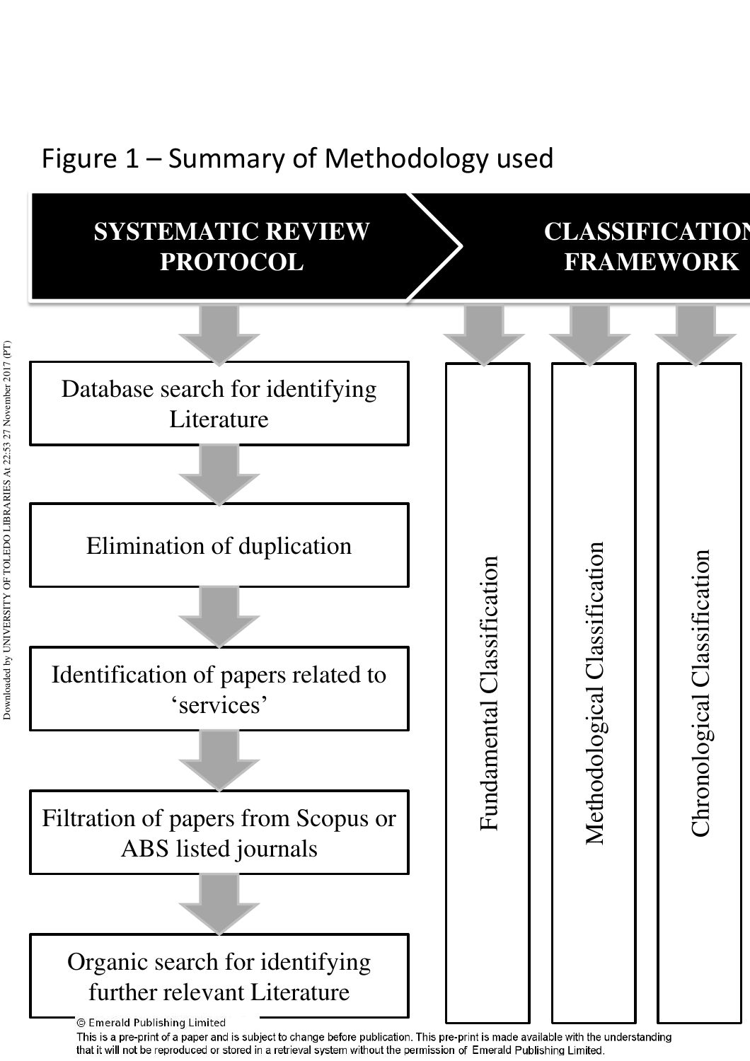# Figure 1 – Summary of Methodology used

Downloaded by UNIVERSITY OF TOLEDO LIBRARIES At 22:53 27 November 2017 (PT) Downloaded by UNIVERSITY OF TOLEDO LIBRARIES At 22:53 27 November 2017 (PT)



This is a pre-print of a paper and is subject to change before publication. This pre-print is made available with the understanding that it will not be reproduced or stored in a retrieval system without the permission of Emerald Publishing Limited.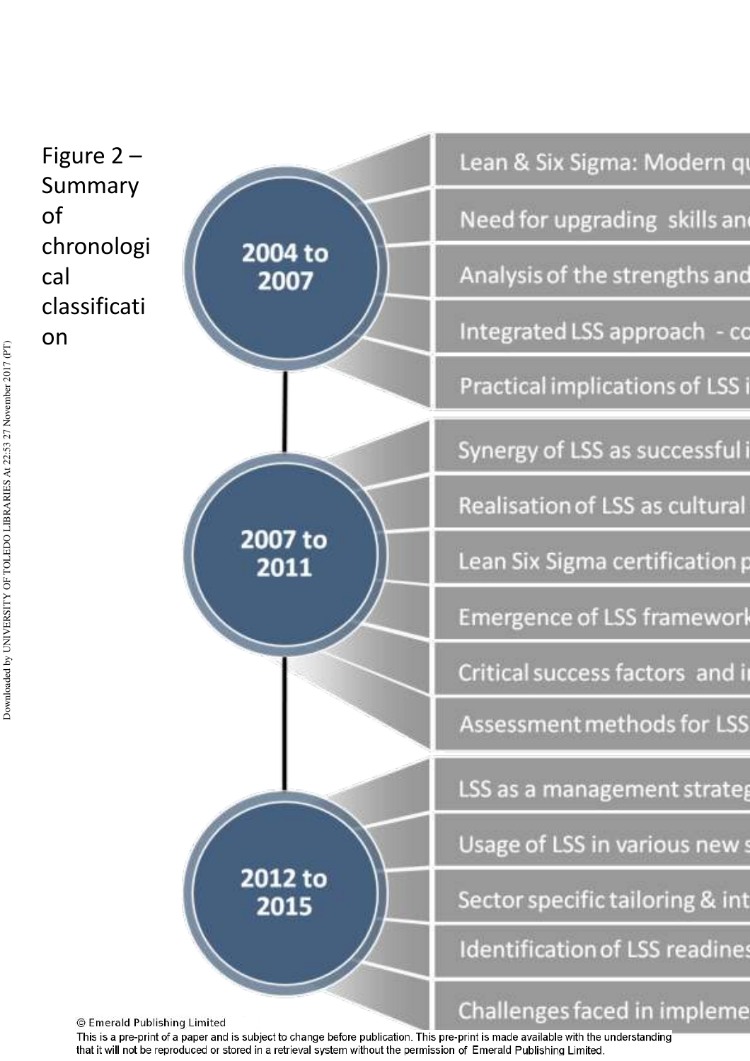

This is a pre-print of a paper and is subject to change before publication. This pre-print is made available with the understanding that it will not be reproduced or stored in a retrieval system without the permission of Emerald Publishing Limited.